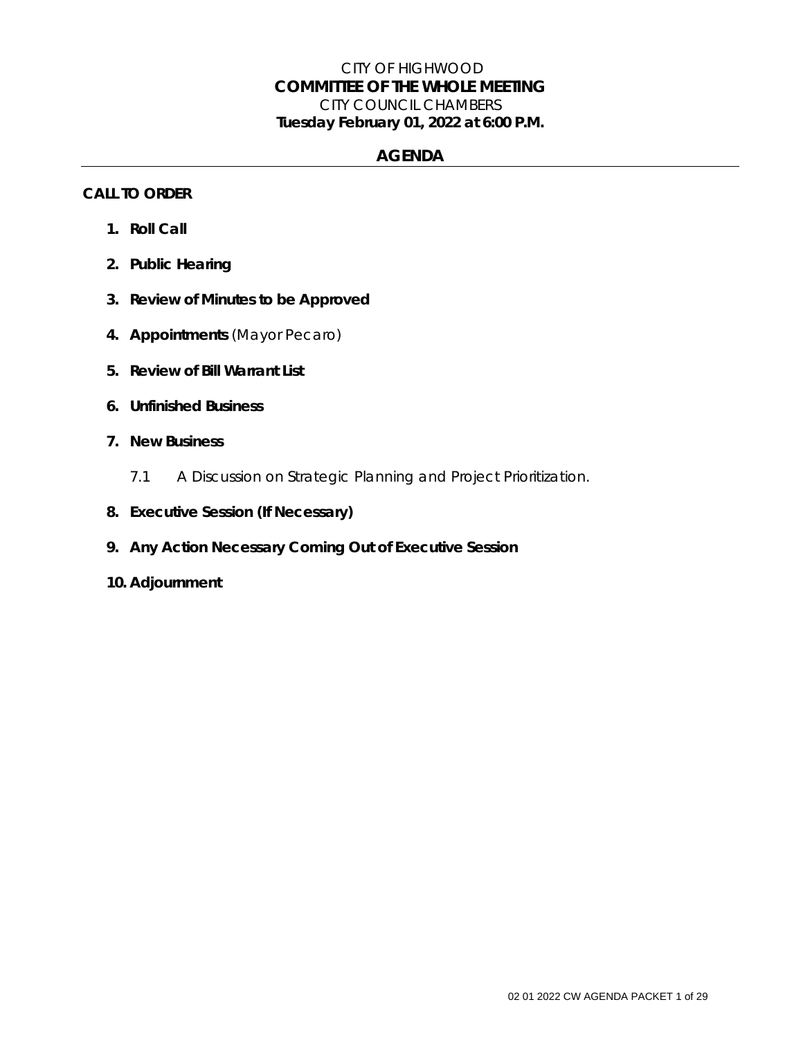## CITY OF HIGHWOOD *COMMITTEE OF THE WHOLE MEETING*  CITY COUNCIL CHAMBERS **Tuesday February 01, 2022 at 6:00 P.M.**

## **AGENDA**

### **CALL TO ORDER**

- **1. Roll Call**
- **2. Public Hearing**
- **3. Review of Minutes to be Approved**
- **4. Appointments** (Mayor Pecaro)
- **5. Review of Bill Warrant List**
- **6. Unfinished Business**
- **7. New Business**
	- 7.1 A Discussion on Strategic Planning and Project Prioritization.
- **8. Executive Session (If Necessary)**
- **9. Any Action Necessary Coming Out of Executive Session**
- **10. Adjournment**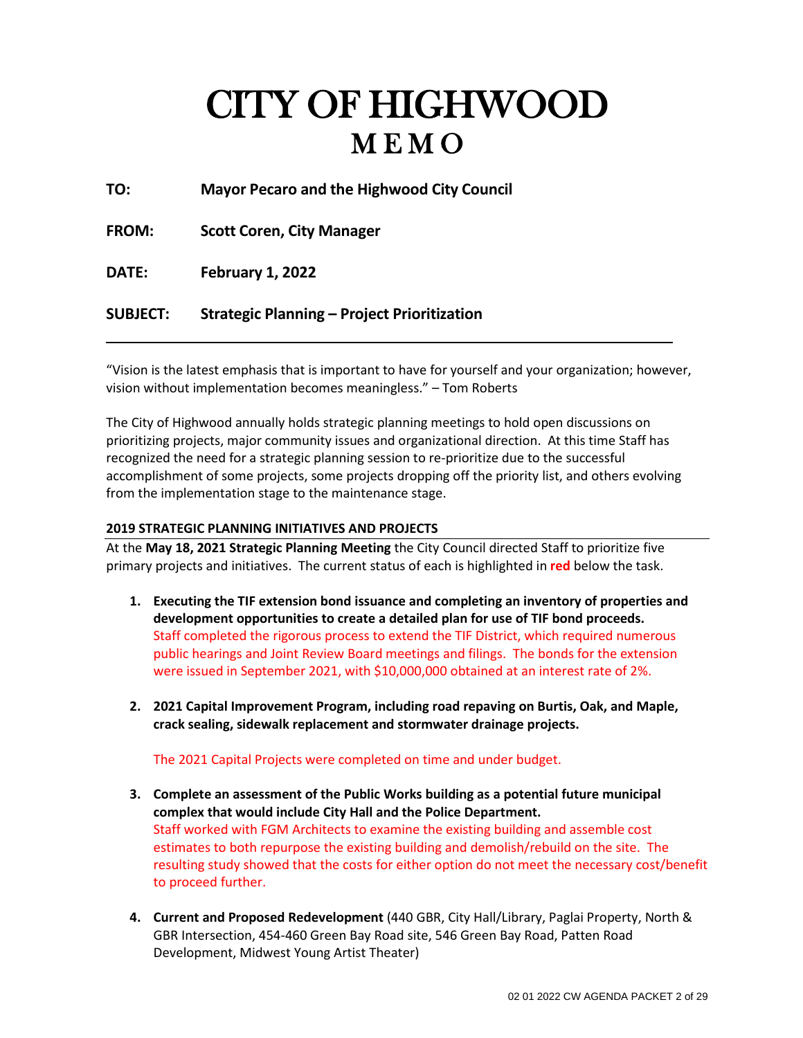# CITY OF HIGHWOOD

**TO: Mayor Pecaro and the Highwood City Council**

**FROM: Scott Coren, City Manager**

**DATE: February 1, 2022**

## **SUBJECT: Strategic Planning – Project Prioritization**

"Vision is the latest emphasis that is important to have for yourself and your organization; however, vision without implementation becomes meaningless." – Tom Roberts

The City of Highwood annually holds strategic planning meetings to hold open discussions on prioritizing projects, major community issues and organizational direction. At this time Staff has recognized the need for a strategic planning session to re-prioritize due to the successful accomplishment of some projects, some projects dropping off the priority list, and others evolving from the implementation stage to the maintenance stage.

#### **2019 STRATEGIC PLANNING INITIATIVES AND PROJECTS**

At the **May 18, 2021 Strategic Planning Meeting** the City Council directed Staff to prioritize five primary projects and initiatives. The current status of each is highlighted in **red** below the task.

- **1. Executing the TIF extension bond issuance and completing an inventory of properties and development opportunities to create a detailed plan for use of TIF bond proceeds.** Staff completed the rigorous process to extend the TIF District, which required numerous public hearings and Joint Review Board meetings and filings. The bonds for the extension were issued in September 2021, with \$10,000,000 obtained at an interest rate of 2%.
- **2. 2021 Capital Improvement Program, including road repaving on Burtis, Oak, and Maple, crack sealing, sidewalk replacement and stormwater drainage projects.**

The 2021 Capital Projects were completed on time and under budget.

- **3. Complete an assessment of the Public Works building as a potential future municipal complex that would include City Hall and the Police Department.** Staff worked with FGM Architects to examine the existing building and assemble cost estimates to both repurpose the existing building and demolish/rebuild on the site. The resulting study showed that the costs for either option do not meet the necessary cost/benefit to proceed further.
- **4. Current and Proposed Redevelopment** (440 GBR, City Hall/Library, Paglai Property, North & GBR Intersection, 454-460 Green Bay Road site, 546 Green Bay Road, Patten Road Development, Midwest Young Artist Theater)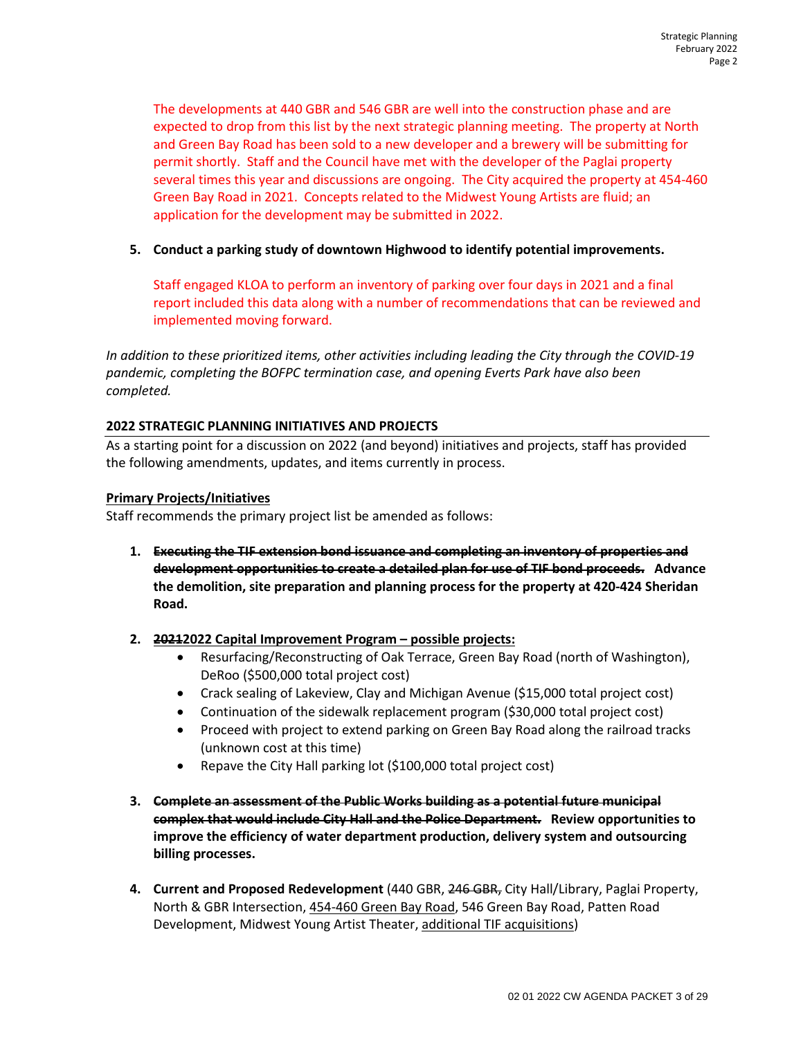The developments at 440 GBR and 546 GBR are well into the construction phase and are expected to drop from this list by the next strategic planning meeting. The property at North and Green Bay Road has been sold to a new developer and a brewery will be submitting for permit shortly. Staff and the Council have met with the developer of the Paglai property several times this year and discussions are ongoing. The City acquired the property at 454-460 Green Bay Road in 2021. Concepts related to the Midwest Young Artists are fluid; an application for the development may be submitted in 2022.

#### **5. Conduct a parking study of downtown Highwood to identify potential improvements.**

Staff engaged KLOA to perform an inventory of parking over four days in 2021 and a final report included this data along with a number of recommendations that can be reviewed and implemented moving forward.

*In addition to these prioritized items, other activities including leading the City through the COVID-19 pandemic, completing the BOFPC termination case, and opening Everts Park have also been completed.* 

#### **2022 STRATEGIC PLANNING INITIATIVES AND PROJECTS**

As a starting point for a discussion on 2022 (and beyond) initiatives and projects, staff has provided the following amendments, updates, and items currently in process.

#### **Primary Projects/Initiatives**

Staff recommends the primary project list be amended as follows:

- **1. Executing the TIF extension bond issuance and completing an inventory of properties and development opportunities to create a detailed plan for use of TIF bond proceeds. Advance the demolition, site preparation and planning process for the property at 420-424 Sheridan Road.**
- **2. 20212022 Capital Improvement Program possible projects:** 
	- Resurfacing/Reconstructing of Oak Terrace, Green Bay Road (north of Washington), DeRoo (\$500,000 total project cost)
	- Crack sealing of Lakeview, Clay and Michigan Avenue (\$15,000 total project cost)
	- Continuation of the sidewalk replacement program (\$30,000 total project cost)
	- Proceed with project to extend parking on Green Bay Road along the railroad tracks (unknown cost at this time)
	- Repave the City Hall parking lot (\$100,000 total project cost)
- **3. Complete an assessment of the Public Works building as a potential future municipal complex that would include City Hall and the Police Department. Review opportunities to improve the efficiency of water department production, delivery system and outsourcing billing processes.**
- **4. Current and Proposed Redevelopment** (440 GBR, 246 GBR, City Hall/Library, Paglai Property, North & GBR Intersection, 454-460 Green Bay Road, 546 Green Bay Road, Patten Road Development, Midwest Young Artist Theater, additional TIF acquisitions)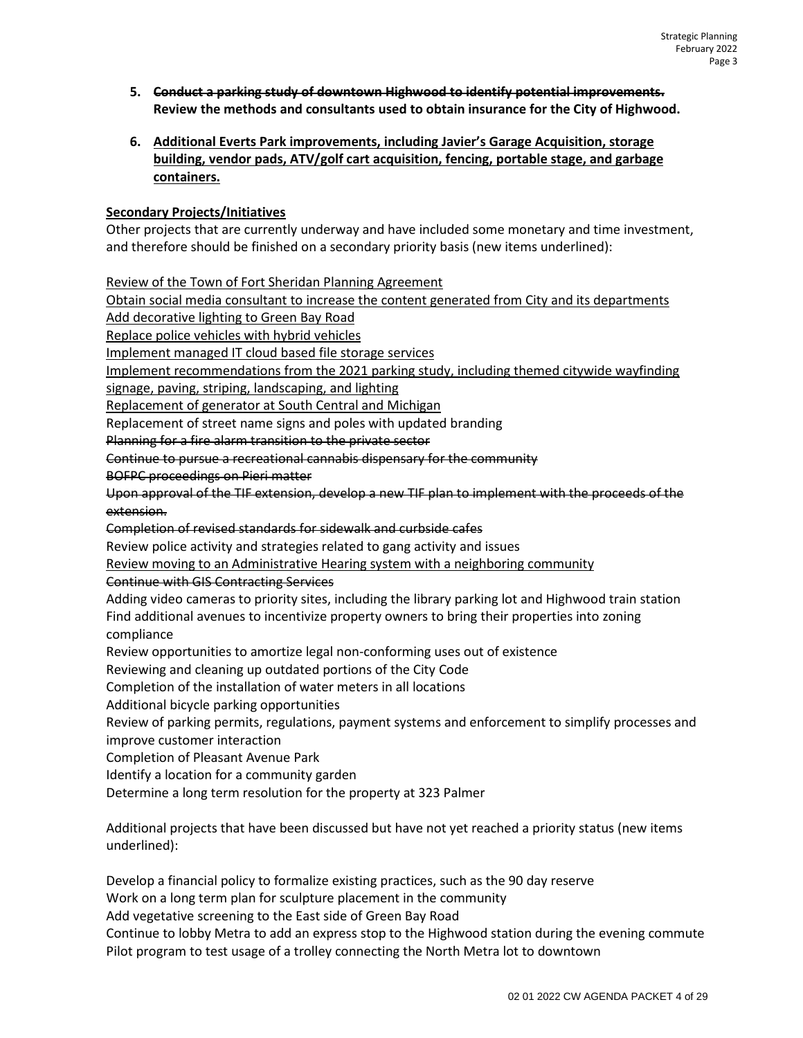- **5. Conduct a parking study of downtown Highwood to identify potential improvements. Review the methods and consultants used to obtain insurance for the City of Highwood.**
- **6. Additional Everts Park improvements, including Javier's Garage Acquisition, storage building, vendor pads, ATV/golf cart acquisition, fencing, portable stage, and garbage containers.**

#### **Secondary Projects/Initiatives**

Other projects that are currently underway and have included some monetary and time investment, and therefore should be finished on a secondary priority basis (new items underlined):

Review of the Town of Fort Sheridan Planning Agreement

Obtain social media consultant to increase the content generated from City and its departments

Add decorative lighting to Green Bay Road

Replace police vehicles with hybrid vehicles

Implement managed IT cloud based file storage services

Implement recommendations from the 2021 parking study, including themed citywide wayfinding

signage, paving, striping, landscaping, and lighting

Replacement of generator at South Central and Michigan

Replacement of street name signs and poles with updated branding

Planning for a fire alarm transition to the private sector

Continue to pursue a recreational cannabis dispensary for the community

BOFPC proceedings on Pieri matter

Upon approval of the TIF extension, develop a new TIF plan to implement with the proceeds of the extension.

Completion of revised standards for sidewalk and curbside cafes

Review police activity and strategies related to gang activity and issues

Review moving to an Administrative Hearing system with a neighboring community

Continue with GIS Contracting Services

Adding video cameras to priority sites, including the library parking lot and Highwood train station Find additional avenues to incentivize property owners to bring their properties into zoning compliance

Review opportunities to amortize legal non-conforming uses out of existence

Reviewing and cleaning up outdated portions of the City Code

Completion of the installation of water meters in all locations

Additional bicycle parking opportunities

Review of parking permits, regulations, payment systems and enforcement to simplify processes and improve customer interaction

Completion of Pleasant Avenue Park

Identify a location for a community garden

Determine a long term resolution for the property at 323 Palmer

Additional projects that have been discussed but have not yet reached a priority status (new items underlined):

Develop a financial policy to formalize existing practices, such as the 90 day reserve

Work on a long term plan for sculpture placement in the community

Add vegetative screening to the East side of Green Bay Road

Continue to lobby Metra to add an express stop to the Highwood station during the evening commute Pilot program to test usage of a trolley connecting the North Metra lot to downtown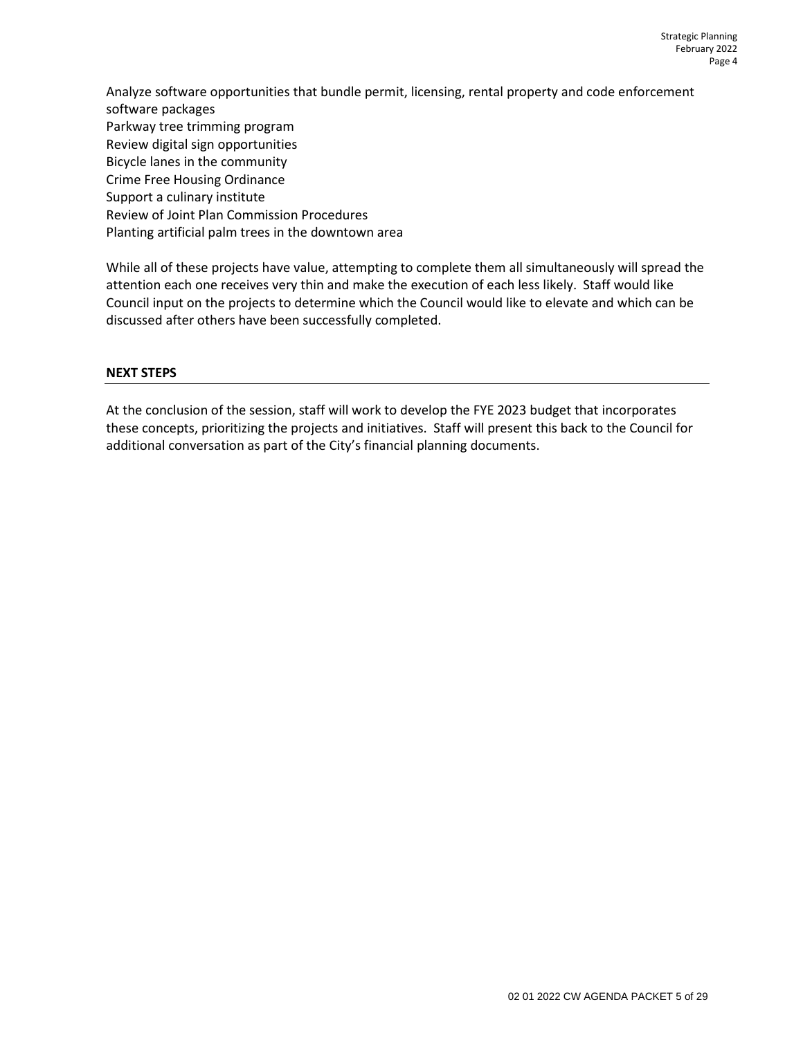Analyze software opportunities that bundle permit, licensing, rental property and code enforcement software packages Parkway tree trimming program Review digital sign opportunities Bicycle lanes in the community Crime Free Housing Ordinance Support a culinary institute Review of Joint Plan Commission Procedures Planting artificial palm trees in the downtown area

While all of these projects have value, attempting to complete them all simultaneously will spread the attention each one receives very thin and make the execution of each less likely. Staff would like Council input on the projects to determine which the Council would like to elevate and which can be discussed after others have been successfully completed.

#### **NEXT STEPS**

At the conclusion of the session, staff will work to develop the FYE 2023 budget that incorporates these concepts, prioritizing the projects and initiatives. Staff will present this back to the Council for additional conversation as part of the City's financial planning documents.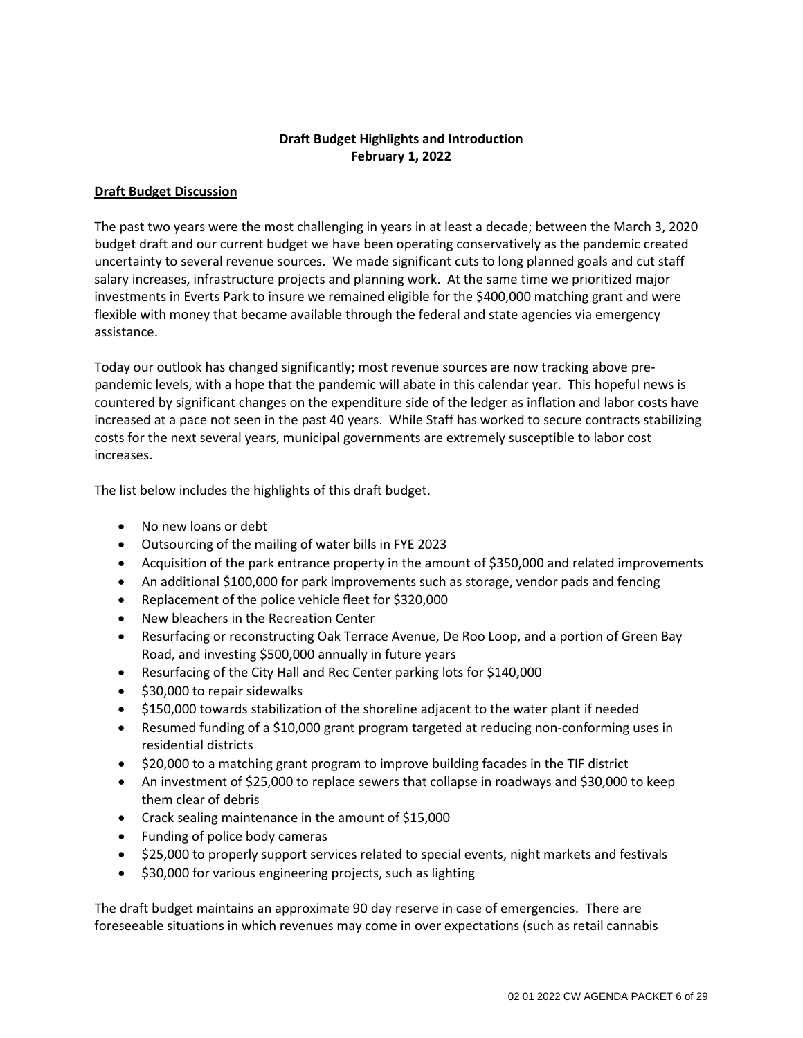## **Draft Budget Highlights and Introduction February 1, 2022**

#### **Draft Budget Discussion**

The past two years were the most challenging in years in at least a decade; between the March 3, 2020 budget draft and our current budget we have been operating conservatively as the pandemic created uncertainty to several revenue sources. We made significant cuts to long planned goals and cut staff salary increases, infrastructure projects and planning work. At the same time we prioritized major investments in Everts Park to insure we remained eligible for the \$400,000 matching grant and were flexible with money that became available through the federal and state agencies via emergency assistance.

Today our outlook has changed significantly; most revenue sources are now tracking above prepandemic levels, with a hope that the pandemic will abate in this calendar year. This hopeful news is countered by significant changes on the expenditure side of the ledger as inflation and labor costs have increased at a pace not seen in the past 40 years. While Staff has worked to secure contracts stabilizing costs for the next several years, municipal governments are extremely susceptible to labor cost increases.

The list below includes the highlights of this draft budget.

- No new loans or debt
- Outsourcing of the mailing of water bills in FYE 2023
- Acquisition of the park entrance property in the amount of \$350,000 and related improvements
- An additional \$100,000 for park improvements such as storage, vendor pads and fencing
- Replacement of the police vehicle fleet for \$320,000
- New bleachers in the Recreation Center
- Resurfacing or reconstructing Oak Terrace Avenue, De Roo Loop, and a portion of Green Bay Road, and investing \$500,000 annually in future years
- Resurfacing of the City Hall and Rec Center parking lots for \$140,000
- \$30,000 to repair sidewalks
- \$150,000 towards stabilization of the shoreline adjacent to the water plant if needed
- Resumed funding of a \$10,000 grant program targeted at reducing non-conforming uses in residential districts
- \$20,000 to a matching grant program to improve building facades in the TIF district
- An investment of \$25,000 to replace sewers that collapse in roadways and \$30,000 to keep them clear of debris
- Crack sealing maintenance in the amount of \$15,000
- Funding of police body cameras
- \$25,000 to properly support services related to special events, night markets and festivals
- \$30,000 for various engineering projects, such as lighting

The draft budget maintains an approximate 90 day reserve in case of emergencies. There are foreseeable situations in which revenues may come in over expectations (such as retail cannabis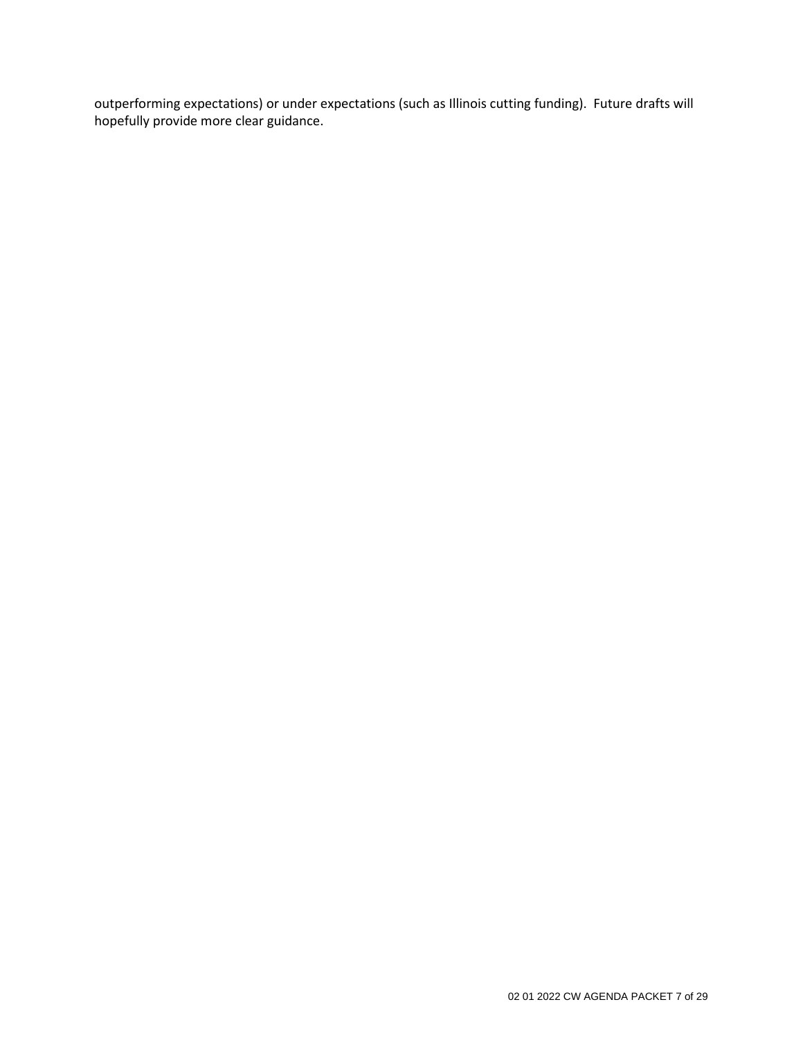outperforming expectations) or under expectations (such as Illinois cutting funding). Future drafts will hopefully provide more clear guidance.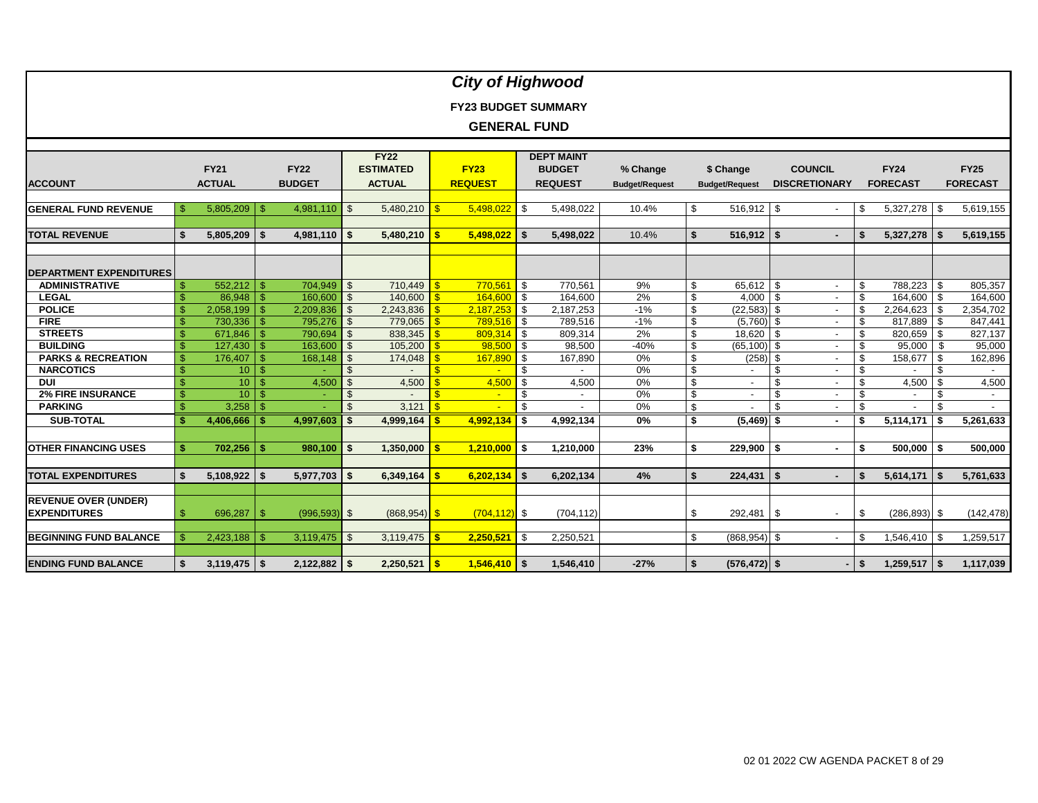| <b>City of Highwood</b>        |               |                  |                    |                 |                |                         |                         |                            |                         |                          |                       |    |                          |                |                          |                |                          |      |                 |
|--------------------------------|---------------|------------------|--------------------|-----------------|----------------|-------------------------|-------------------------|----------------------------|-------------------------|--------------------------|-----------------------|----|--------------------------|----------------|--------------------------|----------------|--------------------------|------|-----------------|
|                                |               |                  |                    |                 |                |                         |                         |                            |                         |                          |                       |    |                          |                |                          |                |                          |      |                 |
|                                |               |                  |                    |                 |                |                         |                         |                            |                         |                          |                       |    |                          |                |                          |                |                          |      |                 |
|                                |               |                  |                    |                 |                |                         |                         | <b>FY23 BUDGET SUMMARY</b> |                         |                          |                       |    |                          |                |                          |                |                          |      |                 |
|                                |               |                  |                    |                 |                |                         |                         | <b>GENERAL FUND</b>        |                         |                          |                       |    |                          |                |                          |                |                          |      |                 |
|                                |               |                  |                    |                 |                |                         |                         |                            |                         |                          |                       |    |                          |                |                          |                |                          |      |                 |
|                                |               |                  |                    |                 |                | <b>FY22</b>             |                         |                            |                         | <b>DEPT MAINT</b>        |                       |    |                          |                |                          |                |                          |      |                 |
|                                |               | <b>FY21</b>      |                    | <b>FY22</b>     |                | <b>ESTIMATED</b>        |                         | <b>FY23</b>                |                         | <b>BUDGET</b>            | % Change              |    | \$ Change                |                | <b>COUNCIL</b>           |                | <b>FY24</b>              |      | <b>FY25</b>     |
| <b>ACCOUNT</b>                 |               | <b>ACTUAL</b>    |                    | <b>BUDGET</b>   |                | <b>ACTUAL</b>           |                         | <b>REQUEST</b>             |                         | <b>REQUEST</b>           | <b>Budget/Request</b> |    | <b>Budget/Request</b>    |                | <b>DISCRETIONARY</b>     |                | <b>FORECAST</b>          |      | <b>FORECAST</b> |
|                                |               |                  |                    |                 |                |                         |                         |                            |                         |                          |                       |    |                          |                |                          |                |                          |      |                 |
| <b>GENERAL FUND REVENUE</b>    | \$.           | 5,805,209        | <b>S</b>           | 4,981,110       | -\$            |                         |                         | 5,498,022                  | l \$                    | 5,498,022                | 10.4%                 | \$ | 516,912                  | <b>S</b>       | $\overline{\phantom{a}}$ | \$             | $5,327,278$ \$           |      | 5,619,155       |
|                                |               |                  |                    |                 |                |                         |                         |                            |                         |                          |                       |    |                          |                |                          |                |                          |      |                 |
| <b>TOTAL REVENUE</b>           | \$            | 5,805,209        | \$                 | 4,981,110       | -\$            |                         |                         | 5,498,022                  | $\sqrt{3}$              | 5,498,022                | 10.4%                 | \$ | 516,912                  | $\vert$ \$     |                          |                | $5,327,278$ \$           |      | 5,619,155       |
|                                |               |                  |                    |                 |                |                         |                         |                            |                         |                          |                       |    |                          |                |                          |                |                          |      |                 |
| <b>DEPARTMENT EXPENDITURES</b> |               |                  |                    |                 |                |                         |                         |                            |                         |                          |                       |    |                          |                |                          |                |                          |      |                 |
| <b>ADMINISTRATIVE</b>          | S.            | 552,212          | -\$                | 704,949         | $\sqrt{3}$     | $710,449$ \$            |                         | $770,561$ \$               |                         | 770,561                  | 9%                    | \$ | 65,612                   | \$             | $\blacksquare$           | \$             | 788,223 \$               |      | 805,357         |
| <b>LEGAL</b>                   |               | 86,948           | $\mathbf{\hat{s}}$ | 160,600         | $\mathfrak{S}$ | $140,600$ \$            |                         | 164,600                    | $\overline{\mathbf{s}}$ | 164,600                  | 2%                    | \$ | 4,000                    | - \$           | $\overline{\phantom{a}}$ | \$             | 164,600 \$               |      | 164,600         |
| <b>POLICE</b>                  |               | $2,058,199$ \ \$ |                    | 2,209,836       | $\mathfrak{S}$ |                         |                         | 2,187,253                  | $\sqrt{3}$              | 2,187,253                | $-1%$                 | \$ | (22, 583)                | - \$           | $\overline{\phantom{a}}$ | \$             | $2,264,623$ \$           |      | 2,354,702       |
| <b>FIRE</b>                    |               | 730,336          | $\sqrt{3}$         | 795,276         | $\mathfrak{S}$ | $779,065$ \$            |                         | 789,516 \$                 |                         | 789,516                  | $-1%$                 | \$ | $(5,760)$ \$             |                | $\blacksquare$           | \$             | $817,889$ \$             |      | 847,441         |
| <b>STREETS</b>                 |               | 671,846          | -\$                | 790,694         | -\$            | 838,345 $\frac{8}{9}$   |                         | 809,314                    | $\blacksquare$          | 809,314                  | 2%                    | \$ | 18,620                   | \$             |                          | \$             | 820,659 \$               |      | 827,137         |
| <b>BUILDING</b>                |               | 127,430          | $\mathbf{\hat{s}}$ | 163,600         | $\mathfrak{L}$ | 105,200                 | l s                     | 98,500                     | $\mathbf{s}$            | 98,500                   | $-40%$                | \$ | (65, 100)                | \$             | $\blacksquare$           | \$             | $95,000$ \$              |      | 95,000          |
| <b>PARKS &amp; RECREATION</b>  | \$            | 176,407          | -\$                | 168,148         | \$             | $174,048$ \$            |                         | 167,890                    | <b>S</b>                | 167,890                  | 0%                    | \$ | (258)                    | -\$            |                          | \$             | 158,677 \$               |      | 162,896         |
| <b>NARCOTICS</b>               | $\mathsf{\$}$ | 10 <sup>°</sup>  | $\mathcal{S}$      |                 |                |                         |                         | $\sim$                     | \$                      |                          | 0%                    | \$ | $\overline{\phantom{a}}$ | \$             | $\overline{a}$           | \$             |                          | - \$ |                 |
| <b>DUI</b>                     | $\mathbf{\$}$ | $10$ \$          |                    | 4,500           |                | 4,500                   |                         | 4,500                      | $\mathbf{s}$            | 4,500                    | 0%                    | \$ | $\overline{\phantom{a}}$ | $\mathfrak{S}$ |                          | $\mathfrak{s}$ | $4,500$ \$               |      | 4,500           |
| <b>2% FIRE INSURANCE</b>       | $\mathbb{S}$  | 10               | $\mathbb{S}$       |                 |                |                         |                         | $\mathbf{L}^{\mathbf{r}}$  | \$                      | $\sim$                   | 0%                    | \$ | $\overline{\phantom{a}}$ | \$             |                          | \$             | $\overline{\phantom{a}}$ | \$   | $\sim$          |
| <b>PARKING</b>                 | $\mathbf{\$}$ |                  |                    |                 | $\mathfrak{L}$ | 3,121                   |                         |                            | \$                      | $\overline{\phantom{a}}$ | 0%                    | \$ |                          | \$             | $\overline{\phantom{a}}$ | \$             | $\overline{a}$           | \$.  |                 |
| <b>SUB-TOTAL</b>               |               | $4,406,666$ \$   |                    | 4,997,603       | -\$            | $4,999,164$ \$          |                         | 4,992,134                  | $\overline{\mathsf{I}}$ | 4,992,134                | 0%                    | \$ | $(5,469)$ \$             |                | $\blacksquare$           | \$             | $5,114,171$ \$           |      | 5,261,633       |
|                                |               |                  |                    |                 |                |                         |                         |                            |                         |                          |                       |    |                          |                |                          |                |                          |      |                 |
| <b>OTHER FINANCING USES</b>    |               | $702.256$ \ \$   |                    | 980,100         | - \$           | 1,350,000               | -\$                     | $1,210,000$ \$             |                         | 1.210.000                | 23%                   | \$ | 229,900                  | - \$           | $\sim$                   | \$             | $500,000$ \$             |      | 500,000         |
|                                |               |                  |                    |                 |                |                         |                         |                            |                         |                          |                       |    |                          |                |                          |                |                          |      |                 |
| <b>TOTAL EXPENDITURES</b>      | \$            | $5,108,922$ \$   |                    | 5,977,703       | - \$           | $6,349,164$   \$        |                         | 6,202,134                  | $\sim$                  | 6,202,134                | 4%                    | \$ | 224,431                  | \$             |                          | \$             | $5,614,171$ \$           |      | 5,761,633       |
|                                |               |                  |                    |                 |                |                         |                         |                            |                         |                          |                       |    |                          |                |                          |                |                          |      |                 |
| <b>REVENUE OVER (UNDER)</b>    |               |                  |                    |                 |                |                         |                         |                            |                         |                          |                       |    |                          |                |                          |                |                          |      |                 |
| <b>EXPENDITURES</b>            | \$            | 696,287          | -\$                | $(996, 593)$ \$ |                | $(868, 954)$ \$         |                         | $(704, 112)$ \$            |                         | (704, 112)               |                       | \$ | 292,481                  | \$             | $\overline{a}$           | \$             | $(286, 893)$ \$          |      | (142, 478)      |
| <b>BEGINNING FUND BALANCE</b>  |               |                  |                    |                 |                |                         |                         |                            |                         |                          |                       | \$ |                          |                |                          |                |                          |      |                 |
|                                | \$.           | 2,423,188        | -\$                | 3,119,475       | -\$            | 3,119,475 $\frac{1}{5}$ |                         | 2,250,521                  | $\blacksquare$          | 2,250,521                |                       |    | $(868, 954)$ \$          |                | $\blacksquare$           | \$             | $1,546,410$ \$           |      | 1,259,517       |
| <b>ENDING FUND BALANCE</b>     | \$            |                  |                    | $2,122,882$ \$  |                | 2,250,521               | $\overline{\mathbf{s}}$ | $1,546,410$ \$             |                         | 1,546,410                | $-27%$                | s. | $(576, 472)$ \$          |                |                          | \$             | $1,259,517$ \$           |      | 1,117,039       |
|                                |               |                  |                    |                 |                |                         |                         |                            |                         |                          |                       |    |                          |                |                          |                |                          |      |                 |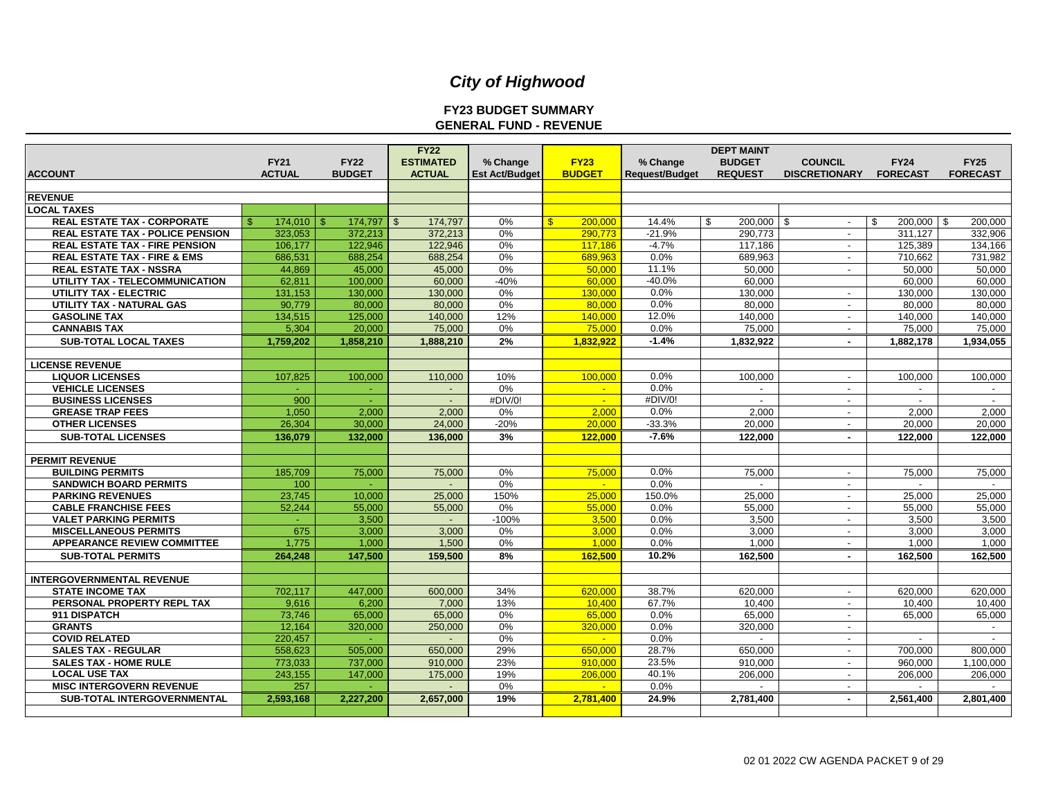#### **FY23 BUDGET SUMMARY GENERAL FUND - REVENUE**

| <b>ACCOUNT</b>                          | <b>FY21</b><br><b>ACTUAL</b> | <b>FY22</b><br><b>BUDGET</b> | <b>FY22</b><br><b>ESTIMATED</b><br><b>ACTUAL</b> | % Change<br><b>Est Act/Budget</b> | <b>FY23</b><br><b>BUDGET</b> | % Change<br>Request/Budget | <b>DEPT MAINT</b><br><b>BUDGET</b><br><b>REQUEST</b> | <b>COUNCIL</b><br><b>DISCRETIONARY</b> | <b>FY24</b><br><b>FORECAST</b> | <b>FY25</b><br><b>FORECAST</b> |
|-----------------------------------------|------------------------------|------------------------------|--------------------------------------------------|-----------------------------------|------------------------------|----------------------------|------------------------------------------------------|----------------------------------------|--------------------------------|--------------------------------|
|                                         |                              |                              |                                                  |                                   |                              |                            |                                                      |                                        |                                |                                |
| <b>REVENUE</b>                          |                              |                              |                                                  |                                   |                              |                            |                                                      |                                        |                                |                                |
| <b>LOCAL TAXES</b>                      |                              |                              |                                                  |                                   |                              |                            |                                                      |                                        |                                |                                |
| <b>REAL ESTATE TAX - CORPORATE</b>      | 174.010<br>R                 | 174.797<br>ፍ                 | 174.797<br>$\mathbf{\$}$                         | 0%                                | $\mathbf{S}$<br>200,000      | 14.4%                      | 200.000<br>\$.                                       | l \$<br>$\sim$                         | $200.000$ \ \$<br>\$           | 200.000                        |
| <b>REAL ESTATE TAX - POLICE PENSION</b> | 323,053                      | 372,213                      | 372,213                                          | 0%                                | 290.773                      | $-21.9%$                   | 290,773                                              | $\overline{\phantom{a}}$               | 311.127                        | 332,906                        |
| <b>REAL ESTATE TAX - FIRE PENSION</b>   | 106.177                      | 122,946                      | 122.946                                          | 0%                                | 117.186                      | $-4.7%$                    | 117.186                                              | $\sim$                                 | 125.389                        | 134.166                        |
| <b>REAL ESTATE TAX - FIRE &amp; EMS</b> | 686,531                      | 688,254                      | 688,254                                          | 0%                                | 689.963                      | 0.0%                       | 689,963                                              | $\sim$                                 | 710,662                        | 731,982                        |
| <b>REAL ESTATE TAX - NSSRA</b>          | 44.869                       | 45,000                       | 45,000                                           | 0%                                | 50.000                       | 11.1%                      | 50.000                                               | $\sim$                                 | 50.000                         | 50.000                         |
| UTILITY TAX - TELECOMMUNICATION         | 62,811                       | 100,000                      | 60,000                                           | $-40%$                            | 60.000                       | $-40.0%$                   | 60,000                                               |                                        | 60,000                         | 60,000                         |
| UTILITY TAX - ELECTRIC                  | 131,153                      | 130,000                      | 130,000                                          | 0%                                | 130.000                      | 0.0%                       | 130,000                                              | $\overline{\phantom{a}}$               | 130,000                        | 130,000                        |
| <b>UTILITY TAX - NATURAL GAS</b>        | 90.779                       | 80.000                       | 80.000                                           | 0%                                | 80.000                       | 0.0%                       | 80.000                                               | $\overline{\phantom{a}}$               | 80.000                         | 80,000                         |
| <b>GASOLINE TAX</b>                     | 134,515                      | 125,000                      | 140,000                                          | 12%                               | 140.000                      | 12.0%                      | 140,000                                              | $\overline{\phantom{a}}$               | 140,000                        | 140,000                        |
| <b>CANNABIS TAX</b>                     | 5,304                        | 20.000                       | 75,000                                           | 0%                                | 75,000                       | 0.0%                       | 75,000                                               | $\sim$                                 | 75,000                         | 75,000                         |
| <b>SUB-TOTAL LOCAL TAXES</b>            | 1,759,202                    | 1,858,210                    | 1,888,210                                        | 2%                                | 1,832,922                    | $-1.4%$                    | 1,832,922                                            | $\sim$                                 | 1,882,178                      | 1,934,055                      |
| <b>LICENSE REVENUE</b>                  |                              |                              |                                                  |                                   |                              |                            |                                                      |                                        |                                |                                |
| <b>LIQUOR LICENSES</b>                  | 107.825                      | 100.000                      | 110.000                                          | 10%                               | 100,000                      | 0.0%                       | 100.000                                              | $\sim$                                 | 100.000                        | 100.000                        |
| <b>VEHICLE LICENSES</b>                 | $\sim$                       | $\sim$                       | $\blacksquare$                                   | 0%                                | $\sim$                       | 0.0%                       | $\overline{\phantom{a}}$                             | $\overline{\phantom{a}}$               | $\blacksquare$                 | $\sim$                         |
| <b>BUSINESS LICENSES</b>                | 900                          | $\sim$                       | $\sim$                                           | #DIV/0!                           | $\sim$                       | #DIV/0!                    | $\sim$                                               | $\sim$                                 | $\overline{\phantom{a}}$       | $\sim$                         |
| <b>GREASE TRAP FEES</b>                 | 1,050                        | 2,000                        | 2,000                                            | 0%                                | 2.000                        | 0.0%                       | 2,000                                                | $\overline{a}$                         | 2,000                          | 2,000                          |
| <b>OTHER LICENSES</b>                   | 26,304                       | 30,000                       | 24,000                                           | $-20%$                            | 20,000                       | $-33.3%$                   | 20,000                                               | $\overline{\phantom{a}}$               | 20,000                         | 20,000                         |
| <b>SUB-TOTAL LICENSES</b>               | 136,079                      | 132,000                      | 136,000                                          | 3%                                | 122.000                      | $-7.6%$                    | 122,000                                              | $\sim$                                 | 122,000                        | 122,000                        |
| <b>PERMIT REVENUE</b>                   |                              |                              |                                                  |                                   |                              |                            |                                                      |                                        |                                |                                |
| <b>BUILDING PERMITS</b>                 | 185,709                      | 75,000                       | 75,000                                           | 0%                                | 75,000                       | 0.0%                       | 75,000                                               | $\sim$                                 | 75,000                         | 75,000                         |
| <b>SANDWICH BOARD PERMITS</b>           | 100                          |                              |                                                  | 0%                                |                              | 0.0%                       |                                                      | $\sim$                                 |                                | $\sim$                         |
| <b>PARKING REVENUES</b>                 | 23.745                       | 10.000                       | 25,000                                           | 150%                              | 25,000                       | 150.0%                     | 25.000                                               | $\overline{\phantom{a}}$               | 25.000                         | 25,000                         |
| <b>CABLE FRANCHISE FEES</b>             | 52.244                       | 55.000                       | 55.000                                           | 0%                                | 55,000                       | 0.0%                       | 55.000                                               | $\sim$                                 | 55,000                         | 55.000                         |
| <b>VALET PARKING PERMITS</b>            | $\sim$                       | 3,500                        |                                                  | $-100%$                           | 3.500                        | 0.0%                       | 3,500                                                | $\sim$                                 | 3,500                          | 3,500                          |
| <b>MISCELLANEOUS PERMITS</b>            | 675                          | 3.000                        | 3,000                                            | 0%                                | 3.000                        | 0.0%                       | 3.000                                                | $\sim$                                 | 3.000                          | 3,000                          |
| <b>APPEARANCE REVIEW COMMITTEE</b>      | 1,775                        | 1,000                        | 1,500                                            | 0%                                | 1.000                        | 0.0%                       | 1,000                                                | $\overline{a}$                         | 1,000                          | 1,000                          |
| <b>SUB-TOTAL PERMITS</b>                | 264,248                      | 147,500                      | 159,500                                          | 8%                                | 162,500                      | 10.2%                      | 162,500                                              |                                        | 162,500                        | 162,500                        |
|                                         |                              |                              |                                                  |                                   |                              |                            |                                                      |                                        |                                |                                |
| <b>INTERGOVERNMENTAL REVENUE</b>        |                              |                              |                                                  |                                   |                              |                            |                                                      |                                        |                                |                                |
| <b>STATE INCOME TAX</b>                 | 702,117                      | 447,000                      | 600,000                                          | 34%                               | 620,000                      | 38.7%                      | 620,000                                              | $\overline{\phantom{a}}$               | 620.000                        | 620,000                        |
| PERSONAL PROPERTY REPL TAX              | 9,616                        | 6,200                        | 7,000                                            | 13%                               | 10.400                       | 67.7%                      | 10,400                                               | $\overline{\phantom{a}}$               | 10,400                         | 10,400                         |
| 911 DISPATCH                            | 73,746                       | 65,000                       | 65,000                                           | 0%                                | 65,000                       | 0.0%                       | 65,000                                               | $\sim$                                 | 65,000                         | 65,000                         |
| <b>GRANTS</b>                           | 12,164                       | 320,000                      | 250,000                                          | 0%                                | 320,000                      | 0.0%                       | 320,000                                              | $\sim$                                 |                                | $\sim$                         |
| <b>COVID RELATED</b>                    | 220.457                      | $\sim$                       |                                                  | 0%                                | <b>Section</b>               | $0.0\%$                    | $\sim$                                               | $\sim$                                 | $\sim$                         | $\sim$                         |
| <b>SALES TAX - REGULAR</b>              | 558,623                      | 505,000                      | 650,000                                          | 29%                               | 650.000                      | 28.7%                      | 650.000                                              | $\overline{\phantom{a}}$               | 700,000                        | 800,000                        |
| <b>SALES TAX - HOME RULE</b>            | 773.033                      | 737.000                      | 910.000                                          | 23%                               | 910.000                      | 23.5%                      | 910.000                                              | $\sim$                                 | 960.000                        | 1,100,000                      |
| <b>LOCAL USE TAX</b>                    | 243,155                      | 147,000                      | 175,000                                          | 19%                               | 206.000                      | 40.1%                      | 206,000                                              | $\sim$                                 | 206,000                        | 206,000                        |
| <b>MISC INTERGOVERN REVENUE</b>         | 257                          |                              |                                                  | 0%                                | $\mathbf{u}$                 | 0.0%                       |                                                      | $\overline{\phantom{a}}$               | $\overline{a}$                 | $\overline{a}$                 |
|                                         |                              | 2.227.200                    |                                                  | 19%                               | 2.781.400                    | 24.9%                      | 2.781.400                                            |                                        | 2.561.400                      |                                |
| <b>SUB-TOTAL INTERGOVERNMENTAL</b>      | 2,593,168                    |                              | 2,657,000                                        |                                   |                              |                            |                                                      |                                        |                                | 2.801.400                      |
|                                         |                              |                              |                                                  |                                   |                              |                            |                                                      |                                        |                                |                                |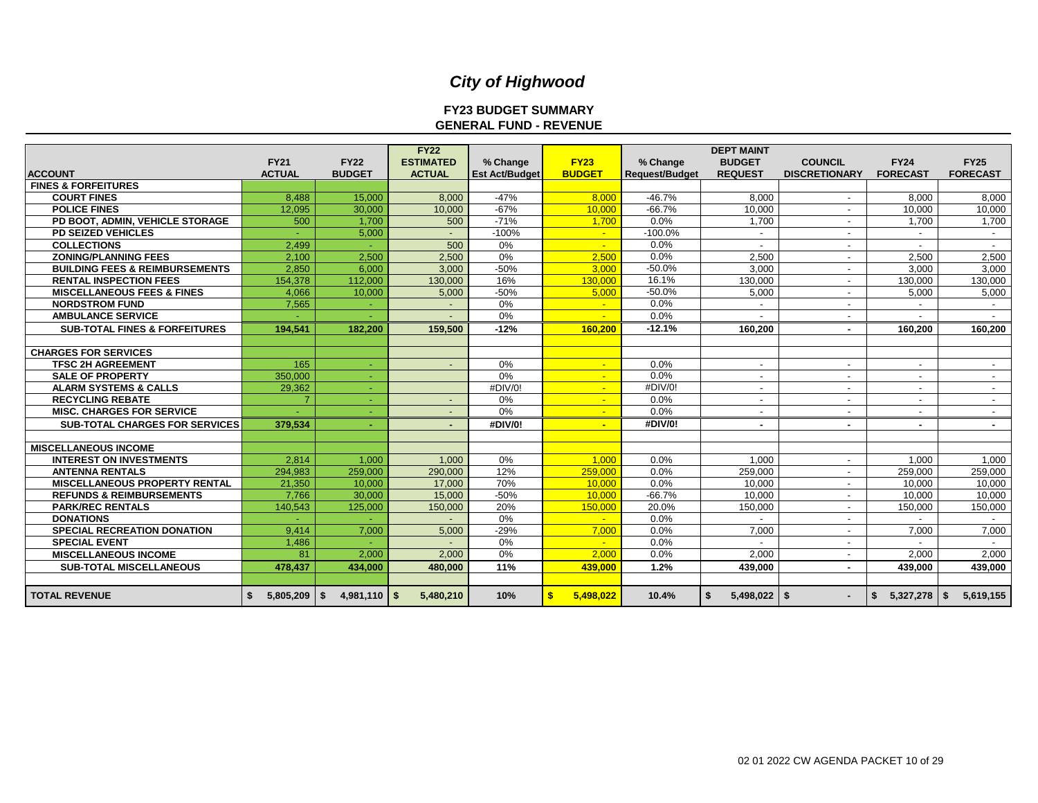#### **FY23 BUDGET SUMMARY GENERAL FUND - REVENUE**

|                                                  |                 |                 | <b>FY22</b>      |                       |                |                       | <b>DEPT MAINT</b>        |                          |                           |                          |
|--------------------------------------------------|-----------------|-----------------|------------------|-----------------------|----------------|-----------------------|--------------------------|--------------------------|---------------------------|--------------------------|
|                                                  | <b>FY21</b>     | <b>FY22</b>     | <b>ESTIMATED</b> | % Change              | <b>FY23</b>    | % Change              | <b>BUDGET</b>            | <b>COUNCIL</b>           | <b>FY24</b>               | <b>FY25</b>              |
| <b>ACCOUNT</b><br><b>FINES &amp; FORFEITURES</b> | <b>ACTUAL</b>   | <b>BUDGET</b>   | <b>ACTUAL</b>    | <b>Est Act/Budget</b> | <b>BUDGET</b>  | <b>Request/Budget</b> | <b>REQUEST</b>           | <b>DISCRETIONARY</b>     | <b>FORECAST</b>           | <b>FORECAST</b>          |
| <b>COURT FINES</b>                               | 8,488           | 15,000          | 8,000            | $-47%$                | 8.000          | $-46.7%$              | 8,000                    |                          | 8.000                     | 8,000                    |
| <b>POLICE FINES</b>                              | 12.095          | 30,000          | 10,000           | $-67%$                | 10.000         | $-66.7%$              | 10,000                   | $\overline{a}$           | 10,000                    | 10,000                   |
| PD BOOT, ADMIN, VEHICLE STORAGE                  | 500             | 1.700           | 500              | $-71%$                | 1.700          | $0.0\%$               | 1.700                    |                          | 1.700                     | 1,700                    |
| <b>PD SEIZED VEHICLES</b>                        |                 | 5,000           |                  | $-100%$               | $\sim$         | $-100.0%$             | $\overline{\phantom{0}}$ |                          |                           | $\overline{\phantom{a}}$ |
| <b>COLLECTIONS</b>                               | 2.499           | $\sim$          | 500              | 0%                    | $\mathbf{u}$   | 0.0%                  |                          |                          |                           |                          |
| <b>ZONING/PLANNING FEES</b>                      | 2.100           | 2.500           | 2.500            | 0%                    | 2.500          | 0.0%                  | 2.500                    | $\overline{a}$           | 2,500                     | 2,500                    |
| <b>BUILDING FEES &amp; REIMBURSEMENTS</b>        | 2,850           | 6,000           | 3,000            | $-50%$                | 3.000          | $-50.0%$              | 3,000                    | $\overline{\phantom{a}}$ | 3,000                     | 3,000                    |
| <b>RENTAL INSPECTION FEES</b>                    | 154.378         | 112.000         | 130,000          | 16%                   | 130,000        | 16.1%                 | 130,000                  | $\overline{\phantom{a}}$ | 130,000                   | 130,000                  |
| <b>MISCELLANEOUS FEES &amp; FINES</b>            | 4.066           | 10,000          | 5,000            | $-50%$                | 5.000          | $-50.0%$              | 5,000                    | $\overline{a}$           | 5,000                     | 5,000                    |
| <b>NORDSTROM FUND</b>                            | 7,565           | $\sim$          |                  | 0%                    | $\sim$         | 0.0%                  |                          |                          |                           |                          |
| <b>AMBULANCE SERVICE</b>                         |                 |                 |                  | 0%                    |                | 0.0%                  |                          |                          |                           | $\overline{\phantom{a}}$ |
| <b>SUB-TOTAL FINES &amp; FORFEITURES</b>         | 194.541         | 182,200         | 159,500          | $-12%$                | 160,200        | $-12.1%$              | 160.200                  | $\blacksquare$           | 160.200                   | 160,200                  |
|                                                  |                 |                 |                  |                       |                |                       |                          |                          |                           |                          |
| <b>CHARGES FOR SERVICES</b>                      |                 |                 |                  |                       |                |                       |                          |                          |                           |                          |
| <b>TFSC 2H AGREEMENT</b>                         | 165             | ÷.              |                  | 0%                    | $\mathbf{u}$   | 0.0%                  | $\overline{\phantom{0}}$ |                          |                           |                          |
| <b>SALE OF PROPERTY</b>                          | 350,000         | $\sim$          |                  | 0%                    | $\blacksquare$ | 0.0%                  | -                        |                          |                           |                          |
| <b>ALARM SYSTEMS &amp; CALLS</b>                 | 29,362          | $\sim$          |                  | #DIV/0!               | $\sim$         | #DIV/0!               | $\overline{\phantom{0}}$ | $\overline{a}$           | $\overline{a}$            | $\sim$                   |
| <b>RECYCLING REBATE</b>                          |                 | $\sim$          |                  | 0%                    | $\sim$         | 0.0%                  | $\overline{a}$           | $\overline{\phantom{a}}$ | $\sim$                    | $\overline{\phantom{a}}$ |
| <b>MISC. CHARGES FOR SERVICE</b>                 |                 |                 |                  | 0%                    |                | 0.0%                  |                          |                          |                           | $\sim$                   |
| <b>SUB-TOTAL CHARGES FOR SERVICES</b>            | 379,534         | ÷.              | $\sim$           | #DIV/0!               | $\sim$         | #DIV/0!               | ٠                        |                          | ۰.                        | $\sim$                   |
|                                                  |                 |                 |                  |                       |                |                       |                          |                          |                           |                          |
| <b>MISCELLANEOUS INCOME</b>                      |                 |                 |                  |                       |                |                       |                          |                          |                           |                          |
| <b>INTEREST ON INVESTMENTS</b>                   | 2.814           | 1.000           | 1.000            | 0%                    | 1.000          | 0.0%                  | 1.000                    |                          | 1.000                     | 1,000                    |
| <b>ANTENNA RENTALS</b>                           | 294,983         | 259,000         | 290,000          | 12%                   | 259,000        | 0.0%                  | 259,000                  |                          | 259,000                   | 259,000                  |
| <b>MISCELLANEOUS PROPERTY RENTAL</b>             | 21.350          | 10.000          | 17.000           | 70%                   | 10.000         | 0.0%                  | 10.000                   |                          | 10.000                    | 10.000                   |
| <b>REFUNDS &amp; REIMBURSEMENTS</b>              | 7.766           | 30.000          | 15.000           | $-50%$                | 10.000         | $-66.7%$              | 10.000                   | $\overline{\phantom{a}}$ | 10.000                    | 10,000                   |
| <b>PARK/REC RENTALS</b>                          | 140,543         | 125,000         | 150,000          | 20%                   | 150,000        | 20.0%                 | 150.000                  |                          | 150.000                   | 150,000                  |
| <b>DONATIONS</b>                                 |                 |                 |                  | 0%                    | $\sim$         | 0.0%                  |                          | $\overline{\phantom{a}}$ |                           |                          |
| <b>SPECIAL RECREATION DONATION</b>               | 9.414           | 7,000           | 5,000            | $-29%$                | 7.000          | 0.0%                  | 7,000                    | $\overline{\phantom{a}}$ | 7,000                     | 7,000                    |
| <b>SPECIAL EVENT</b>                             | 1,486           | ÷               |                  | 0%                    | $\mathbf{u}$   | 0.0%                  |                          | $\sim$                   |                           | $\sim$                   |
| <b>MISCELLANEOUS INCOME</b>                      | 81              | 2,000           | 2,000            | 0%                    | 2.000          | 0.0%                  | 2,000                    |                          | 2,000                     | 2,000                    |
| <b>SUB-TOTAL MISCELLANEOUS</b>                   | 478.437         | 434,000         | 480.000          | 11%                   | 439,000        | 1.2%                  | 439.000                  | ٠                        | 439.000                   | 439,000                  |
|                                                  |                 |                 |                  |                       |                |                       |                          |                          |                           |                          |
| <b>TOTAL REVENUE</b>                             | 5,805,209<br>\$ | 4,981,110<br>\$ | 5,480,210<br>-\$ | 10%                   | 5,498,022      | 10.4%                 | $5,498,022$ \$           |                          | $5,327,278$ $\frac{8}{5}$ | 5,619,155                |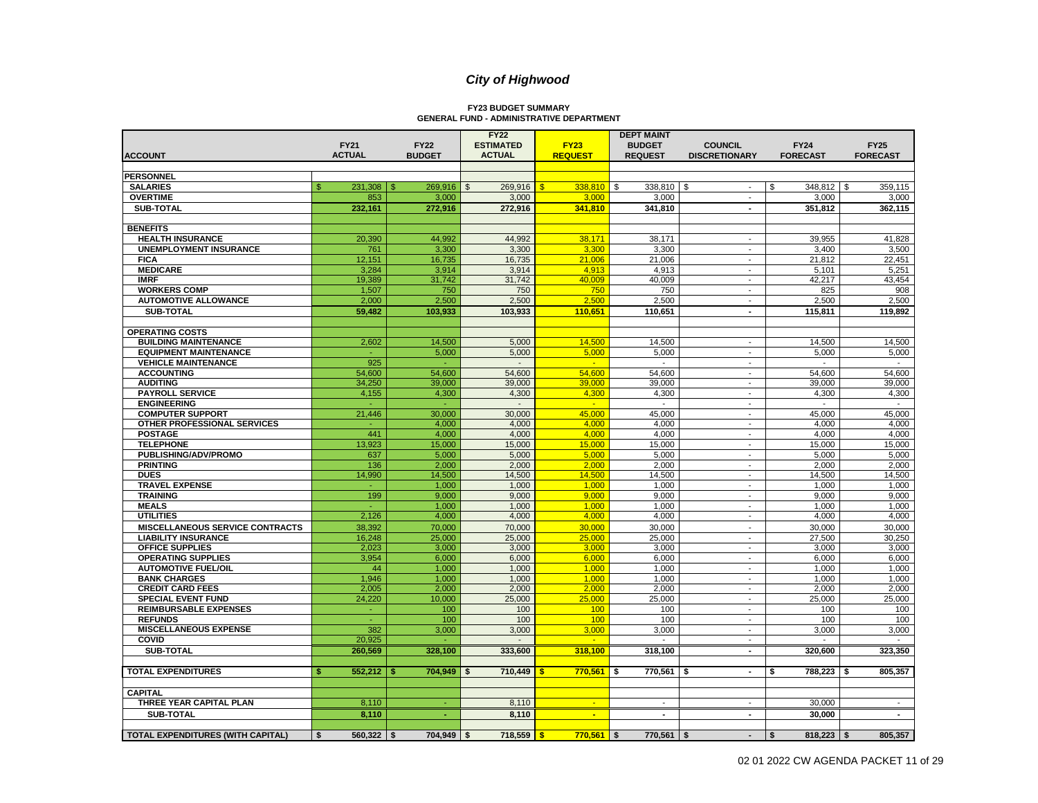# **FY23 BUDGET SUMMARY GENERAL FUND - ADMINISTRATIVE DEPARTMENT**

| <b>FY21</b><br><b>FY22</b><br><b>ESTIMATED</b><br><b>FY23</b><br><b>BUDGET</b><br><b>COUNCIL</b><br><b>FY24</b><br><b>FY25</b><br><b>ACTUAL</b><br><b>ACTUAL</b><br><b>REQUEST</b><br><b>REQUEST</b><br><b>FORECAST</b><br><b>ACCOUNT</b><br><b>BUDGET</b><br><b>DISCRETIONARY</b><br><b>FORECAST</b><br><b>PERSONNEL</b><br>269,916<br>$338,810$ \$<br>338,810 \$<br>348,812 \$<br>359,115<br><b>SALARIES</b><br>\$<br>$231,308$   \$<br>269,916<br>$\mathfrak{S}$<br>\$<br>\$<br>$\sim$<br><b>OVERTIME</b><br>853<br>3,000<br>3,000<br>3,000<br>3,000<br>3,000<br>3,000<br>$\mathbf{r}$<br><b>SUB-TOTAL</b><br>232,161<br>272,916<br>272,916<br>341,810<br>362,115<br>341,810<br>351,812<br>$\blacksquare$<br><b>BENEFITS</b><br>20,390<br>44,992<br>44,992<br>38,171<br>41,828<br><b>HEALTH INSURANCE</b><br>38,171<br>39,955<br>3,300<br><b>UNEMPLOYMENT INSURANCE</b><br>761<br>3,300<br>3,300<br>3,300<br>3,400<br>3,500<br>$\blacksquare$<br>12,151<br><b>FICA</b><br>16,735<br>16,735<br>21,006<br>21,006<br>21,812<br>22,451<br>$\mathbf{r}$<br><b>MEDICARE</b><br>3.284<br>3.914<br>5,251<br>3,914<br>4.913<br>4.913<br>5.101<br>$\blacksquare$<br>19,389<br>31,742<br>31.742<br>40.009<br>40.009<br>42,217<br>43,454<br><b>IMRF</b><br><b>WORKERS COMP</b><br>1,507<br>750<br>750<br>750<br>750<br>825<br>908<br>$\overline{\phantom{a}}$<br>2,000<br>2,500<br>2,500<br>2,500<br><b>AUTOMOTIVE ALLOWANCE</b><br>2,500<br>2,500<br>2,500<br>$\blacksquare$<br><b>SUB-TOTAL</b><br>59,482<br>103,933<br>103,933<br>110.651<br>110,651<br>115,811<br>119,892<br>$\blacksquare$<br><b>OPERATING COSTS</b><br><b>BUILDING MAINTENANCE</b><br>2,602<br>14,500<br>5,000<br>14,500<br>14,500<br>14,500<br>14,500<br>$\blacksquare$<br><b>EQUIPMENT MAINTENANCE</b><br>5,000<br>5,000<br>5,000<br>5,000<br>5,000<br>÷.<br>5,000<br>$\mathbf{r}$<br><b>VEHICLE MAINTENANCE</b><br>925<br>$\overline{a}$<br>÷.<br>$\sim$<br>$\mathbf{r}$<br>$\sim$<br>$\overline{\phantom{a}}$<br><b>ACCOUNTING</b><br>54,600<br>54,600<br>54,600<br>54,600<br>54,600<br>54,600<br>54,600<br>$\sim$<br><b>AUDITING</b><br>34,250<br>39,000<br>39,000<br>39,000<br>39,000<br>39,000<br>39,000<br>$\blacksquare$<br><b>PAYROLL SERVICE</b><br>4,155<br>4,300<br>4,300<br>4,300<br>4,300<br>4,300<br>4,300<br>$\overline{a}$<br><b>ENGINEERING</b><br>$\overline{a}$<br>÷<br>$\mathbf{r}$<br>÷.<br>$\blacksquare$<br>$\sim$<br><b>COMPUTER SUPPORT</b><br>21,446<br>30,000<br>30,000<br>45,000<br>45,000<br>45,000<br>45,000<br>$\mathbf{r}$<br>OTHER PROFESSIONAL SERVICES<br>4,000<br>4,000<br>4,000<br>4,000<br>4,000<br>4,000<br>$\overline{\phantom{a}}$<br><b>POSTAGE</b><br>441<br>4,000<br>4,000<br>4,000<br>4,000<br>4,000<br>4,000<br>$\blacksquare$<br><b>TELEPHONE</b><br>13,923<br>15,000<br>15,000<br>15,000<br>15,000<br>15,000<br>15,000<br>$\blacksquare$<br>PUBLISHING/ADV/PROMO<br>5,000<br>5,000<br>5,000<br>5,000<br>5,000<br>637<br>5,000<br>$\overline{a}$<br>136<br>2,000<br>2,000<br>2,000<br>2,000<br>2,000<br><b>PRINTING</b><br>2,000<br>$\overline{\phantom{a}}$<br>14,500<br><b>DUES</b><br>14,990<br>14,500<br>14,500<br>14,500<br>14,500<br>14,500<br>$\overline{a}$<br><b>TRAVEL EXPENSE</b><br>1,000<br>1,000<br>1,000<br>1,000<br>1,000<br>1,000<br>$\mathbf{r}$<br><b>TRAINING</b><br>199<br>9,000<br>9,000<br>9,000<br>9,000<br>9,000<br>9,000<br>$\overline{a}$<br>1,000<br>1,000<br>1,000<br>1,000<br>1,000<br><b>MEALS</b><br>1,000<br>$\blacksquare$<br>2,126<br>4,000<br>4,000<br><b>UTILITIES</b><br>4,000<br>4,000<br>4,000<br>4,000<br>$\mathbf{r}$<br>30,000<br><b>MISCELLANEOUS SERVICE CONTRACTS</b><br>38,392<br>70,000<br>70,000<br>30,000<br>30,000<br>30,000<br>$\blacksquare$<br><b>LIABILITY INSURANCE</b><br>16,248<br>25,000<br>25,000<br>25,000<br>25,000<br>27,500<br>30,250<br>$\sim$<br><b>OFFICE SUPPLIES</b><br>3,000<br>3,000<br>2.023<br>3,000<br>3,000<br>3.000<br>3,000<br>$\mathbf{r}$<br>3,954<br>6.000<br><b>OPERATING SUPPLIES</b><br>6,000<br>6,000<br>6,000<br>6,000<br>6,000<br>$\overline{\phantom{a}}$<br>1,000<br><b>AUTOMOTIVE FUEL/OIL</b><br>44<br>1,000<br>1,000<br>1,000<br>1,000<br>1,000<br>$\blacksquare$<br><b>BANK CHARGES</b><br>1,946<br>1,000<br>1,000<br>1,000<br>1,000<br>1,000<br>1,000<br>$\overline{\phantom{a}}$<br>2,000<br>2,000<br>2,000<br><b>CREDIT CARD FEES</b><br>2,005<br>2.000<br>2,000<br>2,000<br>$\overline{\phantom{a}}$<br>24,220<br>10,000<br>25,000<br>25,000<br>25,000<br>25,000<br>25,000<br><b>SPECIAL EVENT FUND</b><br>$\blacksquare$<br><b>REIMBURSABLE EXPENSES</b><br>100<br>100<br>100<br>100<br>100<br>100<br>$\omega$<br>$\blacksquare$<br>100<br><b>REFUNDS</b><br>100<br>100<br>100<br>100<br>100<br>$\mathbf{r}$<br><b>MISCELLANEOUS EXPENSE</b><br>382<br>3,000<br>3,000<br>3.000<br>3,000<br>3,000<br>3,000<br>$\mathbf{r}$<br>20,925<br>COVID<br>÷<br>$\blacksquare$<br>$\blacksquare$<br>260,569<br>323,350<br>SUB-TOTAL<br>328,100<br>333,600<br>318,100<br>318,100<br>320,600<br>$\blacksquare$<br>552,212<br><b>TOTAL EXPENDITURES</b><br><b>S</b><br>704,949<br>710,449<br>770,561<br>770,561<br>\$<br>788,223<br>805,357<br>\$<br>\$<br>\$<br>$\blacksquare$<br><b>CAPITAL</b><br>THREE YEAR CAPITAL PLAN<br>8,110<br>8,110<br>30,000<br>$\blacksquare$<br>$\blacksquare$<br>$\blacksquare$<br>SUB-TOTAL<br>8,110<br>8,110<br>30,000<br>$\overline{\phantom{a}}$<br>$\blacksquare$<br>$\blacksquare$<br>$\blacksquare$<br><b>TOTAL EXPENDITURES (WITH CAPITAL)</b><br>704,949<br>\$<br>$560,322$ \$<br>718,559<br>$770,561$ \$<br>$770,561$ \$<br>\$<br>$818,223$ \$<br>805,357<br>\$<br>$\sim$ |  |  | <b>FY22</b> | <b>DEPT MAINT</b> |  |  |
|---------------------------------------------------------------------------------------------------------------------------------------------------------------------------------------------------------------------------------------------------------------------------------------------------------------------------------------------------------------------------------------------------------------------------------------------------------------------------------------------------------------------------------------------------------------------------------------------------------------------------------------------------------------------------------------------------------------------------------------------------------------------------------------------------------------------------------------------------------------------------------------------------------------------------------------------------------------------------------------------------------------------------------------------------------------------------------------------------------------------------------------------------------------------------------------------------------------------------------------------------------------------------------------------------------------------------------------------------------------------------------------------------------------------------------------------------------------------------------------------------------------------------------------------------------------------------------------------------------------------------------------------------------------------------------------------------------------------------------------------------------------------------------------------------------------------------------------------------------------------------------------------------------------------------------------------------------------------------------------------------------------------------------------------------------------------------------------------------------------------------------------------------------------------------------------------------------------------------------------------------------------------------------------------------------------------------------------------------------------------------------------------------------------------------------------------------------------------------------------------------------------------------------------------------------------------------------------------------------------------------------------------------------------------------------------------------------------------------------------------------------------------------------------------------------------------------------------------------------------------------------------------------------------------------------------------------------------------------------------------------------------------------------------------------------------------------------------------------------------------------------------------------------------------------------------------------------------------------------------------------------------------------------------------------------------------------------------------------------------------------------------------------------------------------------------------------------------------------------------------------------------------------------------------------------------------------------------------------------------------------------------------------------------------------------------------------------------------------------------------------------------------------------------------------------------------------------------------------------------------------------------------------------------------------------------------------------------------------------------------------------------------------------------------------------------------------------------------------------------------------------------------------------------------------------------------------------------------------------------------------------------------------------------------------------------------------------------------------------------------------------------------------------------------------------------------------------------------------------------------------------------------------------------------------------------------------------------------------------------------------------------------------------------------------------------------------------------------------------------------------------------------------------------------------------------------------------------------------------------------------------------------------------------------------------------------------------------------------------------------------------------------------------------------------------------------------------------------------------------------------------------------------------------------------------------------------------------------------------------------------------------------------------------------------------------------------------------------------------------------------------------------------------------------------------------------------------------------------------------------------------------------------------------------------------------------------------------------------------------------|--|--|-------------|-------------------|--|--|
|                                                                                                                                                                                                                                                                                                                                                                                                                                                                                                                                                                                                                                                                                                                                                                                                                                                                                                                                                                                                                                                                                                                                                                                                                                                                                                                                                                                                                                                                                                                                                                                                                                                                                                                                                                                                                                                                                                                                                                                                                                                                                                                                                                                                                                                                                                                                                                                                                                                                                                                                                                                                                                                                                                                                                                                                                                                                                                                                                                                                                                                                                                                                                                                                                                                                                                                                                                                                                                                                                                                                                                                                                                                                                                                                                                                                                                                                                                                                                                                                                                                                                                                                                                                                                                                                                                                                                                                                                                                                                                                                                                                                                                                                                                                                                                                                                                                                                                                                                                                                                                                                                                                                                                                                                                                                                                                                                                                                                                                                                                                                                                                                                     |  |  |             |                   |  |  |
|                                                                                                                                                                                                                                                                                                                                                                                                                                                                                                                                                                                                                                                                                                                                                                                                                                                                                                                                                                                                                                                                                                                                                                                                                                                                                                                                                                                                                                                                                                                                                                                                                                                                                                                                                                                                                                                                                                                                                                                                                                                                                                                                                                                                                                                                                                                                                                                                                                                                                                                                                                                                                                                                                                                                                                                                                                                                                                                                                                                                                                                                                                                                                                                                                                                                                                                                                                                                                                                                                                                                                                                                                                                                                                                                                                                                                                                                                                                                                                                                                                                                                                                                                                                                                                                                                                                                                                                                                                                                                                                                                                                                                                                                                                                                                                                                                                                                                                                                                                                                                                                                                                                                                                                                                                                                                                                                                                                                                                                                                                                                                                                                                     |  |  |             |                   |  |  |
|                                                                                                                                                                                                                                                                                                                                                                                                                                                                                                                                                                                                                                                                                                                                                                                                                                                                                                                                                                                                                                                                                                                                                                                                                                                                                                                                                                                                                                                                                                                                                                                                                                                                                                                                                                                                                                                                                                                                                                                                                                                                                                                                                                                                                                                                                                                                                                                                                                                                                                                                                                                                                                                                                                                                                                                                                                                                                                                                                                                                                                                                                                                                                                                                                                                                                                                                                                                                                                                                                                                                                                                                                                                                                                                                                                                                                                                                                                                                                                                                                                                                                                                                                                                                                                                                                                                                                                                                                                                                                                                                                                                                                                                                                                                                                                                                                                                                                                                                                                                                                                                                                                                                                                                                                                                                                                                                                                                                                                                                                                                                                                                                                     |  |  |             |                   |  |  |
|                                                                                                                                                                                                                                                                                                                                                                                                                                                                                                                                                                                                                                                                                                                                                                                                                                                                                                                                                                                                                                                                                                                                                                                                                                                                                                                                                                                                                                                                                                                                                                                                                                                                                                                                                                                                                                                                                                                                                                                                                                                                                                                                                                                                                                                                                                                                                                                                                                                                                                                                                                                                                                                                                                                                                                                                                                                                                                                                                                                                                                                                                                                                                                                                                                                                                                                                                                                                                                                                                                                                                                                                                                                                                                                                                                                                                                                                                                                                                                                                                                                                                                                                                                                                                                                                                                                                                                                                                                                                                                                                                                                                                                                                                                                                                                                                                                                                                                                                                                                                                                                                                                                                                                                                                                                                                                                                                                                                                                                                                                                                                                                                                     |  |  |             |                   |  |  |
|                                                                                                                                                                                                                                                                                                                                                                                                                                                                                                                                                                                                                                                                                                                                                                                                                                                                                                                                                                                                                                                                                                                                                                                                                                                                                                                                                                                                                                                                                                                                                                                                                                                                                                                                                                                                                                                                                                                                                                                                                                                                                                                                                                                                                                                                                                                                                                                                                                                                                                                                                                                                                                                                                                                                                                                                                                                                                                                                                                                                                                                                                                                                                                                                                                                                                                                                                                                                                                                                                                                                                                                                                                                                                                                                                                                                                                                                                                                                                                                                                                                                                                                                                                                                                                                                                                                                                                                                                                                                                                                                                                                                                                                                                                                                                                                                                                                                                                                                                                                                                                                                                                                                                                                                                                                                                                                                                                                                                                                                                                                                                                                                                     |  |  |             |                   |  |  |
|                                                                                                                                                                                                                                                                                                                                                                                                                                                                                                                                                                                                                                                                                                                                                                                                                                                                                                                                                                                                                                                                                                                                                                                                                                                                                                                                                                                                                                                                                                                                                                                                                                                                                                                                                                                                                                                                                                                                                                                                                                                                                                                                                                                                                                                                                                                                                                                                                                                                                                                                                                                                                                                                                                                                                                                                                                                                                                                                                                                                                                                                                                                                                                                                                                                                                                                                                                                                                                                                                                                                                                                                                                                                                                                                                                                                                                                                                                                                                                                                                                                                                                                                                                                                                                                                                                                                                                                                                                                                                                                                                                                                                                                                                                                                                                                                                                                                                                                                                                                                                                                                                                                                                                                                                                                                                                                                                                                                                                                                                                                                                                                                                     |  |  |             |                   |  |  |
|                                                                                                                                                                                                                                                                                                                                                                                                                                                                                                                                                                                                                                                                                                                                                                                                                                                                                                                                                                                                                                                                                                                                                                                                                                                                                                                                                                                                                                                                                                                                                                                                                                                                                                                                                                                                                                                                                                                                                                                                                                                                                                                                                                                                                                                                                                                                                                                                                                                                                                                                                                                                                                                                                                                                                                                                                                                                                                                                                                                                                                                                                                                                                                                                                                                                                                                                                                                                                                                                                                                                                                                                                                                                                                                                                                                                                                                                                                                                                                                                                                                                                                                                                                                                                                                                                                                                                                                                                                                                                                                                                                                                                                                                                                                                                                                                                                                                                                                                                                                                                                                                                                                                                                                                                                                                                                                                                                                                                                                                                                                                                                                                                     |  |  |             |                   |  |  |
|                                                                                                                                                                                                                                                                                                                                                                                                                                                                                                                                                                                                                                                                                                                                                                                                                                                                                                                                                                                                                                                                                                                                                                                                                                                                                                                                                                                                                                                                                                                                                                                                                                                                                                                                                                                                                                                                                                                                                                                                                                                                                                                                                                                                                                                                                                                                                                                                                                                                                                                                                                                                                                                                                                                                                                                                                                                                                                                                                                                                                                                                                                                                                                                                                                                                                                                                                                                                                                                                                                                                                                                                                                                                                                                                                                                                                                                                                                                                                                                                                                                                                                                                                                                                                                                                                                                                                                                                                                                                                                                                                                                                                                                                                                                                                                                                                                                                                                                                                                                                                                                                                                                                                                                                                                                                                                                                                                                                                                                                                                                                                                                                                     |  |  |             |                   |  |  |
|                                                                                                                                                                                                                                                                                                                                                                                                                                                                                                                                                                                                                                                                                                                                                                                                                                                                                                                                                                                                                                                                                                                                                                                                                                                                                                                                                                                                                                                                                                                                                                                                                                                                                                                                                                                                                                                                                                                                                                                                                                                                                                                                                                                                                                                                                                                                                                                                                                                                                                                                                                                                                                                                                                                                                                                                                                                                                                                                                                                                                                                                                                                                                                                                                                                                                                                                                                                                                                                                                                                                                                                                                                                                                                                                                                                                                                                                                                                                                                                                                                                                                                                                                                                                                                                                                                                                                                                                                                                                                                                                                                                                                                                                                                                                                                                                                                                                                                                                                                                                                                                                                                                                                                                                                                                                                                                                                                                                                                                                                                                                                                                                                     |  |  |             |                   |  |  |
|                                                                                                                                                                                                                                                                                                                                                                                                                                                                                                                                                                                                                                                                                                                                                                                                                                                                                                                                                                                                                                                                                                                                                                                                                                                                                                                                                                                                                                                                                                                                                                                                                                                                                                                                                                                                                                                                                                                                                                                                                                                                                                                                                                                                                                                                                                                                                                                                                                                                                                                                                                                                                                                                                                                                                                                                                                                                                                                                                                                                                                                                                                                                                                                                                                                                                                                                                                                                                                                                                                                                                                                                                                                                                                                                                                                                                                                                                                                                                                                                                                                                                                                                                                                                                                                                                                                                                                                                                                                                                                                                                                                                                                                                                                                                                                                                                                                                                                                                                                                                                                                                                                                                                                                                                                                                                                                                                                                                                                                                                                                                                                                                                     |  |  |             |                   |  |  |
|                                                                                                                                                                                                                                                                                                                                                                                                                                                                                                                                                                                                                                                                                                                                                                                                                                                                                                                                                                                                                                                                                                                                                                                                                                                                                                                                                                                                                                                                                                                                                                                                                                                                                                                                                                                                                                                                                                                                                                                                                                                                                                                                                                                                                                                                                                                                                                                                                                                                                                                                                                                                                                                                                                                                                                                                                                                                                                                                                                                                                                                                                                                                                                                                                                                                                                                                                                                                                                                                                                                                                                                                                                                                                                                                                                                                                                                                                                                                                                                                                                                                                                                                                                                                                                                                                                                                                                                                                                                                                                                                                                                                                                                                                                                                                                                                                                                                                                                                                                                                                                                                                                                                                                                                                                                                                                                                                                                                                                                                                                                                                                                                                     |  |  |             |                   |  |  |
|                                                                                                                                                                                                                                                                                                                                                                                                                                                                                                                                                                                                                                                                                                                                                                                                                                                                                                                                                                                                                                                                                                                                                                                                                                                                                                                                                                                                                                                                                                                                                                                                                                                                                                                                                                                                                                                                                                                                                                                                                                                                                                                                                                                                                                                                                                                                                                                                                                                                                                                                                                                                                                                                                                                                                                                                                                                                                                                                                                                                                                                                                                                                                                                                                                                                                                                                                                                                                                                                                                                                                                                                                                                                                                                                                                                                                                                                                                                                                                                                                                                                                                                                                                                                                                                                                                                                                                                                                                                                                                                                                                                                                                                                                                                                                                                                                                                                                                                                                                                                                                                                                                                                                                                                                                                                                                                                                                                                                                                                                                                                                                                                                     |  |  |             |                   |  |  |
|                                                                                                                                                                                                                                                                                                                                                                                                                                                                                                                                                                                                                                                                                                                                                                                                                                                                                                                                                                                                                                                                                                                                                                                                                                                                                                                                                                                                                                                                                                                                                                                                                                                                                                                                                                                                                                                                                                                                                                                                                                                                                                                                                                                                                                                                                                                                                                                                                                                                                                                                                                                                                                                                                                                                                                                                                                                                                                                                                                                                                                                                                                                                                                                                                                                                                                                                                                                                                                                                                                                                                                                                                                                                                                                                                                                                                                                                                                                                                                                                                                                                                                                                                                                                                                                                                                                                                                                                                                                                                                                                                                                                                                                                                                                                                                                                                                                                                                                                                                                                                                                                                                                                                                                                                                                                                                                                                                                                                                                                                                                                                                                                                     |  |  |             |                   |  |  |
|                                                                                                                                                                                                                                                                                                                                                                                                                                                                                                                                                                                                                                                                                                                                                                                                                                                                                                                                                                                                                                                                                                                                                                                                                                                                                                                                                                                                                                                                                                                                                                                                                                                                                                                                                                                                                                                                                                                                                                                                                                                                                                                                                                                                                                                                                                                                                                                                                                                                                                                                                                                                                                                                                                                                                                                                                                                                                                                                                                                                                                                                                                                                                                                                                                                                                                                                                                                                                                                                                                                                                                                                                                                                                                                                                                                                                                                                                                                                                                                                                                                                                                                                                                                                                                                                                                                                                                                                                                                                                                                                                                                                                                                                                                                                                                                                                                                                                                                                                                                                                                                                                                                                                                                                                                                                                                                                                                                                                                                                                                                                                                                                                     |  |  |             |                   |  |  |
|                                                                                                                                                                                                                                                                                                                                                                                                                                                                                                                                                                                                                                                                                                                                                                                                                                                                                                                                                                                                                                                                                                                                                                                                                                                                                                                                                                                                                                                                                                                                                                                                                                                                                                                                                                                                                                                                                                                                                                                                                                                                                                                                                                                                                                                                                                                                                                                                                                                                                                                                                                                                                                                                                                                                                                                                                                                                                                                                                                                                                                                                                                                                                                                                                                                                                                                                                                                                                                                                                                                                                                                                                                                                                                                                                                                                                                                                                                                                                                                                                                                                                                                                                                                                                                                                                                                                                                                                                                                                                                                                                                                                                                                                                                                                                                                                                                                                                                                                                                                                                                                                                                                                                                                                                                                                                                                                                                                                                                                                                                                                                                                                                     |  |  |             |                   |  |  |
|                                                                                                                                                                                                                                                                                                                                                                                                                                                                                                                                                                                                                                                                                                                                                                                                                                                                                                                                                                                                                                                                                                                                                                                                                                                                                                                                                                                                                                                                                                                                                                                                                                                                                                                                                                                                                                                                                                                                                                                                                                                                                                                                                                                                                                                                                                                                                                                                                                                                                                                                                                                                                                                                                                                                                                                                                                                                                                                                                                                                                                                                                                                                                                                                                                                                                                                                                                                                                                                                                                                                                                                                                                                                                                                                                                                                                                                                                                                                                                                                                                                                                                                                                                                                                                                                                                                                                                                                                                                                                                                                                                                                                                                                                                                                                                                                                                                                                                                                                                                                                                                                                                                                                                                                                                                                                                                                                                                                                                                                                                                                                                                                                     |  |  |             |                   |  |  |
|                                                                                                                                                                                                                                                                                                                                                                                                                                                                                                                                                                                                                                                                                                                                                                                                                                                                                                                                                                                                                                                                                                                                                                                                                                                                                                                                                                                                                                                                                                                                                                                                                                                                                                                                                                                                                                                                                                                                                                                                                                                                                                                                                                                                                                                                                                                                                                                                                                                                                                                                                                                                                                                                                                                                                                                                                                                                                                                                                                                                                                                                                                                                                                                                                                                                                                                                                                                                                                                                                                                                                                                                                                                                                                                                                                                                                                                                                                                                                                                                                                                                                                                                                                                                                                                                                                                                                                                                                                                                                                                                                                                                                                                                                                                                                                                                                                                                                                                                                                                                                                                                                                                                                                                                                                                                                                                                                                                                                                                                                                                                                                                                                     |  |  |             |                   |  |  |
|                                                                                                                                                                                                                                                                                                                                                                                                                                                                                                                                                                                                                                                                                                                                                                                                                                                                                                                                                                                                                                                                                                                                                                                                                                                                                                                                                                                                                                                                                                                                                                                                                                                                                                                                                                                                                                                                                                                                                                                                                                                                                                                                                                                                                                                                                                                                                                                                                                                                                                                                                                                                                                                                                                                                                                                                                                                                                                                                                                                                                                                                                                                                                                                                                                                                                                                                                                                                                                                                                                                                                                                                                                                                                                                                                                                                                                                                                                                                                                                                                                                                                                                                                                                                                                                                                                                                                                                                                                                                                                                                                                                                                                                                                                                                                                                                                                                                                                                                                                                                                                                                                                                                                                                                                                                                                                                                                                                                                                                                                                                                                                                                                     |  |  |             |                   |  |  |
|                                                                                                                                                                                                                                                                                                                                                                                                                                                                                                                                                                                                                                                                                                                                                                                                                                                                                                                                                                                                                                                                                                                                                                                                                                                                                                                                                                                                                                                                                                                                                                                                                                                                                                                                                                                                                                                                                                                                                                                                                                                                                                                                                                                                                                                                                                                                                                                                                                                                                                                                                                                                                                                                                                                                                                                                                                                                                                                                                                                                                                                                                                                                                                                                                                                                                                                                                                                                                                                                                                                                                                                                                                                                                                                                                                                                                                                                                                                                                                                                                                                                                                                                                                                                                                                                                                                                                                                                                                                                                                                                                                                                                                                                                                                                                                                                                                                                                                                                                                                                                                                                                                                                                                                                                                                                                                                                                                                                                                                                                                                                                                                                                     |  |  |             |                   |  |  |
|                                                                                                                                                                                                                                                                                                                                                                                                                                                                                                                                                                                                                                                                                                                                                                                                                                                                                                                                                                                                                                                                                                                                                                                                                                                                                                                                                                                                                                                                                                                                                                                                                                                                                                                                                                                                                                                                                                                                                                                                                                                                                                                                                                                                                                                                                                                                                                                                                                                                                                                                                                                                                                                                                                                                                                                                                                                                                                                                                                                                                                                                                                                                                                                                                                                                                                                                                                                                                                                                                                                                                                                                                                                                                                                                                                                                                                                                                                                                                                                                                                                                                                                                                                                                                                                                                                                                                                                                                                                                                                                                                                                                                                                                                                                                                                                                                                                                                                                                                                                                                                                                                                                                                                                                                                                                                                                                                                                                                                                                                                                                                                                                                     |  |  |             |                   |  |  |
|                                                                                                                                                                                                                                                                                                                                                                                                                                                                                                                                                                                                                                                                                                                                                                                                                                                                                                                                                                                                                                                                                                                                                                                                                                                                                                                                                                                                                                                                                                                                                                                                                                                                                                                                                                                                                                                                                                                                                                                                                                                                                                                                                                                                                                                                                                                                                                                                                                                                                                                                                                                                                                                                                                                                                                                                                                                                                                                                                                                                                                                                                                                                                                                                                                                                                                                                                                                                                                                                                                                                                                                                                                                                                                                                                                                                                                                                                                                                                                                                                                                                                                                                                                                                                                                                                                                                                                                                                                                                                                                                                                                                                                                                                                                                                                                                                                                                                                                                                                                                                                                                                                                                                                                                                                                                                                                                                                                                                                                                                                                                                                                                                     |  |  |             |                   |  |  |
|                                                                                                                                                                                                                                                                                                                                                                                                                                                                                                                                                                                                                                                                                                                                                                                                                                                                                                                                                                                                                                                                                                                                                                                                                                                                                                                                                                                                                                                                                                                                                                                                                                                                                                                                                                                                                                                                                                                                                                                                                                                                                                                                                                                                                                                                                                                                                                                                                                                                                                                                                                                                                                                                                                                                                                                                                                                                                                                                                                                                                                                                                                                                                                                                                                                                                                                                                                                                                                                                                                                                                                                                                                                                                                                                                                                                                                                                                                                                                                                                                                                                                                                                                                                                                                                                                                                                                                                                                                                                                                                                                                                                                                                                                                                                                                                                                                                                                                                                                                                                                                                                                                                                                                                                                                                                                                                                                                                                                                                                                                                                                                                                                     |  |  |             |                   |  |  |
|                                                                                                                                                                                                                                                                                                                                                                                                                                                                                                                                                                                                                                                                                                                                                                                                                                                                                                                                                                                                                                                                                                                                                                                                                                                                                                                                                                                                                                                                                                                                                                                                                                                                                                                                                                                                                                                                                                                                                                                                                                                                                                                                                                                                                                                                                                                                                                                                                                                                                                                                                                                                                                                                                                                                                                                                                                                                                                                                                                                                                                                                                                                                                                                                                                                                                                                                                                                                                                                                                                                                                                                                                                                                                                                                                                                                                                                                                                                                                                                                                                                                                                                                                                                                                                                                                                                                                                                                                                                                                                                                                                                                                                                                                                                                                                                                                                                                                                                                                                                                                                                                                                                                                                                                                                                                                                                                                                                                                                                                                                                                                                                                                     |  |  |             |                   |  |  |
|                                                                                                                                                                                                                                                                                                                                                                                                                                                                                                                                                                                                                                                                                                                                                                                                                                                                                                                                                                                                                                                                                                                                                                                                                                                                                                                                                                                                                                                                                                                                                                                                                                                                                                                                                                                                                                                                                                                                                                                                                                                                                                                                                                                                                                                                                                                                                                                                                                                                                                                                                                                                                                                                                                                                                                                                                                                                                                                                                                                                                                                                                                                                                                                                                                                                                                                                                                                                                                                                                                                                                                                                                                                                                                                                                                                                                                                                                                                                                                                                                                                                                                                                                                                                                                                                                                                                                                                                                                                                                                                                                                                                                                                                                                                                                                                                                                                                                                                                                                                                                                                                                                                                                                                                                                                                                                                                                                                                                                                                                                                                                                                                                     |  |  |             |                   |  |  |
|                                                                                                                                                                                                                                                                                                                                                                                                                                                                                                                                                                                                                                                                                                                                                                                                                                                                                                                                                                                                                                                                                                                                                                                                                                                                                                                                                                                                                                                                                                                                                                                                                                                                                                                                                                                                                                                                                                                                                                                                                                                                                                                                                                                                                                                                                                                                                                                                                                                                                                                                                                                                                                                                                                                                                                                                                                                                                                                                                                                                                                                                                                                                                                                                                                                                                                                                                                                                                                                                                                                                                                                                                                                                                                                                                                                                                                                                                                                                                                                                                                                                                                                                                                                                                                                                                                                                                                                                                                                                                                                                                                                                                                                                                                                                                                                                                                                                                                                                                                                                                                                                                                                                                                                                                                                                                                                                                                                                                                                                                                                                                                                                                     |  |  |             |                   |  |  |
|                                                                                                                                                                                                                                                                                                                                                                                                                                                                                                                                                                                                                                                                                                                                                                                                                                                                                                                                                                                                                                                                                                                                                                                                                                                                                                                                                                                                                                                                                                                                                                                                                                                                                                                                                                                                                                                                                                                                                                                                                                                                                                                                                                                                                                                                                                                                                                                                                                                                                                                                                                                                                                                                                                                                                                                                                                                                                                                                                                                                                                                                                                                                                                                                                                                                                                                                                                                                                                                                                                                                                                                                                                                                                                                                                                                                                                                                                                                                                                                                                                                                                                                                                                                                                                                                                                                                                                                                                                                                                                                                                                                                                                                                                                                                                                                                                                                                                                                                                                                                                                                                                                                                                                                                                                                                                                                                                                                                                                                                                                                                                                                                                     |  |  |             |                   |  |  |
|                                                                                                                                                                                                                                                                                                                                                                                                                                                                                                                                                                                                                                                                                                                                                                                                                                                                                                                                                                                                                                                                                                                                                                                                                                                                                                                                                                                                                                                                                                                                                                                                                                                                                                                                                                                                                                                                                                                                                                                                                                                                                                                                                                                                                                                                                                                                                                                                                                                                                                                                                                                                                                                                                                                                                                                                                                                                                                                                                                                                                                                                                                                                                                                                                                                                                                                                                                                                                                                                                                                                                                                                                                                                                                                                                                                                                                                                                                                                                                                                                                                                                                                                                                                                                                                                                                                                                                                                                                                                                                                                                                                                                                                                                                                                                                                                                                                                                                                                                                                                                                                                                                                                                                                                                                                                                                                                                                                                                                                                                                                                                                                                                     |  |  |             |                   |  |  |
|                                                                                                                                                                                                                                                                                                                                                                                                                                                                                                                                                                                                                                                                                                                                                                                                                                                                                                                                                                                                                                                                                                                                                                                                                                                                                                                                                                                                                                                                                                                                                                                                                                                                                                                                                                                                                                                                                                                                                                                                                                                                                                                                                                                                                                                                                                                                                                                                                                                                                                                                                                                                                                                                                                                                                                                                                                                                                                                                                                                                                                                                                                                                                                                                                                                                                                                                                                                                                                                                                                                                                                                                                                                                                                                                                                                                                                                                                                                                                                                                                                                                                                                                                                                                                                                                                                                                                                                                                                                                                                                                                                                                                                                                                                                                                                                                                                                                                                                                                                                                                                                                                                                                                                                                                                                                                                                                                                                                                                                                                                                                                                                                                     |  |  |             |                   |  |  |
|                                                                                                                                                                                                                                                                                                                                                                                                                                                                                                                                                                                                                                                                                                                                                                                                                                                                                                                                                                                                                                                                                                                                                                                                                                                                                                                                                                                                                                                                                                                                                                                                                                                                                                                                                                                                                                                                                                                                                                                                                                                                                                                                                                                                                                                                                                                                                                                                                                                                                                                                                                                                                                                                                                                                                                                                                                                                                                                                                                                                                                                                                                                                                                                                                                                                                                                                                                                                                                                                                                                                                                                                                                                                                                                                                                                                                                                                                                                                                                                                                                                                                                                                                                                                                                                                                                                                                                                                                                                                                                                                                                                                                                                                                                                                                                                                                                                                                                                                                                                                                                                                                                                                                                                                                                                                                                                                                                                                                                                                                                                                                                                                                     |  |  |             |                   |  |  |
|                                                                                                                                                                                                                                                                                                                                                                                                                                                                                                                                                                                                                                                                                                                                                                                                                                                                                                                                                                                                                                                                                                                                                                                                                                                                                                                                                                                                                                                                                                                                                                                                                                                                                                                                                                                                                                                                                                                                                                                                                                                                                                                                                                                                                                                                                                                                                                                                                                                                                                                                                                                                                                                                                                                                                                                                                                                                                                                                                                                                                                                                                                                                                                                                                                                                                                                                                                                                                                                                                                                                                                                                                                                                                                                                                                                                                                                                                                                                                                                                                                                                                                                                                                                                                                                                                                                                                                                                                                                                                                                                                                                                                                                                                                                                                                                                                                                                                                                                                                                                                                                                                                                                                                                                                                                                                                                                                                                                                                                                                                                                                                                                                     |  |  |             |                   |  |  |
|                                                                                                                                                                                                                                                                                                                                                                                                                                                                                                                                                                                                                                                                                                                                                                                                                                                                                                                                                                                                                                                                                                                                                                                                                                                                                                                                                                                                                                                                                                                                                                                                                                                                                                                                                                                                                                                                                                                                                                                                                                                                                                                                                                                                                                                                                                                                                                                                                                                                                                                                                                                                                                                                                                                                                                                                                                                                                                                                                                                                                                                                                                                                                                                                                                                                                                                                                                                                                                                                                                                                                                                                                                                                                                                                                                                                                                                                                                                                                                                                                                                                                                                                                                                                                                                                                                                                                                                                                                                                                                                                                                                                                                                                                                                                                                                                                                                                                                                                                                                                                                                                                                                                                                                                                                                                                                                                                                                                                                                                                                                                                                                                                     |  |  |             |                   |  |  |
|                                                                                                                                                                                                                                                                                                                                                                                                                                                                                                                                                                                                                                                                                                                                                                                                                                                                                                                                                                                                                                                                                                                                                                                                                                                                                                                                                                                                                                                                                                                                                                                                                                                                                                                                                                                                                                                                                                                                                                                                                                                                                                                                                                                                                                                                                                                                                                                                                                                                                                                                                                                                                                                                                                                                                                                                                                                                                                                                                                                                                                                                                                                                                                                                                                                                                                                                                                                                                                                                                                                                                                                                                                                                                                                                                                                                                                                                                                                                                                                                                                                                                                                                                                                                                                                                                                                                                                                                                                                                                                                                                                                                                                                                                                                                                                                                                                                                                                                                                                                                                                                                                                                                                                                                                                                                                                                                                                                                                                                                                                                                                                                                                     |  |  |             |                   |  |  |
|                                                                                                                                                                                                                                                                                                                                                                                                                                                                                                                                                                                                                                                                                                                                                                                                                                                                                                                                                                                                                                                                                                                                                                                                                                                                                                                                                                                                                                                                                                                                                                                                                                                                                                                                                                                                                                                                                                                                                                                                                                                                                                                                                                                                                                                                                                                                                                                                                                                                                                                                                                                                                                                                                                                                                                                                                                                                                                                                                                                                                                                                                                                                                                                                                                                                                                                                                                                                                                                                                                                                                                                                                                                                                                                                                                                                                                                                                                                                                                                                                                                                                                                                                                                                                                                                                                                                                                                                                                                                                                                                                                                                                                                                                                                                                                                                                                                                                                                                                                                                                                                                                                                                                                                                                                                                                                                                                                                                                                                                                                                                                                                                                     |  |  |             |                   |  |  |
|                                                                                                                                                                                                                                                                                                                                                                                                                                                                                                                                                                                                                                                                                                                                                                                                                                                                                                                                                                                                                                                                                                                                                                                                                                                                                                                                                                                                                                                                                                                                                                                                                                                                                                                                                                                                                                                                                                                                                                                                                                                                                                                                                                                                                                                                                                                                                                                                                                                                                                                                                                                                                                                                                                                                                                                                                                                                                                                                                                                                                                                                                                                                                                                                                                                                                                                                                                                                                                                                                                                                                                                                                                                                                                                                                                                                                                                                                                                                                                                                                                                                                                                                                                                                                                                                                                                                                                                                                                                                                                                                                                                                                                                                                                                                                                                                                                                                                                                                                                                                                                                                                                                                                                                                                                                                                                                                                                                                                                                                                                                                                                                                                     |  |  |             |                   |  |  |
|                                                                                                                                                                                                                                                                                                                                                                                                                                                                                                                                                                                                                                                                                                                                                                                                                                                                                                                                                                                                                                                                                                                                                                                                                                                                                                                                                                                                                                                                                                                                                                                                                                                                                                                                                                                                                                                                                                                                                                                                                                                                                                                                                                                                                                                                                                                                                                                                                                                                                                                                                                                                                                                                                                                                                                                                                                                                                                                                                                                                                                                                                                                                                                                                                                                                                                                                                                                                                                                                                                                                                                                                                                                                                                                                                                                                                                                                                                                                                                                                                                                                                                                                                                                                                                                                                                                                                                                                                                                                                                                                                                                                                                                                                                                                                                                                                                                                                                                                                                                                                                                                                                                                                                                                                                                                                                                                                                                                                                                                                                                                                                                                                     |  |  |             |                   |  |  |
|                                                                                                                                                                                                                                                                                                                                                                                                                                                                                                                                                                                                                                                                                                                                                                                                                                                                                                                                                                                                                                                                                                                                                                                                                                                                                                                                                                                                                                                                                                                                                                                                                                                                                                                                                                                                                                                                                                                                                                                                                                                                                                                                                                                                                                                                                                                                                                                                                                                                                                                                                                                                                                                                                                                                                                                                                                                                                                                                                                                                                                                                                                                                                                                                                                                                                                                                                                                                                                                                                                                                                                                                                                                                                                                                                                                                                                                                                                                                                                                                                                                                                                                                                                                                                                                                                                                                                                                                                                                                                                                                                                                                                                                                                                                                                                                                                                                                                                                                                                                                                                                                                                                                                                                                                                                                                                                                                                                                                                                                                                                                                                                                                     |  |  |             |                   |  |  |
|                                                                                                                                                                                                                                                                                                                                                                                                                                                                                                                                                                                                                                                                                                                                                                                                                                                                                                                                                                                                                                                                                                                                                                                                                                                                                                                                                                                                                                                                                                                                                                                                                                                                                                                                                                                                                                                                                                                                                                                                                                                                                                                                                                                                                                                                                                                                                                                                                                                                                                                                                                                                                                                                                                                                                                                                                                                                                                                                                                                                                                                                                                                                                                                                                                                                                                                                                                                                                                                                                                                                                                                                                                                                                                                                                                                                                                                                                                                                                                                                                                                                                                                                                                                                                                                                                                                                                                                                                                                                                                                                                                                                                                                                                                                                                                                                                                                                                                                                                                                                                                                                                                                                                                                                                                                                                                                                                                                                                                                                                                                                                                                                                     |  |  |             |                   |  |  |
|                                                                                                                                                                                                                                                                                                                                                                                                                                                                                                                                                                                                                                                                                                                                                                                                                                                                                                                                                                                                                                                                                                                                                                                                                                                                                                                                                                                                                                                                                                                                                                                                                                                                                                                                                                                                                                                                                                                                                                                                                                                                                                                                                                                                                                                                                                                                                                                                                                                                                                                                                                                                                                                                                                                                                                                                                                                                                                                                                                                                                                                                                                                                                                                                                                                                                                                                                                                                                                                                                                                                                                                                                                                                                                                                                                                                                                                                                                                                                                                                                                                                                                                                                                                                                                                                                                                                                                                                                                                                                                                                                                                                                                                                                                                                                                                                                                                                                                                                                                                                                                                                                                                                                                                                                                                                                                                                                                                                                                                                                                                                                                                                                     |  |  |             |                   |  |  |
|                                                                                                                                                                                                                                                                                                                                                                                                                                                                                                                                                                                                                                                                                                                                                                                                                                                                                                                                                                                                                                                                                                                                                                                                                                                                                                                                                                                                                                                                                                                                                                                                                                                                                                                                                                                                                                                                                                                                                                                                                                                                                                                                                                                                                                                                                                                                                                                                                                                                                                                                                                                                                                                                                                                                                                                                                                                                                                                                                                                                                                                                                                                                                                                                                                                                                                                                                                                                                                                                                                                                                                                                                                                                                                                                                                                                                                                                                                                                                                                                                                                                                                                                                                                                                                                                                                                                                                                                                                                                                                                                                                                                                                                                                                                                                                                                                                                                                                                                                                                                                                                                                                                                                                                                                                                                                                                                                                                                                                                                                                                                                                                                                     |  |  |             |                   |  |  |
|                                                                                                                                                                                                                                                                                                                                                                                                                                                                                                                                                                                                                                                                                                                                                                                                                                                                                                                                                                                                                                                                                                                                                                                                                                                                                                                                                                                                                                                                                                                                                                                                                                                                                                                                                                                                                                                                                                                                                                                                                                                                                                                                                                                                                                                                                                                                                                                                                                                                                                                                                                                                                                                                                                                                                                                                                                                                                                                                                                                                                                                                                                                                                                                                                                                                                                                                                                                                                                                                                                                                                                                                                                                                                                                                                                                                                                                                                                                                                                                                                                                                                                                                                                                                                                                                                                                                                                                                                                                                                                                                                                                                                                                                                                                                                                                                                                                                                                                                                                                                                                                                                                                                                                                                                                                                                                                                                                                                                                                                                                                                                                                                                     |  |  |             |                   |  |  |
|                                                                                                                                                                                                                                                                                                                                                                                                                                                                                                                                                                                                                                                                                                                                                                                                                                                                                                                                                                                                                                                                                                                                                                                                                                                                                                                                                                                                                                                                                                                                                                                                                                                                                                                                                                                                                                                                                                                                                                                                                                                                                                                                                                                                                                                                                                                                                                                                                                                                                                                                                                                                                                                                                                                                                                                                                                                                                                                                                                                                                                                                                                                                                                                                                                                                                                                                                                                                                                                                                                                                                                                                                                                                                                                                                                                                                                                                                                                                                                                                                                                                                                                                                                                                                                                                                                                                                                                                                                                                                                                                                                                                                                                                                                                                                                                                                                                                                                                                                                                                                                                                                                                                                                                                                                                                                                                                                                                                                                                                                                                                                                                                                     |  |  |             |                   |  |  |
|                                                                                                                                                                                                                                                                                                                                                                                                                                                                                                                                                                                                                                                                                                                                                                                                                                                                                                                                                                                                                                                                                                                                                                                                                                                                                                                                                                                                                                                                                                                                                                                                                                                                                                                                                                                                                                                                                                                                                                                                                                                                                                                                                                                                                                                                                                                                                                                                                                                                                                                                                                                                                                                                                                                                                                                                                                                                                                                                                                                                                                                                                                                                                                                                                                                                                                                                                                                                                                                                                                                                                                                                                                                                                                                                                                                                                                                                                                                                                                                                                                                                                                                                                                                                                                                                                                                                                                                                                                                                                                                                                                                                                                                                                                                                                                                                                                                                                                                                                                                                                                                                                                                                                                                                                                                                                                                                                                                                                                                                                                                                                                                                                     |  |  |             |                   |  |  |
|                                                                                                                                                                                                                                                                                                                                                                                                                                                                                                                                                                                                                                                                                                                                                                                                                                                                                                                                                                                                                                                                                                                                                                                                                                                                                                                                                                                                                                                                                                                                                                                                                                                                                                                                                                                                                                                                                                                                                                                                                                                                                                                                                                                                                                                                                                                                                                                                                                                                                                                                                                                                                                                                                                                                                                                                                                                                                                                                                                                                                                                                                                                                                                                                                                                                                                                                                                                                                                                                                                                                                                                                                                                                                                                                                                                                                                                                                                                                                                                                                                                                                                                                                                                                                                                                                                                                                                                                                                                                                                                                                                                                                                                                                                                                                                                                                                                                                                                                                                                                                                                                                                                                                                                                                                                                                                                                                                                                                                                                                                                                                                                                                     |  |  |             |                   |  |  |
|                                                                                                                                                                                                                                                                                                                                                                                                                                                                                                                                                                                                                                                                                                                                                                                                                                                                                                                                                                                                                                                                                                                                                                                                                                                                                                                                                                                                                                                                                                                                                                                                                                                                                                                                                                                                                                                                                                                                                                                                                                                                                                                                                                                                                                                                                                                                                                                                                                                                                                                                                                                                                                                                                                                                                                                                                                                                                                                                                                                                                                                                                                                                                                                                                                                                                                                                                                                                                                                                                                                                                                                                                                                                                                                                                                                                                                                                                                                                                                                                                                                                                                                                                                                                                                                                                                                                                                                                                                                                                                                                                                                                                                                                                                                                                                                                                                                                                                                                                                                                                                                                                                                                                                                                                                                                                                                                                                                                                                                                                                                                                                                                                     |  |  |             |                   |  |  |
|                                                                                                                                                                                                                                                                                                                                                                                                                                                                                                                                                                                                                                                                                                                                                                                                                                                                                                                                                                                                                                                                                                                                                                                                                                                                                                                                                                                                                                                                                                                                                                                                                                                                                                                                                                                                                                                                                                                                                                                                                                                                                                                                                                                                                                                                                                                                                                                                                                                                                                                                                                                                                                                                                                                                                                                                                                                                                                                                                                                                                                                                                                                                                                                                                                                                                                                                                                                                                                                                                                                                                                                                                                                                                                                                                                                                                                                                                                                                                                                                                                                                                                                                                                                                                                                                                                                                                                                                                                                                                                                                                                                                                                                                                                                                                                                                                                                                                                                                                                                                                                                                                                                                                                                                                                                                                                                                                                                                                                                                                                                                                                                                                     |  |  |             |                   |  |  |
|                                                                                                                                                                                                                                                                                                                                                                                                                                                                                                                                                                                                                                                                                                                                                                                                                                                                                                                                                                                                                                                                                                                                                                                                                                                                                                                                                                                                                                                                                                                                                                                                                                                                                                                                                                                                                                                                                                                                                                                                                                                                                                                                                                                                                                                                                                                                                                                                                                                                                                                                                                                                                                                                                                                                                                                                                                                                                                                                                                                                                                                                                                                                                                                                                                                                                                                                                                                                                                                                                                                                                                                                                                                                                                                                                                                                                                                                                                                                                                                                                                                                                                                                                                                                                                                                                                                                                                                                                                                                                                                                                                                                                                                                                                                                                                                                                                                                                                                                                                                                                                                                                                                                                                                                                                                                                                                                                                                                                                                                                                                                                                                                                     |  |  |             |                   |  |  |
|                                                                                                                                                                                                                                                                                                                                                                                                                                                                                                                                                                                                                                                                                                                                                                                                                                                                                                                                                                                                                                                                                                                                                                                                                                                                                                                                                                                                                                                                                                                                                                                                                                                                                                                                                                                                                                                                                                                                                                                                                                                                                                                                                                                                                                                                                                                                                                                                                                                                                                                                                                                                                                                                                                                                                                                                                                                                                                                                                                                                                                                                                                                                                                                                                                                                                                                                                                                                                                                                                                                                                                                                                                                                                                                                                                                                                                                                                                                                                                                                                                                                                                                                                                                                                                                                                                                                                                                                                                                                                                                                                                                                                                                                                                                                                                                                                                                                                                                                                                                                                                                                                                                                                                                                                                                                                                                                                                                                                                                                                                                                                                                                                     |  |  |             |                   |  |  |
|                                                                                                                                                                                                                                                                                                                                                                                                                                                                                                                                                                                                                                                                                                                                                                                                                                                                                                                                                                                                                                                                                                                                                                                                                                                                                                                                                                                                                                                                                                                                                                                                                                                                                                                                                                                                                                                                                                                                                                                                                                                                                                                                                                                                                                                                                                                                                                                                                                                                                                                                                                                                                                                                                                                                                                                                                                                                                                                                                                                                                                                                                                                                                                                                                                                                                                                                                                                                                                                                                                                                                                                                                                                                                                                                                                                                                                                                                                                                                                                                                                                                                                                                                                                                                                                                                                                                                                                                                                                                                                                                                                                                                                                                                                                                                                                                                                                                                                                                                                                                                                                                                                                                                                                                                                                                                                                                                                                                                                                                                                                                                                                                                     |  |  |             |                   |  |  |
|                                                                                                                                                                                                                                                                                                                                                                                                                                                                                                                                                                                                                                                                                                                                                                                                                                                                                                                                                                                                                                                                                                                                                                                                                                                                                                                                                                                                                                                                                                                                                                                                                                                                                                                                                                                                                                                                                                                                                                                                                                                                                                                                                                                                                                                                                                                                                                                                                                                                                                                                                                                                                                                                                                                                                                                                                                                                                                                                                                                                                                                                                                                                                                                                                                                                                                                                                                                                                                                                                                                                                                                                                                                                                                                                                                                                                                                                                                                                                                                                                                                                                                                                                                                                                                                                                                                                                                                                                                                                                                                                                                                                                                                                                                                                                                                                                                                                                                                                                                                                                                                                                                                                                                                                                                                                                                                                                                                                                                                                                                                                                                                                                     |  |  |             |                   |  |  |
|                                                                                                                                                                                                                                                                                                                                                                                                                                                                                                                                                                                                                                                                                                                                                                                                                                                                                                                                                                                                                                                                                                                                                                                                                                                                                                                                                                                                                                                                                                                                                                                                                                                                                                                                                                                                                                                                                                                                                                                                                                                                                                                                                                                                                                                                                                                                                                                                                                                                                                                                                                                                                                                                                                                                                                                                                                                                                                                                                                                                                                                                                                                                                                                                                                                                                                                                                                                                                                                                                                                                                                                                                                                                                                                                                                                                                                                                                                                                                                                                                                                                                                                                                                                                                                                                                                                                                                                                                                                                                                                                                                                                                                                                                                                                                                                                                                                                                                                                                                                                                                                                                                                                                                                                                                                                                                                                                                                                                                                                                                                                                                                                                     |  |  |             |                   |  |  |
|                                                                                                                                                                                                                                                                                                                                                                                                                                                                                                                                                                                                                                                                                                                                                                                                                                                                                                                                                                                                                                                                                                                                                                                                                                                                                                                                                                                                                                                                                                                                                                                                                                                                                                                                                                                                                                                                                                                                                                                                                                                                                                                                                                                                                                                                                                                                                                                                                                                                                                                                                                                                                                                                                                                                                                                                                                                                                                                                                                                                                                                                                                                                                                                                                                                                                                                                                                                                                                                                                                                                                                                                                                                                                                                                                                                                                                                                                                                                                                                                                                                                                                                                                                                                                                                                                                                                                                                                                                                                                                                                                                                                                                                                                                                                                                                                                                                                                                                                                                                                                                                                                                                                                                                                                                                                                                                                                                                                                                                                                                                                                                                                                     |  |  |             |                   |  |  |
|                                                                                                                                                                                                                                                                                                                                                                                                                                                                                                                                                                                                                                                                                                                                                                                                                                                                                                                                                                                                                                                                                                                                                                                                                                                                                                                                                                                                                                                                                                                                                                                                                                                                                                                                                                                                                                                                                                                                                                                                                                                                                                                                                                                                                                                                                                                                                                                                                                                                                                                                                                                                                                                                                                                                                                                                                                                                                                                                                                                                                                                                                                                                                                                                                                                                                                                                                                                                                                                                                                                                                                                                                                                                                                                                                                                                                                                                                                                                                                                                                                                                                                                                                                                                                                                                                                                                                                                                                                                                                                                                                                                                                                                                                                                                                                                                                                                                                                                                                                                                                                                                                                                                                                                                                                                                                                                                                                                                                                                                                                                                                                                                                     |  |  |             |                   |  |  |
|                                                                                                                                                                                                                                                                                                                                                                                                                                                                                                                                                                                                                                                                                                                                                                                                                                                                                                                                                                                                                                                                                                                                                                                                                                                                                                                                                                                                                                                                                                                                                                                                                                                                                                                                                                                                                                                                                                                                                                                                                                                                                                                                                                                                                                                                                                                                                                                                                                                                                                                                                                                                                                                                                                                                                                                                                                                                                                                                                                                                                                                                                                                                                                                                                                                                                                                                                                                                                                                                                                                                                                                                                                                                                                                                                                                                                                                                                                                                                                                                                                                                                                                                                                                                                                                                                                                                                                                                                                                                                                                                                                                                                                                                                                                                                                                                                                                                                                                                                                                                                                                                                                                                                                                                                                                                                                                                                                                                                                                                                                                                                                                                                     |  |  |             |                   |  |  |
|                                                                                                                                                                                                                                                                                                                                                                                                                                                                                                                                                                                                                                                                                                                                                                                                                                                                                                                                                                                                                                                                                                                                                                                                                                                                                                                                                                                                                                                                                                                                                                                                                                                                                                                                                                                                                                                                                                                                                                                                                                                                                                                                                                                                                                                                                                                                                                                                                                                                                                                                                                                                                                                                                                                                                                                                                                                                                                                                                                                                                                                                                                                                                                                                                                                                                                                                                                                                                                                                                                                                                                                                                                                                                                                                                                                                                                                                                                                                                                                                                                                                                                                                                                                                                                                                                                                                                                                                                                                                                                                                                                                                                                                                                                                                                                                                                                                                                                                                                                                                                                                                                                                                                                                                                                                                                                                                                                                                                                                                                                                                                                                                                     |  |  |             |                   |  |  |
|                                                                                                                                                                                                                                                                                                                                                                                                                                                                                                                                                                                                                                                                                                                                                                                                                                                                                                                                                                                                                                                                                                                                                                                                                                                                                                                                                                                                                                                                                                                                                                                                                                                                                                                                                                                                                                                                                                                                                                                                                                                                                                                                                                                                                                                                                                                                                                                                                                                                                                                                                                                                                                                                                                                                                                                                                                                                                                                                                                                                                                                                                                                                                                                                                                                                                                                                                                                                                                                                                                                                                                                                                                                                                                                                                                                                                                                                                                                                                                                                                                                                                                                                                                                                                                                                                                                                                                                                                                                                                                                                                                                                                                                                                                                                                                                                                                                                                                                                                                                                                                                                                                                                                                                                                                                                                                                                                                                                                                                                                                                                                                                                                     |  |  |             |                   |  |  |
|                                                                                                                                                                                                                                                                                                                                                                                                                                                                                                                                                                                                                                                                                                                                                                                                                                                                                                                                                                                                                                                                                                                                                                                                                                                                                                                                                                                                                                                                                                                                                                                                                                                                                                                                                                                                                                                                                                                                                                                                                                                                                                                                                                                                                                                                                                                                                                                                                                                                                                                                                                                                                                                                                                                                                                                                                                                                                                                                                                                                                                                                                                                                                                                                                                                                                                                                                                                                                                                                                                                                                                                                                                                                                                                                                                                                                                                                                                                                                                                                                                                                                                                                                                                                                                                                                                                                                                                                                                                                                                                                                                                                                                                                                                                                                                                                                                                                                                                                                                                                                                                                                                                                                                                                                                                                                                                                                                                                                                                                                                                                                                                                                     |  |  |             |                   |  |  |
|                                                                                                                                                                                                                                                                                                                                                                                                                                                                                                                                                                                                                                                                                                                                                                                                                                                                                                                                                                                                                                                                                                                                                                                                                                                                                                                                                                                                                                                                                                                                                                                                                                                                                                                                                                                                                                                                                                                                                                                                                                                                                                                                                                                                                                                                                                                                                                                                                                                                                                                                                                                                                                                                                                                                                                                                                                                                                                                                                                                                                                                                                                                                                                                                                                                                                                                                                                                                                                                                                                                                                                                                                                                                                                                                                                                                                                                                                                                                                                                                                                                                                                                                                                                                                                                                                                                                                                                                                                                                                                                                                                                                                                                                                                                                                                                                                                                                                                                                                                                                                                                                                                                                                                                                                                                                                                                                                                                                                                                                                                                                                                                                                     |  |  |             |                   |  |  |
|                                                                                                                                                                                                                                                                                                                                                                                                                                                                                                                                                                                                                                                                                                                                                                                                                                                                                                                                                                                                                                                                                                                                                                                                                                                                                                                                                                                                                                                                                                                                                                                                                                                                                                                                                                                                                                                                                                                                                                                                                                                                                                                                                                                                                                                                                                                                                                                                                                                                                                                                                                                                                                                                                                                                                                                                                                                                                                                                                                                                                                                                                                                                                                                                                                                                                                                                                                                                                                                                                                                                                                                                                                                                                                                                                                                                                                                                                                                                                                                                                                                                                                                                                                                                                                                                                                                                                                                                                                                                                                                                                                                                                                                                                                                                                                                                                                                                                                                                                                                                                                                                                                                                                                                                                                                                                                                                                                                                                                                                                                                                                                                                                     |  |  |             |                   |  |  |
|                                                                                                                                                                                                                                                                                                                                                                                                                                                                                                                                                                                                                                                                                                                                                                                                                                                                                                                                                                                                                                                                                                                                                                                                                                                                                                                                                                                                                                                                                                                                                                                                                                                                                                                                                                                                                                                                                                                                                                                                                                                                                                                                                                                                                                                                                                                                                                                                                                                                                                                                                                                                                                                                                                                                                                                                                                                                                                                                                                                                                                                                                                                                                                                                                                                                                                                                                                                                                                                                                                                                                                                                                                                                                                                                                                                                                                                                                                                                                                                                                                                                                                                                                                                                                                                                                                                                                                                                                                                                                                                                                                                                                                                                                                                                                                                                                                                                                                                                                                                                                                                                                                                                                                                                                                                                                                                                                                                                                                                                                                                                                                                                                     |  |  |             |                   |  |  |
|                                                                                                                                                                                                                                                                                                                                                                                                                                                                                                                                                                                                                                                                                                                                                                                                                                                                                                                                                                                                                                                                                                                                                                                                                                                                                                                                                                                                                                                                                                                                                                                                                                                                                                                                                                                                                                                                                                                                                                                                                                                                                                                                                                                                                                                                                                                                                                                                                                                                                                                                                                                                                                                                                                                                                                                                                                                                                                                                                                                                                                                                                                                                                                                                                                                                                                                                                                                                                                                                                                                                                                                                                                                                                                                                                                                                                                                                                                                                                                                                                                                                                                                                                                                                                                                                                                                                                                                                                                                                                                                                                                                                                                                                                                                                                                                                                                                                                                                                                                                                                                                                                                                                                                                                                                                                                                                                                                                                                                                                                                                                                                                                                     |  |  |             |                   |  |  |
|                                                                                                                                                                                                                                                                                                                                                                                                                                                                                                                                                                                                                                                                                                                                                                                                                                                                                                                                                                                                                                                                                                                                                                                                                                                                                                                                                                                                                                                                                                                                                                                                                                                                                                                                                                                                                                                                                                                                                                                                                                                                                                                                                                                                                                                                                                                                                                                                                                                                                                                                                                                                                                                                                                                                                                                                                                                                                                                                                                                                                                                                                                                                                                                                                                                                                                                                                                                                                                                                                                                                                                                                                                                                                                                                                                                                                                                                                                                                                                                                                                                                                                                                                                                                                                                                                                                                                                                                                                                                                                                                                                                                                                                                                                                                                                                                                                                                                                                                                                                                                                                                                                                                                                                                                                                                                                                                                                                                                                                                                                                                                                                                                     |  |  |             |                   |  |  |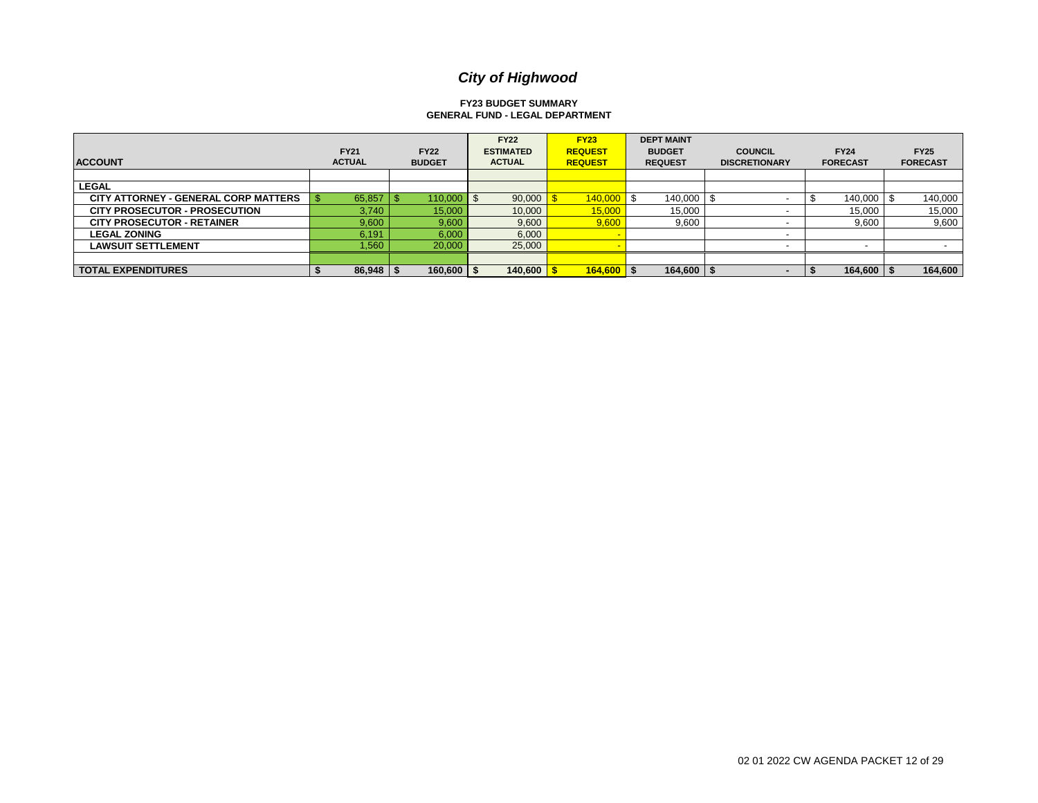#### **FY23 BUDGET SUMMARY GENERAL FUND - LEGAL DEPARTMENT**

| <b>ACCOUNT</b>                              | <b>FY21</b><br><b>ACTUAL</b> |     | <b>FY22</b><br><b>BUDGET</b> | <b>FY22</b><br><b>ESTIMATED</b><br><b>ACTUAL</b> | <b>FY23</b><br><b>REQUEST</b><br><b>REQUEST</b> | <b>DEPT MAINT</b><br><b>BUDGET</b><br><b>REQUEST</b> | <b>COUNCIL</b><br><b>DISCRETIONARY</b> | <b>FY24</b><br><b>FORECAST</b> | <b>FY25</b><br><b>FORECAST</b> |
|---------------------------------------------|------------------------------|-----|------------------------------|--------------------------------------------------|-------------------------------------------------|------------------------------------------------------|----------------------------------------|--------------------------------|--------------------------------|
|                                             |                              |     |                              |                                                  |                                                 |                                                      |                                        |                                |                                |
| <b>LEGAL</b>                                |                              |     |                              |                                                  |                                                 |                                                      |                                        |                                |                                |
| <b>CITY ATTORNEY - GENERAL CORP MATTERS</b> | 65,857                       | ם ו | 110.000                      | 90,000                                           | 140,000                                         | 140,000                                              |                                        | 140.000                        | 140,000                        |
| <b>CITY PROSECUTOR - PROSECUTION</b>        | 3,740                        |     | 15,000                       | 10,000                                           | 15,000                                          | 15,000                                               |                                        | 15,000                         | 15,000                         |
| <b>CITY PROSECUTOR - RETAINER</b>           | 9,600                        |     | 9,600                        | 9,600                                            | 9,600                                           | 9,600                                                |                                        | 9,600                          | 9,600                          |
| <b>LEGAL ZONING</b>                         | 6,191                        |     | 6,000                        | 6,000                                            |                                                 |                                                      |                                        |                                |                                |
| <b>LAWSUIT SETTLEMENT</b>                   | 1,560                        |     | 20,000                       | 25,000                                           |                                                 |                                                      |                                        |                                |                                |
|                                             |                              |     |                              |                                                  |                                                 |                                                      |                                        |                                |                                |
| <b>TOTAL EXPENDITURES</b>                   | $86,948$   \$                |     | $160,600$ $\mid$ \$          | 140,600                                          | $164,600$ $\sqrt$                               | $164,600$ \$                                         |                                        | $164,600$ $\sqrt{5}$           | 164,600                        |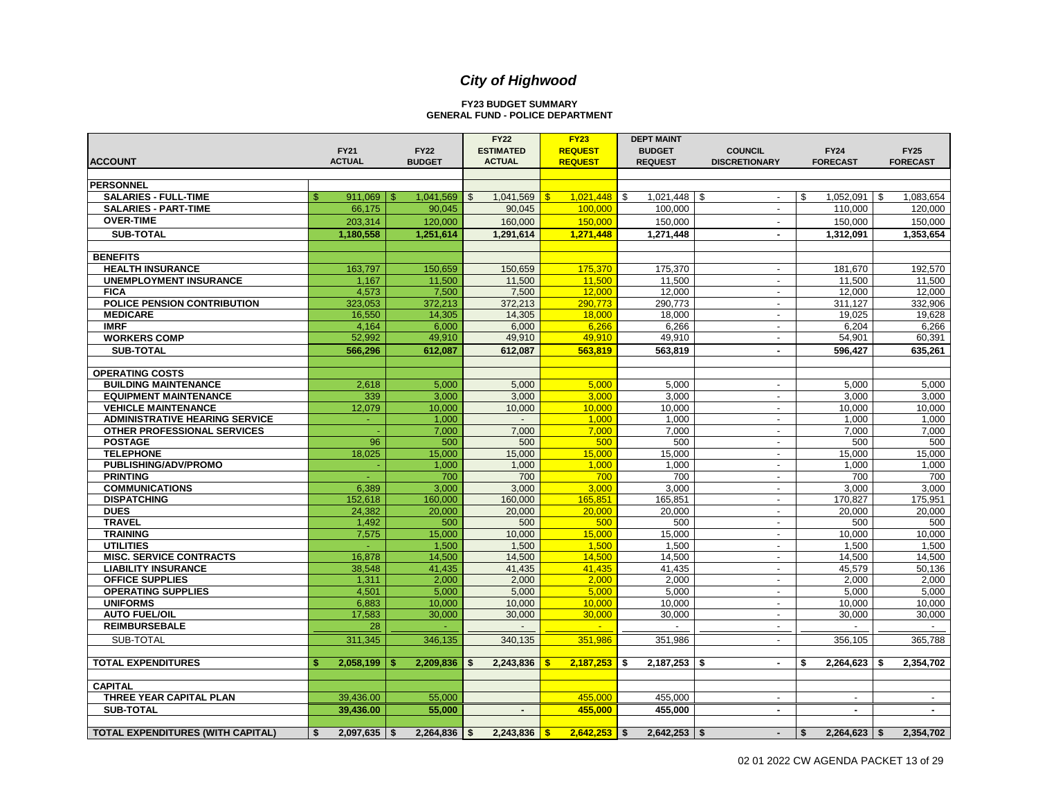#### **FY23 BUDGET SUMMARY GENERAL FUND - POLICE DEPARTMENT**

|                                       | <b>FY21</b>   | <b>FY22</b>            | <b>FY22</b><br><b>ESTIMATED</b> | <b>FY23</b><br><b>REQUEST</b> | <b>DEPT MAINT</b><br><b>BUDGET</b> | <b>COUNCIL</b>                   | <b>FY24</b>     | <b>FY25</b>     |
|---------------------------------------|---------------|------------------------|---------------------------------|-------------------------------|------------------------------------|----------------------------------|-----------------|-----------------|
| <b>ACCOUNT</b>                        | <b>ACTUAL</b> | <b>BUDGET</b>          | <b>ACTUAL</b>                   | <b>REQUEST</b>                | <b>REQUEST</b>                     | <b>DISCRETIONARY</b>             | <b>FORECAST</b> | <b>FORECAST</b> |
|                                       |               |                        |                                 |                               |                                    |                                  |                 |                 |
| <b>PERSONNEL</b>                      |               |                        |                                 |                               |                                    |                                  |                 |                 |
| <b>SALARIES - FULL-TIME</b>           | ድ<br>911,069  | 1,041,569<br>- \$      | 1,041,569<br>$\mathfrak{S}$     | $\sqrt{3}$<br>1,021,448       | 1,021,448<br><b>S</b>              | - \$<br>$\overline{\phantom{a}}$ | 1,052,091<br>\$ | 1,083,654<br>\$ |
| <b>SALARIES - PART-TIME</b>           | 66,175        | 90,045                 | 90,045                          | 100.000                       | 100,000                            | $\blacksquare$                   | 110,000         | 120,000         |
| <b>OVER-TIME</b>                      | 203,314       | 120,000                | 160,000                         | 150,000                       | 150,000                            |                                  |                 | 150,000         |
|                                       |               |                        |                                 |                               |                                    |                                  | 150,000         |                 |
| <b>SUB-TOTAL</b>                      | 1,180,558     | 1,251,614              | 1,291,614                       | 1,271,448                     | 1,271,448                          | $\sim$                           | 1,312,091       | 1,353,654       |
| <b>BENEFITS</b>                       |               |                        |                                 |                               |                                    |                                  |                 |                 |
| <b>HEALTH INSURANCE</b>               | 163,797       | 150,659                | 150,659                         | 175,370                       | 175,370                            | $\blacksquare$                   | 181,670         | 192,570         |
| <b>UNEMPLOYMENT INSURANCE</b>         | 1,167         | 11,500                 | 11,500                          | 11,500                        | 11,500                             | $\sim$                           | 11,500          | 11,500          |
| <b>FICA</b>                           | 4,573         | 7,500                  | 7,500                           | 12,000                        | 12,000                             | $\overline{\phantom{a}}$         | 12,000          | 12,000          |
| POLICE PENSION CONTRIBUTION           | 323,053       | 372,213                | 372,213                         | 290,773                       | 290,773                            | $\overline{a}$                   | 311,127         | 332,906         |
| <b>MEDICARE</b>                       | 16,550        | 14,305                 | 14,305                          | 18,000                        | 18,000                             | $\overline{\phantom{a}}$         | 19,025          | 19,628          |
| <b>IMRF</b>                           | 4,164         | 6,000                  | 6.000                           | 6,266                         | 6,266                              | $\sim$                           | 6,204           | 6,266           |
| <b>WORKERS COMP</b>                   | 52,992        | 49,910                 | 49,910                          | 49,910                        | 49,910                             | $\blacksquare$                   | 54,901          | 60,391          |
| <b>SUB-TOTAL</b>                      | 566.296       | 612.087                | 612.087                         | 563.819                       | 563.819                            | $\blacksquare$                   | 596.427         | 635.261         |
|                                       |               |                        |                                 |                               |                                    |                                  |                 |                 |
| <b>OPERATING COSTS</b>                |               |                        |                                 |                               |                                    |                                  |                 |                 |
| <b>BUILDING MAINTENANCE</b>           | 2,618         | 5,000                  | 5,000                           | 5,000                         | 5,000                              | $\overline{a}$                   | 5,000           | 5,000           |
| <b>EQUIPMENT MAINTENANCE</b>          | 339           | 3,000                  | 3,000                           | 3,000                         | 3,000                              | $\overline{\phantom{a}}$         | 3,000           | 3,000           |
| <b>VEHICLE MAINTENANCE</b>            | 12,079        | 10,000                 | 10.000                          | 10.000                        | 10.000                             | $\sim$                           | 10,000          | 10,000          |
| <b>ADMINISTRATIVE HEARING SERVICE</b> | ÷.            | 1,000                  | $\sim$                          | 1,000                         | 1,000                              | $\sim$                           | 1,000           | 1,000           |
| OTHER PROFESSIONAL SERVICES           |               | 7,000                  | 7,000                           | 7,000                         | 7,000                              | $\sim$                           | 7,000           | 7,000           |
| <b>POSTAGE</b>                        | 96            | 500                    | 500                             | 500                           | 500                                | $\sim$                           | 500             | 500             |
| <b>TELEPHONE</b>                      | 18,025        | 15,000                 | 15.000                          | 15.000                        | 15,000                             | $\sim$                           | 15,000          | 15,000          |
| PUBLISHING/ADV/PROMO                  |               | 1,000                  | 1,000                           | 1,000                         | 1,000                              |                                  | 1,000           | 1,000           |
| <b>PRINTING</b>                       |               | 700                    | 700                             | 700                           | 700                                | $\mathbf{r}$                     | 700             | 700             |
| <b>COMMUNICATIONS</b>                 | 6,389         | 3,000                  | 3,000                           | 3,000                         | 3,000                              | $\mathbf{r}$                     | 3,000           | 3,000           |
| <b>DISPATCHING</b>                    | 152,618       | 160,000                | 160,000                         | 165,851                       | 165,851                            | $\blacksquare$                   | 170,827         | 175,951         |
| <b>DUES</b>                           | 24.382        | 20,000                 | 20.000                          | 20,000                        | 20.000                             | $\sim$                           | 20.000          | 20.000          |
| <b>TRAVEL</b>                         | 1,492         | 500                    | 500                             | 500                           | 500                                | $\overline{\phantom{a}}$         | 500             | 500             |
| <b>TRAINING</b>                       | 7,575         | 15,000                 | 10,000                          | 15,000                        | 15,000                             | $\blacksquare$                   | 10,000          | 10,000          |
| <b>UTILITIES</b>                      |               | 1,500                  | 1,500                           | 1,500                         | 1,500                              | $\overline{\phantom{a}}$         | 1,500           | 1,500           |
| <b>MISC. SERVICE CONTRACTS</b>        | 16,878        | 14,500                 | 14,500                          | 14,500                        | 14,500                             | $\overline{\phantom{a}}$         | 14,500          | 14,500          |
| <b>LIABILITY INSURANCE</b>            | 38,548        | 41,435                 | 41,435                          | 41,435                        | 41,435                             | $\sim$                           | 45,579          | 50,136          |
| OFFICE SUPPLIES                       | 1,311         | 2,000                  | 2,000                           | 2,000                         | 2,000                              | $\sim$                           | 2,000           | 2,000           |
| <b>OPERATING SUPPLIES</b>             | 4,501         | 5,000                  | 5,000                           | 5,000                         | 5,000                              | $\overline{\phantom{a}}$         | 5,000           | 5,000           |
| <b>UNIFORMS</b>                       | 6.883         | 10,000                 | 10.000                          | 10,000                        | 10,000                             | $\blacksquare$                   | 10.000          | 10,000          |
| <b>AUTO FUEL/OIL</b>                  | 17,583        | 30,000                 | 30,000                          | 30,000                        | 30,000                             | $\sim$                           | 30,000          | 30,000          |
| <b>REIMBURSEBALE</b>                  | 28            |                        |                                 | $\mathbf{r}$                  |                                    | $\overline{\phantom{a}}$         |                 |                 |
| SUB-TOTAL                             | 311,345       | 346,135                | 340,135                         | 351,986                       | 351,986                            | $\sim$                           | 356,105         | 365,788         |
|                                       |               |                        |                                 |                               |                                    |                                  |                 |                 |
| <b>TOTAL EXPENDITURES</b>             | 2,058,199     | 2,209,836              | 2,243,836<br>\$                 | 2.187.253<br>-\$              | 2,187,253<br>l s                   | \$<br>$\sim$                     | 2,264,623<br>\$ | 2,354,702<br>\$ |
|                                       |               |                        |                                 |                               |                                    |                                  |                 |                 |
| <b>CAPITAL</b>                        |               |                        |                                 |                               |                                    |                                  |                 |                 |
| THREE YEAR CAPITAL PLAN               | 39,436.00     | 55,000                 |                                 | 455,000                       | 455,000                            | $\sim$                           | $\sim$          | $\sim$          |
| <b>SUB-TOTAL</b>                      | 39,436.00     | 55,000                 | $\overline{\phantom{a}}$        | 455,000                       | 455,000                            | $\blacksquare$                   | ٠               | $\blacksquare$  |
|                                       |               |                        |                                 |                               |                                    |                                  |                 |                 |
| TOTAL EXPENDITURES (WITH CAPITAL)     | 2,097,635     | $2,264,836$ \$<br>- \$ | 2,243,836                       | $2,642,253$ \$<br>$\cdot$     | 2,642,253                          | -\$<br>$\blacksquare$            | 2,264,623<br>Ŝ. | 2,354,702<br>\$ |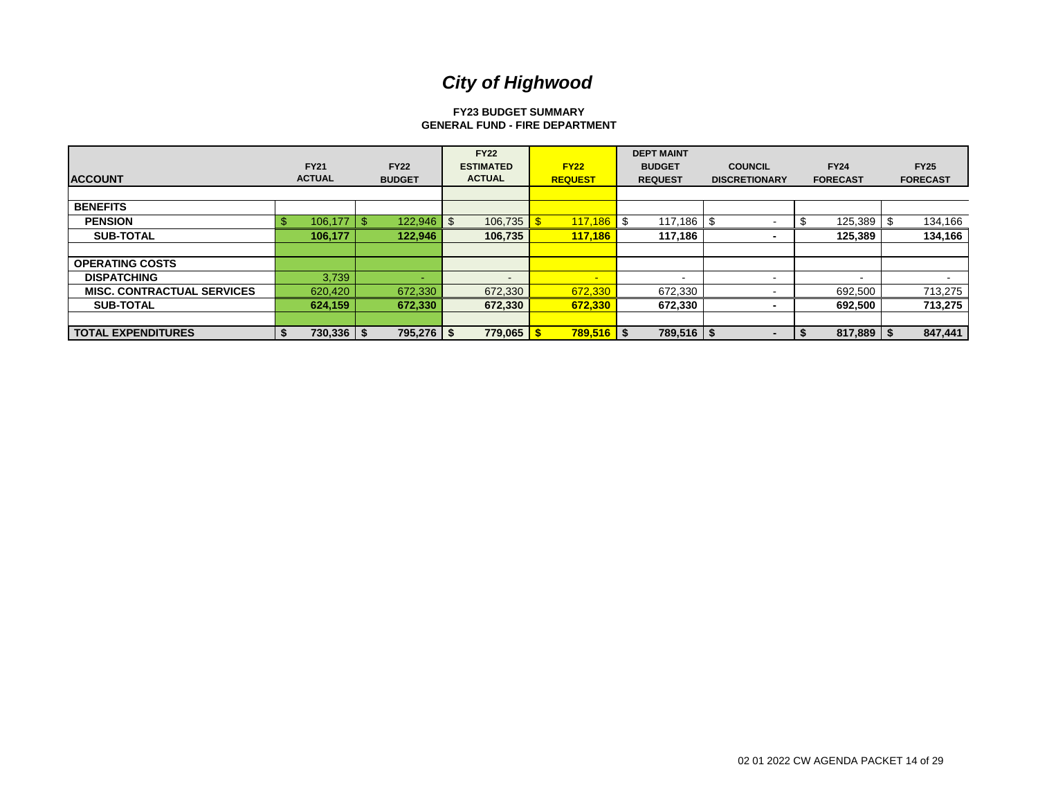#### **FY23 BUDGET SUMMARY GENERAL FUND - FIRE DEPARTMENT**

| <b>ACCOUNT</b>                    | <b>FY21</b><br><b>ACTUAL</b> | <b>FY22</b><br><b>BUDGET</b> | <b>FY22</b><br><b>ESTIMATED</b><br><b>ACTUAL</b> | <b>FY22</b><br><b>REQUEST</b> | <b>DEPT MAINT</b><br><b>BUDGET</b><br><b>REQUEST</b> | <b>COUNCIL</b><br><b>DISCRETIONARY</b> | <b>FY24</b><br><b>FORECAST</b> | <b>FY25</b><br><b>FORECAST</b> |
|-----------------------------------|------------------------------|------------------------------|--------------------------------------------------|-------------------------------|------------------------------------------------------|----------------------------------------|--------------------------------|--------------------------------|
|                                   |                              |                              |                                                  |                               |                                                      |                                        |                                |                                |
| <b>BENEFITS</b>                   |                              |                              |                                                  |                               |                                                      |                                        |                                |                                |
| <b>PENSION</b>                    | $106, 177$   \$              | $122,946$ \$                 | 106,735                                          |                               |                                                      |                                        | 125,389                        | 134,166<br>.ზ                  |
| <b>SUB-TOTAL</b>                  | 106,177                      | 122,946                      | 106,735                                          | 117,186                       | 117,186                                              |                                        | 125,389                        | 134,166                        |
|                                   |                              |                              |                                                  |                               |                                                      |                                        |                                |                                |
| <b>OPERATING COSTS</b>            |                              |                              |                                                  |                               |                                                      |                                        |                                |                                |
| <b>DISPATCHING</b>                | 3,739                        |                              |                                                  | $\sim$                        | $\overline{\phantom{0}}$                             |                                        | -                              |                                |
| <b>MISC. CONTRACTUAL SERVICES</b> | 620,420                      | 672,330                      | 672,330                                          | 672,330                       | 672,330                                              |                                        | 692,500                        | 713,275                        |
| <b>SUB-TOTAL</b>                  | 624,159                      | 672,330                      | 672,330                                          | 672,330                       | 672,330                                              |                                        | 692,500                        | 713,275                        |
|                                   |                              |                              |                                                  |                               |                                                      |                                        |                                |                                |
| <b>TOTAL EXPENDITURES</b>         | 730,336   \$                 | 795,276   \$                 | 779,065                                          | $789,516$ $\sqrt$             | $789.516$   \$                                       |                                        | 817,889                        | 847.441                        |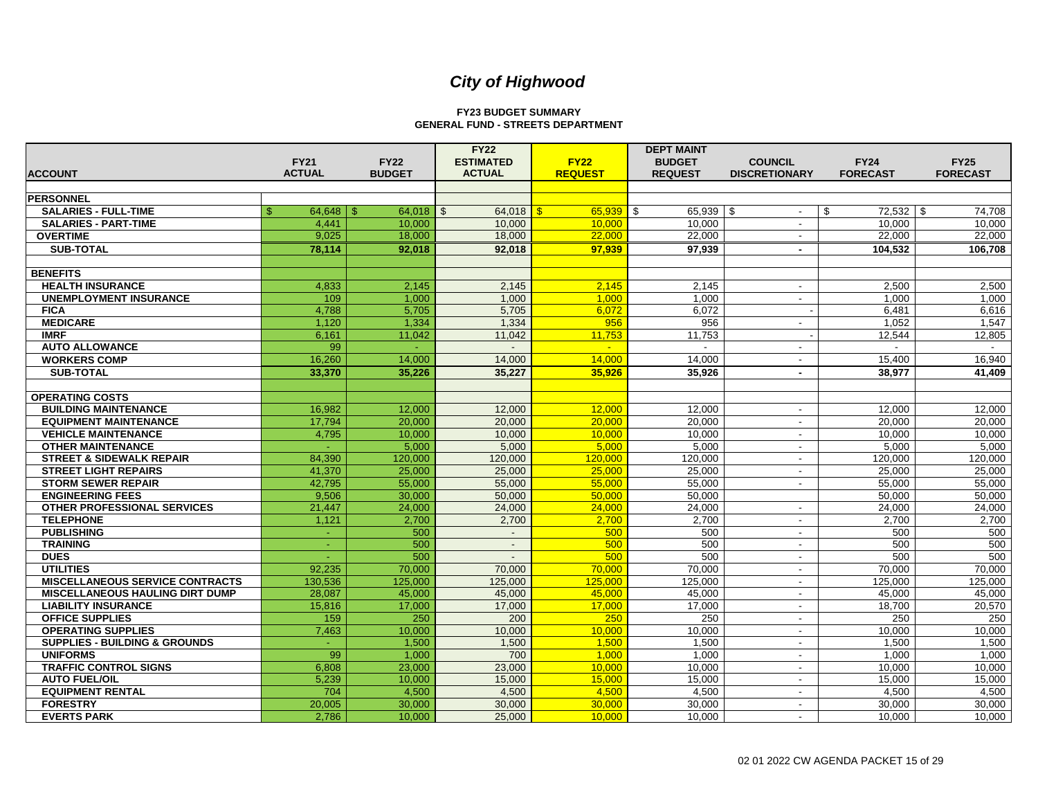#### **FY23 BUDGET SUMMARY GENERAL FUND - STREETS DEPARTMENT**

|                                                 |                        |                        | <b>FY22</b>              |                | <b>DEPT MAINT</b>   |                          |                    |                 |
|-------------------------------------------------|------------------------|------------------------|--------------------------|----------------|---------------------|--------------------------|--------------------|-----------------|
|                                                 | <b>FY21</b>            | <b>FY22</b>            | <b>ESTIMATED</b>         | <b>FY22</b>    | <b>BUDGET</b>       | <b>COUNCIL</b>           | <b>FY24</b>        | <b>FY25</b>     |
| <b>IACCOUNT</b>                                 | <b>ACTUAL</b>          | <b>BUDGET</b>          | <b>ACTUAL</b>            | <b>REQUEST</b> | <b>REQUEST</b>      | <b>DISCRETIONARY</b>     | <b>FORECAST</b>    | <b>FORECAST</b> |
| <b>PERSONNEL</b>                                |                        |                        |                          |                |                     |                          |                    |                 |
| <b>SALARIES - FULL-TIME</b>                     | \$<br>64,648           | 64.018<br>$\mathbb{S}$ | $\mathfrak{L}$<br>64.018 | 65.939         | $65,939$ \$<br>l \$ | $\sim$                   | $72,532$ \$<br>-\$ | 74,708          |
| <b>SALARIES - PART-TIME</b>                     | 4.441                  | 10.000                 | 10.000                   | 10.000         | 10.000              | $\sim$                   | 10.000             | 10,000          |
| <b>OVERTIME</b>                                 | 9,025                  | 18,000                 | 18,000                   | 22,000         | 22,000              |                          | 22,000             | 22,000          |
| <b>SUB-TOTAL</b>                                | 78.114                 | 92.018                 | 92.018                   | 97.939         | 97.939              | $\sim$                   | 104.532            | 106.708         |
|                                                 |                        |                        |                          |                |                     |                          |                    |                 |
| <b>BENEFITS</b>                                 |                        |                        |                          |                |                     |                          |                    |                 |
| <b>HEALTH INSURANCE</b>                         | 4,833                  | 2,145                  | 2.145                    | 2.145          | 2.145               |                          | 2.500              | 2.500           |
| <b>UNEMPLOYMENT INSURANCE</b>                   | 109                    | 1,000                  | 1,000                    | 1,000          | 1,000               | $\sim$                   | 1,000              | 1,000           |
| <b>FICA</b>                                     | 4.788                  | 5.705                  | 5.705                    | 6.072          | 6.072               |                          | 6.481              | 6.616           |
| <b>MEDICARE</b>                                 | 1,120                  | 1,334                  | 1,334                    | 956            | 956                 | $\sim$                   | 1.052              | 1,547           |
| <b>IMRF</b>                                     | 6,161                  | 11,042                 | 11,042                   | 11,753         | 11,753              |                          | 12,544             | 12,805          |
| <b>AUTO ALLOWANCE</b>                           | 99                     |                        |                          | $\mathbf{u}$   |                     | $\sim$                   |                    |                 |
| <b>WORKERS COMP</b>                             | 16.260                 | 14.000                 | 14.000                   | 14,000         | 14,000              |                          | 15,400             | 16,940          |
| <b>SUB-TOTAL</b>                                | 33,370                 | 35.226                 | 35.227                   | 35,926         | 35.926              | $\sim$                   | 38,977             | 41,409          |
|                                                 |                        |                        |                          |                |                     |                          |                    |                 |
| <b>OPERATING COSTS</b>                          |                        |                        |                          |                |                     |                          |                    |                 |
| <b>BUILDING MAINTENANCE</b>                     | 16,982                 | 12,000                 | 12,000                   | 12.000         | 12,000              |                          | 12,000             | 12,000          |
| <b>EQUIPMENT MAINTENANCE</b>                    | 17,794                 | 20,000                 | 20,000                   | 20,000         | 20.000              |                          | 20.000             | 20,000          |
| <b>VEHICLE MAINTENANCE</b>                      | 4,795                  | 10,000                 | 10,000                   | 10,000         | 10,000              | $\sim$                   | 10,000             | 10,000          |
| <b>OTHER MAINTENANCE</b>                        | ÷                      | 5,000                  | 5,000                    | 5,000          | 5,000               | $\overline{\phantom{a}}$ | 5,000              | 5,000           |
| <b>STREET &amp; SIDEWALK REPAIR</b>             | 84,390                 | 120.000                | 120.000                  | 120.000        | 120.000             | $\sim$                   | 120.000            | 120.000         |
| <b>STREET LIGHT REPAIRS</b>                     | 41,370                 | 25,000                 | 25,000                   | 25,000         | 25,000              | $\sim$                   | 25,000             | 25,000          |
| <b>STORM SEWER REPAIR</b>                       | 42.795                 | 55.000                 | 55.000                   | 55,000         | 55.000              | $\sim$                   | 55.000             | 55.000          |
| <b>ENGINEERING FEES</b>                         | 9,506                  | 30,000                 | 50,000                   | 50,000         | 50.000              |                          | 50.000             | 50,000          |
| OTHER PROFESSIONAL SERVICES<br><b>TELEPHONE</b> | 21,447                 | 24,000                 | 24,000                   | 24,000         | 24,000              | $\overline{\phantom{a}}$ | 24,000             | 24,000          |
| <b>PUBLISHING</b>                               | 1,121                  | 2.700<br>500           | 2,700                    | 2.700          | 2,700<br>500        | $\sim$                   | 2,700<br>500       | 2,700<br>500    |
| <b>TRAINING</b>                                 | ÷.<br>$\omega_{\rm c}$ | 500                    | $\sim$<br>$\sim$         | 500<br>500     | 500                 | $\sim$<br>$\sim$         | 500                | 500             |
| <b>DUES</b>                                     | ÷.                     | 500                    | $\sim$                   | 500            | 500                 | $\sim$                   | 500                | 500             |
| <b>UTILITIES</b>                                | 92,235                 | 70,000                 | 70,000                   | 70,000         | 70,000              |                          | 70.000             | 70.000          |
| <b>MISCELLANEOUS SERVICE CONTRACTS</b>          | 130,536                | 125,000                | 125,000                  | 125,000        | 125,000             | $\overline{\phantom{a}}$ | 125,000            | 125,000         |
| <b>MISCELLANEOUS HAULING DIRT DUMP</b>          | 28.087                 | 45,000                 | 45,000                   | 45.000         | 45,000              | $\sim$                   | 45,000             | 45,000          |
| <b>LIABILITY INSURANCE</b>                      | 15,816                 | 17,000                 | 17,000                   | 17,000         | 17.000              | $\sim$                   | 18.700             | 20,570          |
| <b>OFFICE SUPPLIES</b>                          | 159                    | 250                    | 200                      | 250            | 250                 | $\overline{\phantom{a}}$ | 250                | 250             |
| <b>OPERATING SUPPLIES</b>                       | 7.463                  | 10.000                 | 10,000                   | 10.000         | 10.000              | $\overline{\phantom{a}}$ | 10.000             | 10,000          |
| <b>SUPPLIES - BUILDING &amp; GROUNDS</b>        |                        | 1,500                  | 1,500                    | 1,500          | 1,500               |                          | 1,500              | 1,500           |
| <b>UNIFORMS</b>                                 | 99                     | 1.000                  | 700                      | 1.000          | 1.000               | $\overline{\phantom{a}}$ | 1.000              | 1,000           |
| <b>TRAFFIC CONTROL SIGNS</b>                    | 6,808                  | 23.000                 | 23.000                   | 10.000         | 10.000              | $\sim$                   | 10.000             | 10.000          |
| <b>AUTO FUEL/OIL</b>                            | 5,239                  | 10,000                 | 15,000                   | 15,000         | 15,000              | $\overline{\phantom{a}}$ | 15,000             | 15,000          |
| <b>EQUIPMENT RENTAL</b>                         | 704                    | 4.500                  | 4.500                    | 4.500          | 4.500               | $\sim$                   | 4.500              | 4.500           |
| <b>FORESTRY</b>                                 | 20,005                 | 30,000                 | 30,000                   | 30.000         | 30.000              | $\sim$                   | 30,000             | 30,000          |
| <b>EVERTS PARK</b>                              | 2,786                  | 10,000                 | 25,000                   | 10,000         | 10,000              |                          | 10,000             | 10,000          |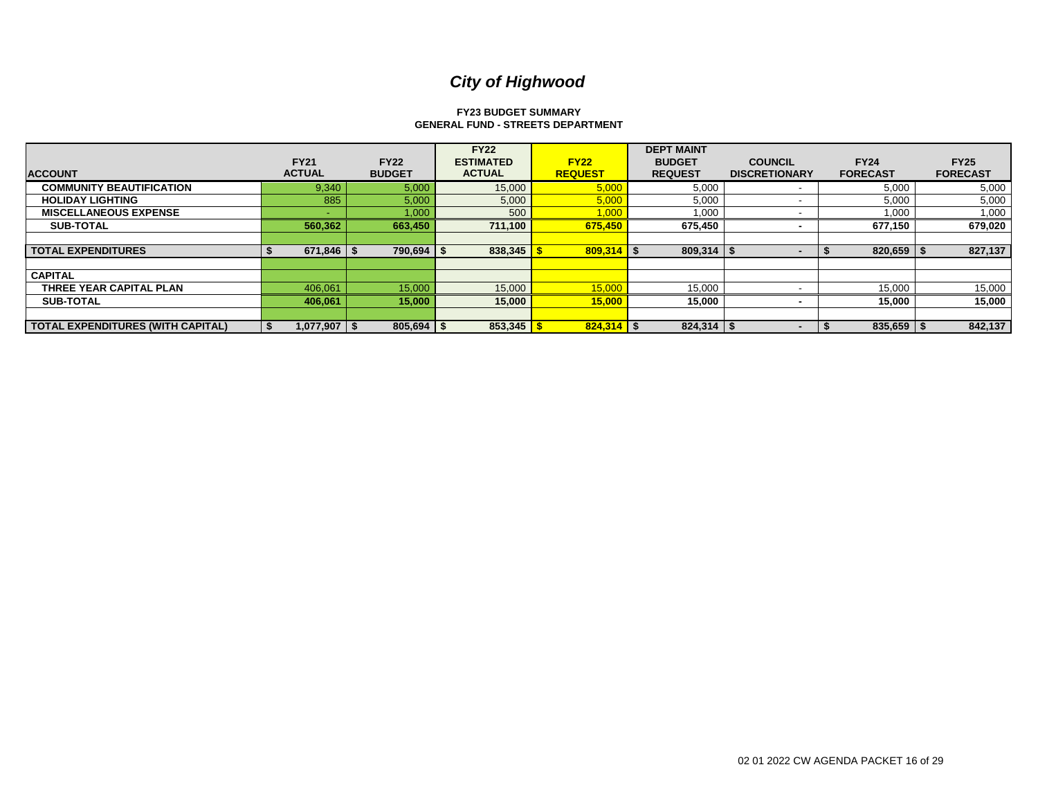#### **FY23 BUDGET SUMMARY GENERAL FUND - STREETS DEPARTMENT**

|                                          |               |                | <b>FY22</b>      |                | <b>DEPT MAINT</b> |                      |                 |                 |
|------------------------------------------|---------------|----------------|------------------|----------------|-------------------|----------------------|-----------------|-----------------|
|                                          | <b>FY21</b>   | <b>FY22</b>    | <b>ESTIMATED</b> | <b>FY22</b>    | <b>BUDGET</b>     | <b>COUNCIL</b>       | <b>FY24</b>     | <b>FY25</b>     |
| <b>ACCOUNT</b>                           | <b>ACTUAL</b> | <b>BUDGET</b>  | <b>ACTUAL</b>    | <b>REQUEST</b> | <b>REQUEST</b>    | <b>DISCRETIONARY</b> | <b>FORECAST</b> | <b>FORECAST</b> |
| <b>COMMUNITY BEAUTIFICATION</b>          | 9,340         | 5,000          | 15,000           | 5,000          | 5,000             |                      | 5,000           | 5,000           |
| <b>HOLIDAY LIGHTING</b>                  | 885           | 5,000          | 5,000            | 5,000          | 5,000             |                      | 5,000           | 5,000           |
| <b>MISCELLANEOUS EXPENSE</b>             |               | 1,000          | 500              | 1,000          | 1,000             |                      | 1,000           | 1,000           |
| <b>SUB-TOTAL</b>                         | 560,362       | 663,450        | 711,100          | 675.450        | 675.450           |                      | 677.150         | 679.020         |
|                                          |               |                |                  |                |                   |                      |                 |                 |
| <b>TOTAL EXPENDITURES</b>                | 671,846       | $790,694$   \$ | 838,345          | $809,314$ \$   | $809,314$   \$    |                      | 820,659         | 827,137         |
|                                          |               |                |                  |                |                   |                      |                 |                 |
| <b>CAPITAL</b>                           |               |                |                  |                |                   |                      |                 |                 |
| THREE YEAR CAPITAL PLAN                  | 406,061       | 15,000         | 15,000           | 15,000         | 15,000            |                      | 15,000          | 15,000          |
| <b>SUB-TOTAL</b>                         | 406.061       | 15,000         | 15,000           | 15.000         | 15,000            |                      | 15,000          | 15,000          |
|                                          |               |                |                  |                |                   |                      |                 |                 |
| <b>TOTAL EXPENDITURES (WITH CAPITAL)</b> | 1,077,907     | $805,694$ \$   | 853,345          | $824.314$ \ \$ | $824,314$ \ \$    |                      | 835,659         | 842.137         |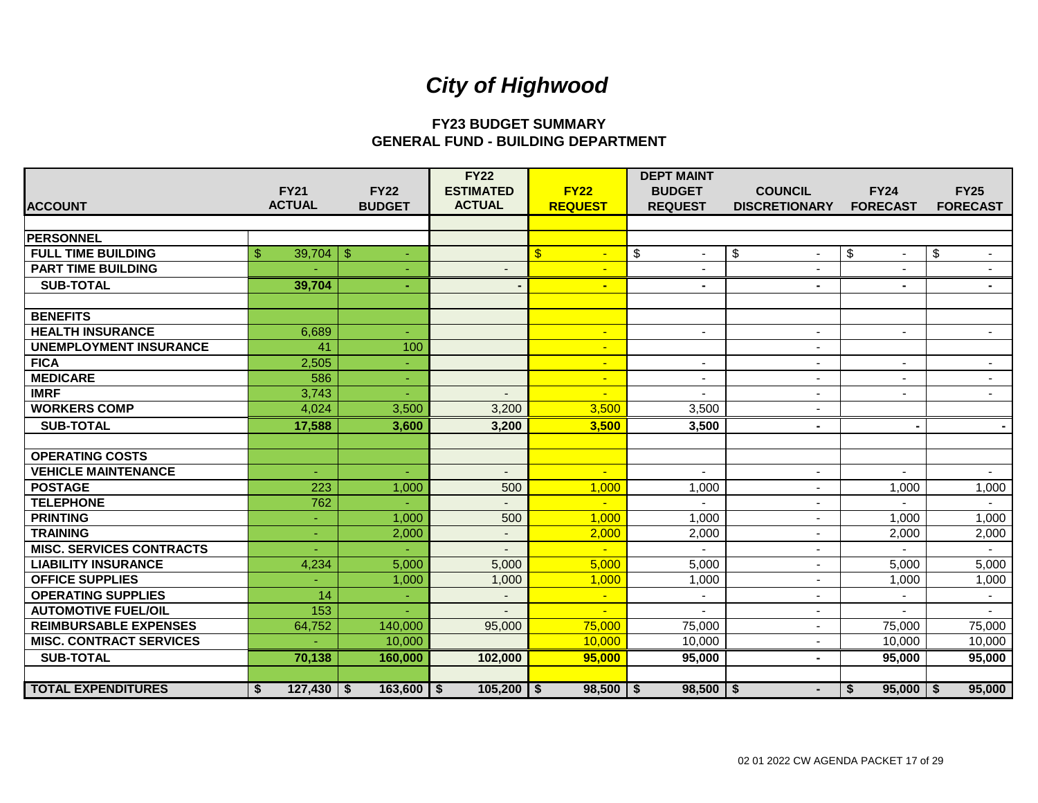## **FY23 BUDGET SUMMARY GENERAL FUND - BUILDING DEPARTMENT**

|                                 |                     |                | <b>FY22</b>              |                          | <b>DEPT MAINT</b>            |                      |                                     |                           |
|---------------------------------|---------------------|----------------|--------------------------|--------------------------|------------------------------|----------------------|-------------------------------------|---------------------------|
|                                 | <b>FY21</b>         | <b>FY22</b>    | <b>ESTIMATED</b>         | <b>FY22</b>              | <b>BUDGET</b>                | <b>COUNCIL</b>       | <b>FY24</b>                         | <b>FY25</b>               |
| <b>ACCOUNT</b>                  | <b>ACTUAL</b>       | <b>BUDGET</b>  | <b>ACTUAL</b>            | <b>REQUEST</b>           | <b>REQUEST</b>               | <b>DISCRETIONARY</b> | <b>FORECAST</b>                     | <b>FORECAST</b>           |
|                                 |                     |                |                          |                          |                              |                      |                                     |                           |
| <b>PERSONNEL</b>                |                     |                |                          |                          |                              |                      |                                     |                           |
| <b>FULL TIME BUILDING</b>       | \$<br>39,704        | -\$            |                          | $\mathbf{\$}$            | $\sqrt[6]{\frac{1}{2}}$<br>÷ | \$                   | $\boldsymbol{\mathsf{S}}$<br>$\sim$ | $\boldsymbol{\mathsf{S}}$ |
| <b>PART TIME BUILDING</b>       |                     |                |                          | $\blacksquare$           | $\overline{\phantom{a}}$     | $\sim$               | $\blacksquare$                      |                           |
| <b>SUB-TOTAL</b>                | 39,704              | ÷.             |                          | $\blacksquare$           | ۰                            | $\blacksquare$       | $\blacksquare$                      | ۰.                        |
|                                 |                     |                |                          |                          |                              |                      |                                     |                           |
| <b>BENEFITS</b>                 |                     |                |                          |                          |                              |                      |                                     |                           |
| <b>HEALTH INSURANCE</b>         | 6,689               | ÷              |                          | $\blacksquare$           | $\blacksquare$               | $\sim$               | $\blacksquare$                      |                           |
| <b>UNEMPLOYMENT INSURANCE</b>   | 41                  | 100            |                          | $\blacksquare$           |                              | $\blacksquare$       |                                     |                           |
| <b>FICA</b>                     | 2,505               | ÷.             |                          | $\blacksquare$           | $\blacksquare$               | $\blacksquare$       | $\sim$                              | $\blacksquare$            |
| <b>MEDICARE</b>                 | 586                 |                |                          | $\overline{\phantom{0}}$ | $\blacksquare$               | ÷.                   | $\blacksquare$                      |                           |
| <b>IMRF</b>                     | 3,743               |                |                          | $\blacksquare$           |                              | $\blacksquare$       | $\blacksquare$                      |                           |
| <b>WORKERS COMP</b>             | 4,024               | 3,500          | 3,200                    | 3,500                    | 3,500                        | $\sim$               |                                     |                           |
| <b>SUB-TOTAL</b>                | 17,588              | 3,600          | 3,200                    | 3,500                    | 3,500                        | $\blacksquare$       |                                     |                           |
|                                 |                     |                |                          |                          |                              |                      |                                     |                           |
| <b>OPERATING COSTS</b>          |                     |                |                          |                          |                              |                      |                                     |                           |
| <b>VEHICLE MAINTENANCE</b>      |                     |                | $\blacksquare$           | $\blacksquare$           | $\blacksquare$               | $\sim$               |                                     |                           |
| <b>POSTAGE</b>                  | 223                 | 1,000          | 500                      | 1,000                    | 1,000                        | $\sim$               | 1,000                               | 1,000                     |
| <b>TELEPHONE</b>                | 762                 |                |                          | $\mathbf{r}$             |                              |                      |                                     |                           |
| <b>PRINTING</b>                 | ٠                   | 1,000          | 500                      | 1,000                    | 1,000                        | $\blacksquare$       | 1,000                               | 1,000                     |
| <b>TRAINING</b>                 | ÷                   | 2,000          | $\overline{\phantom{a}}$ | 2,000                    | 2,000                        | $\sim$               | 2,000                               | 2,000                     |
| <b>MISC. SERVICES CONTRACTS</b> |                     |                |                          | $\mathbf{u}$             |                              | $\blacksquare$       |                                     |                           |
| <b>LIABILITY INSURANCE</b>      | 4,234               | 5,000          | 5,000                    | 5,000                    | 5,000                        | $\blacksquare$       | 5,000                               | 5,000                     |
| <b>OFFICE SUPPLIES</b>          |                     | 1,000          | 1,000                    | 1,000                    | 1,000                        | $\blacksquare$       | 1,000                               | 1,000                     |
| <b>OPERATING SUPPLIES</b>       | 14                  |                |                          | $\blacksquare$           | $\overline{\phantom{a}}$     |                      |                                     | $\sim$                    |
| <b>AUTOMOTIVE FUEL/OIL</b>      | 153                 |                |                          | $\blacksquare$           |                              | $\blacksquare$       |                                     |                           |
| <b>REIMBURSABLE EXPENSES</b>    | 64,752              | 140,000        | 95,000                   | 75,000                   | 75,000                       | $\sim$               | 75,000                              | 75,000                    |
| <b>MISC. CONTRACT SERVICES</b>  |                     | 10,000         |                          | 10,000                   | 10,000                       | ÷                    | 10,000                              | 10,000                    |
| <b>SUB-TOTAL</b>                | 70,138              | 160,000        | 102,000                  | 95,000                   | 95,000                       | $\blacksquare$       | 95,000                              | 95,000                    |
|                                 |                     |                |                          |                          |                              |                      |                                     |                           |
| <b>TOTAL EXPENDITURES</b>       | $127,430$ \ \$<br>S | $163,600$   \$ | $105,200$ \ \$           | $98,500$   \$            | $98,500$   \$                | $\blacksquare$       | $95,000$   \$<br>\$                 | 95,000                    |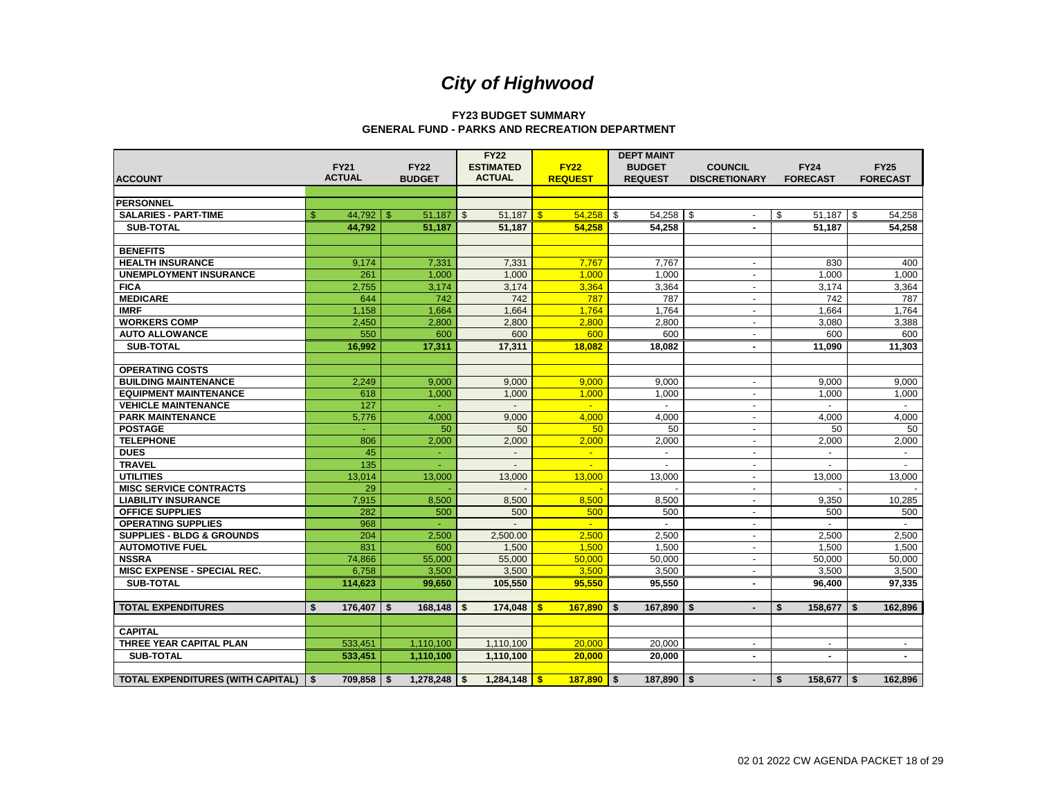#### **FY23 BUDGET SUMMARY GENERAL FUND - PARKS AND RECREATION DEPARTMENT**

|                                      |                      |                  | <b>FY22</b>             |                     | <b>DEPT MAINT</b>   |                          |                      |                 |
|--------------------------------------|----------------------|------------------|-------------------------|---------------------|---------------------|--------------------------|----------------------|-----------------|
|                                      | <b>FY21</b>          | <b>FY22</b>      | <b>ESTIMATED</b>        | <b>FY22</b>         | <b>BUDGET</b>       | <b>COUNCIL</b>           | <b>FY24</b>          | <b>FY25</b>     |
| <b>ACCOUNT</b>                       | <b>ACTUAL</b>        | <b>BUDGET</b>    | <b>ACTUAL</b>           | <b>REQUEST</b>      | <b>REQUEST</b>      | <b>DISCRETIONARY</b>     | <b>FORECAST</b>      | <b>FORECAST</b> |
|                                      |                      |                  |                         |                     |                     |                          |                      |                 |
| <b>PERSONNEL</b>                     |                      |                  |                         |                     |                     |                          |                      |                 |
| <b>SALARIES - PART-TIME</b>          | \$                   | $51,187$ \$      | $51,187$   \$           | 54,258              | $54,258$ \$<br>l \$ |                          | \$<br>$51,187$ \$    | 54,258          |
| <b>SUB-TOTAL</b>                     | 44,792               | 51,187           | 51,187                  | 54,258              | 54,258              |                          | 51,187               | 54,258          |
|                                      |                      |                  |                         |                     |                     |                          |                      |                 |
| <b>BENEFITS</b>                      |                      |                  |                         |                     |                     |                          |                      |                 |
| <b>HEALTH INSURANCE</b>              | 9,174                | 7,331            | 7,331                   | 7,767               | 7,767               |                          | 830                  | 400             |
| <b>UNEMPLOYMENT INSURANCE</b>        | 261                  | 1,000            | 1,000                   | 1,000               | 1,000               | $\sim$                   | 1,000                | 1,000           |
| <b>FICA</b>                          | 2,755                | 3,174            | 3,174                   | 3,364               | 3,364               | $\blacksquare$           | 3,174                | 3,364           |
| <b>MEDICARE</b>                      | 644                  | 742              | 742                     | 787                 | 787                 | $\overline{\phantom{a}}$ | 742                  | 787             |
| <b>IMRF</b>                          | 1,158                | 1,664            | 1,664                   | 1,764               | 1,764               | $\sim$                   | 1,664                | 1,764           |
| <b>WORKERS COMP</b>                  | 2,450                | 2,800            | 2,800                   | 2,800               | 2,800               | $\blacksquare$           | 3,080                | 3,388           |
| <b>AUTO ALLOWANCE</b>                | 550                  | 600              | 600                     | 600                 | 600                 | $\overline{\phantom{a}}$ | 600                  | 600             |
| <b>SUB-TOTAL</b>                     | 16,992               | 17,311           | 17,311                  | 18,082              | 18,082              | $\blacksquare$           | 11,090               | 11,303          |
|                                      |                      |                  |                         |                     |                     |                          |                      |                 |
| <b>OPERATING COSTS</b>               |                      |                  |                         |                     |                     |                          |                      |                 |
| <b>BUILDING MAINTENANCE</b>          | 2,249                | 9,000            | 9,000                   | 9,000               | 9,000               | $\sim$                   | 9,000                | 9,000           |
| <b>EQUIPMENT MAINTENANCE</b>         | 618                  | 1,000            | 1.000                   | 1,000               | 1.000               | $\sim$                   | 1,000                | 1,000           |
| <b>VEHICLE MAINTENANCE</b>           | 127                  |                  |                         | $\mathbf{u}$        |                     | $\sim$                   |                      |                 |
| <b>PARK MAINTENANCE</b>              | 5,776                | 4,000            | 9,000                   | 4,000               | 4,000               | $\overline{a}$           | 4,000                | 4,000           |
| <b>POSTAGE</b>                       |                      | 50               | 50                      | 50                  | 50                  | $\sim$                   | 50                   | 50              |
| <b>TELEPHONE</b>                     | 806                  | 2,000            | 2,000                   | 2,000               | 2,000               | $\sim$                   | 2,000                | 2,000           |
| <b>DUES</b>                          | 45                   | ÷                | $\sim$                  | $\sim$              | $\blacksquare$      | $\blacksquare$           | $\blacksquare$       | $\sim$          |
| <b>TRAVEL</b>                        | 135                  |                  |                         | $\sim$              | $\sim$              | $\overline{\phantom{a}}$ |                      |                 |
| <b>UTILITIES</b>                     | 13,014               | 13,000           | 13,000                  | 13,000              | 13,000              | $\sim$                   | 13,000               | 13,000          |
| <b>MISC SERVICE CONTRACTS</b>        | 29                   |                  |                         |                     |                     | $\overline{\phantom{a}}$ |                      |                 |
| <b>LIABILITY INSURANCE</b>           | 7,915                | 8,500            | 8,500                   | 8,500               | 8,500               | $\sim$                   | 9,350                | 10,285          |
| <b>OFFICE SUPPLIES</b>               | 282                  | 500              | 500                     | 500                 | 500                 | $\sim$                   | 500                  | 500             |
| <b>OPERATING SUPPLIES</b>            | 968                  |                  |                         | $\omega$ .          |                     | $\sim$                   |                      |                 |
| <b>SUPPLIES - BLDG &amp; GROUNDS</b> | 204                  | 2,500            | 2.500.00                | 2,500               | 2.500               | $\sim$                   | 2,500                | 2,500           |
| <b>AUTOMOTIVE FUEL</b>               | 831                  | 600              | 1,500                   | 1,500               | 1,500               | $\sim$                   | 1,500                | 1,500           |
| <b>NSSRA</b>                         | 74,866               | 55,000           | 55,000                  | 50,000              | 50,000              | $\sim$                   | 50,000               | 50,000          |
| MISC EXPENSE - SPECIAL REC.          | 6,758                | 3,500            | 3,500                   | 3,500               | 3,500               | $\sim$                   | 3,500                | 3,500           |
| <b>SUB-TOTAL</b>                     | 114,623              | 99,650           | 105,550                 | 95.550              | 95.550              | $\blacksquare$           | 96,400               | 97.335          |
|                                      |                      |                  |                         |                     |                     |                          |                      |                 |
| <b>TOTAL EXPENDITURES</b>            | 176,407<br>\$        | 168,148<br>\$    | 174,048<br>S.           | 167,890<br><b>S</b> | 167,890<br>Ŝ.       | -S<br>$\blacksquare$     | 158,677<br>\$        | 162,896<br>\$   |
|                                      |                      |                  |                         |                     |                     |                          |                      |                 |
| <b>CAPITAL</b>                       |                      |                  |                         |                     |                     |                          |                      |                 |
| <b>THREE YEAR CAPITAL PLAN</b>       | 533,451              | 1,110,100        | 1,110,100               | 20,000              | 20,000              |                          | $\blacksquare$       | $\sim$          |
| <b>SUB-TOTAL</b>                     | 533,451              | 1,110,100        | 1,110,100               | 20,000              | 20,000              | $\overline{\phantom{a}}$ | $\blacksquare$       | $\blacksquare$  |
|                                      |                      |                  |                         |                     |                     |                          |                      |                 |
| TOTAL EXPENDITURES (WITH CAPITAL)    | $709,858$   \$<br>\$ | $1,278,248$   \$ | 1,284,148 $\frac{1}{5}$ | $187,890$ \$        | $187,890$   \$      | $\blacksquare$           | \$<br>$158,677$   \$ | 162,896         |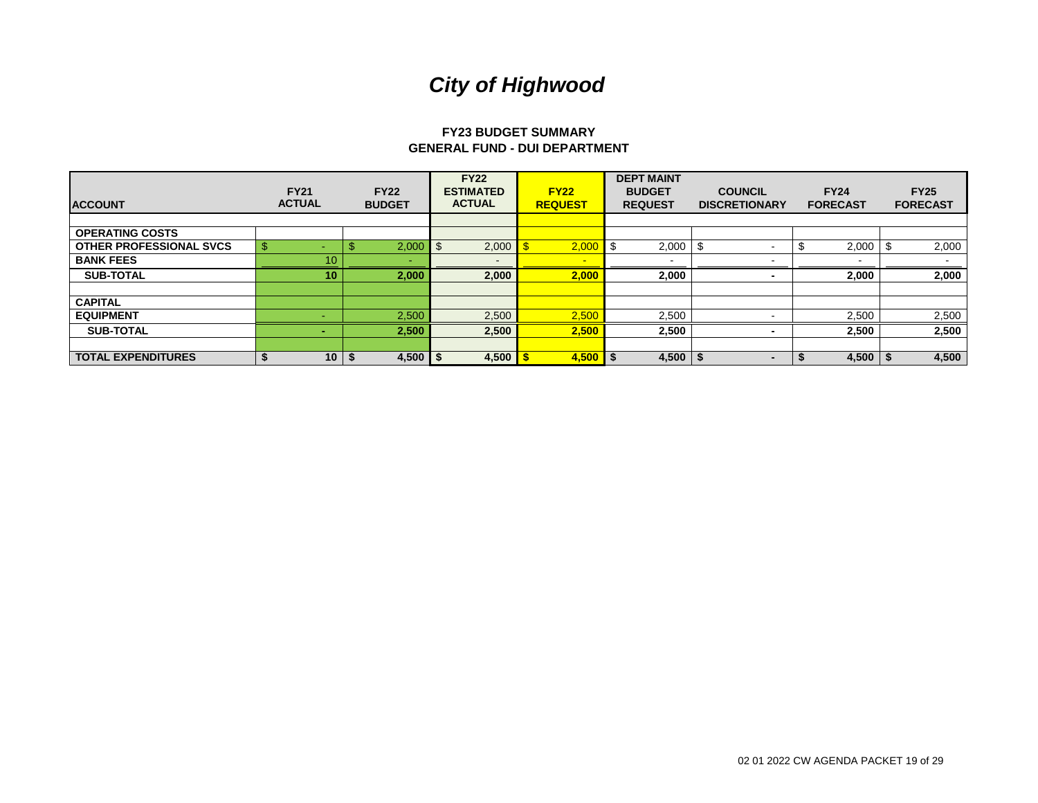#### **FY23 BUDGET SUMMARY GENERAL FUND - DUI DEPARTMENT**

| <b>ACCOUNT</b>                 | <b>FY21</b><br><b>ACTUAL</b> | <b>FY22</b><br><b>BUDGET</b> | <b>FY22</b><br><b>ESTIMATED</b><br><b>ACTUAL</b> | <b>FY22</b><br><b>REQUEST</b> | <b>DEPT MAINT</b><br><b>BUDGET</b><br><b>REQUEST</b> | <b>COUNCIL</b><br><b>DISCRETIONARY</b> | <b>FY24</b><br><b>FORECAST</b> | <b>FY25</b><br><b>FORECAST</b> |
|--------------------------------|------------------------------|------------------------------|--------------------------------------------------|-------------------------------|------------------------------------------------------|----------------------------------------|--------------------------------|--------------------------------|
|                                |                              |                              |                                                  |                               |                                                      |                                        |                                |                                |
| <b>OPERATING COSTS</b>         |                              |                              |                                                  |                               |                                                      |                                        |                                |                                |
| <b>OTHER PROFESSIONAL SVCS</b> | <sup>\$</sup>                | 2,000                        | 2,000<br>-\$                                     | 2,000                         | 2,000                                                |                                        | 2,000                          | 2,000                          |
| <b>BANK FEES</b>               | 10 <sup>°</sup>              | -                            | $\overline{\phantom{a}}$                         | ÷                             | -                                                    |                                        |                                |                                |
| <b>SUB-TOTAL</b>               | 10 <sup>°</sup>              | 2,000                        | 2,000                                            | 2,000                         | 2,000                                                |                                        | 2,000                          | 2,000                          |
|                                |                              |                              |                                                  |                               |                                                      |                                        |                                |                                |
| <b>CAPITAL</b>                 |                              |                              |                                                  |                               |                                                      |                                        |                                |                                |
| <b>EQUIPMENT</b>               |                              | 2,500                        | 2,500                                            | 2,500                         | 2,500                                                |                                        | 2,500                          | 2,500                          |
| <b>SUB-TOTAL</b>               |                              | 2,500                        | 2,500                                            | 2,500                         | 2,500                                                |                                        | 2,500                          | 2,500                          |
|                                |                              |                              |                                                  |                               |                                                      |                                        |                                |                                |
| <b>TOTAL EXPENDITURES</b>      | 10 <sup>1</sup>              | 4,500 $\frac{1}{3}$          | 4,500                                            | $4,500$   \$                  | 4,500                                                | $\blacksquare$                         | 4,500                          | 4,500                          |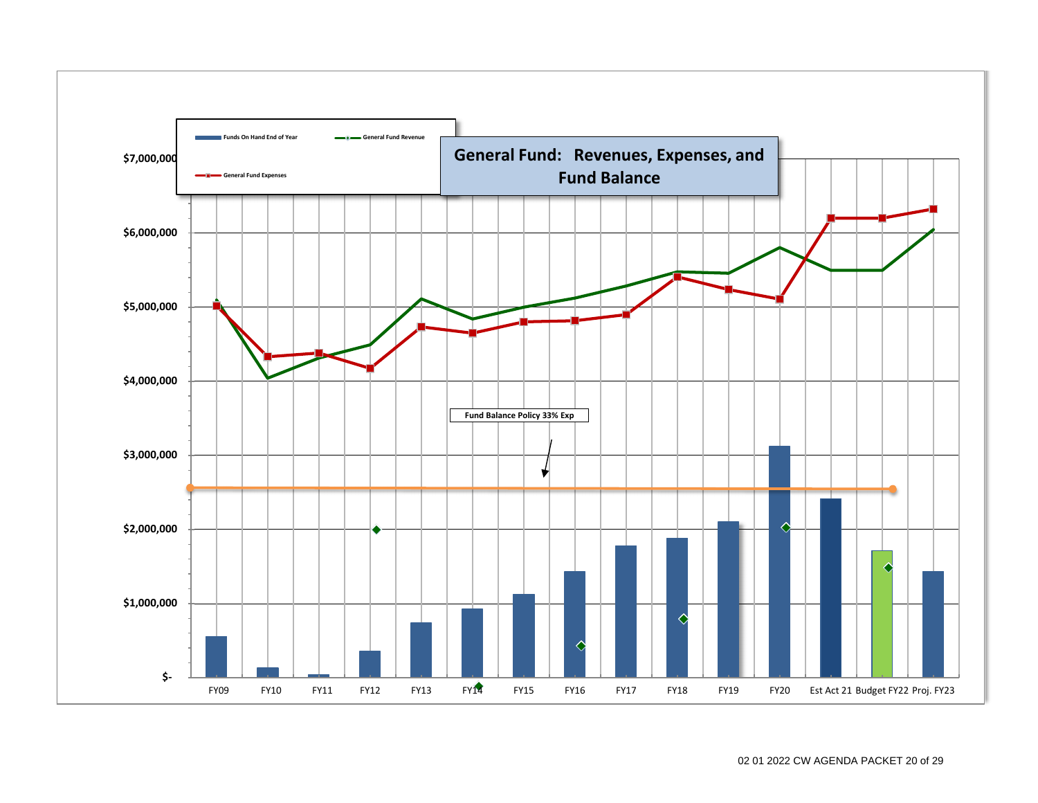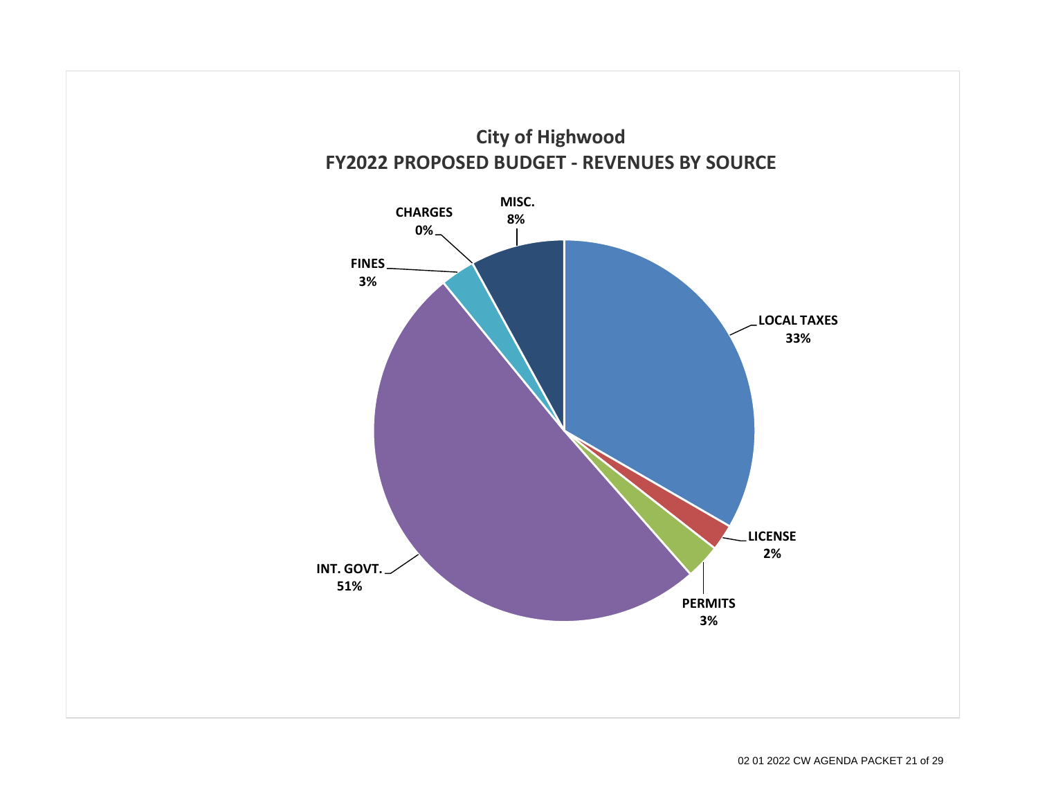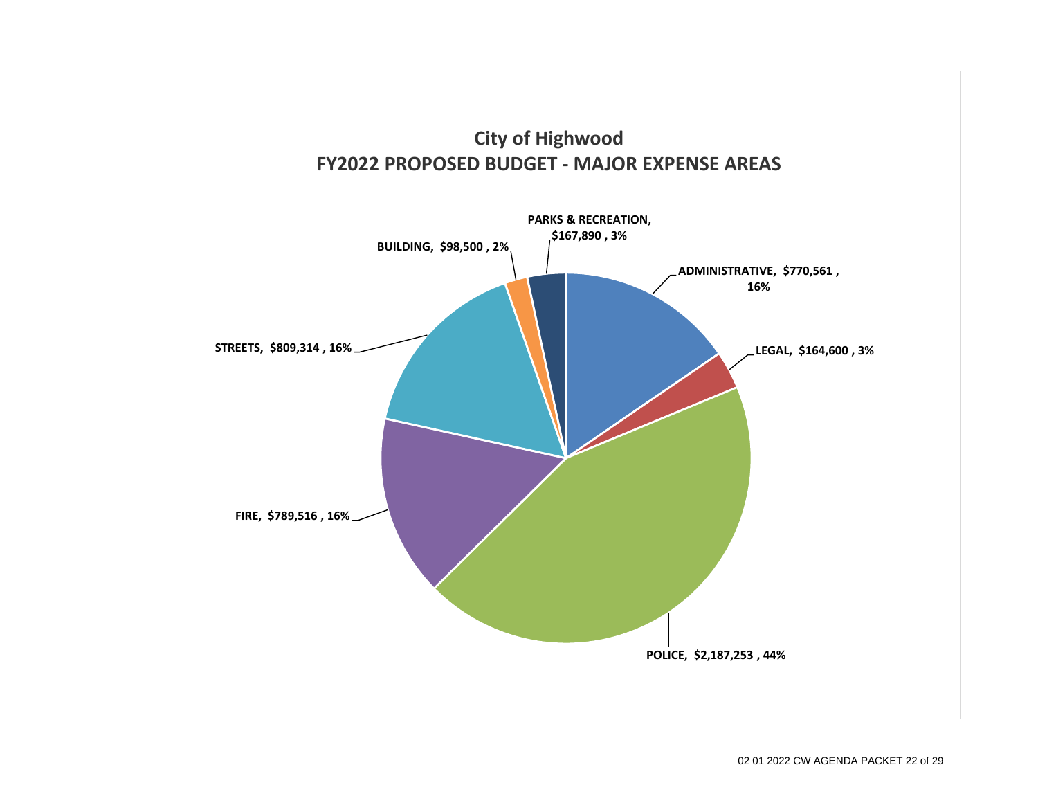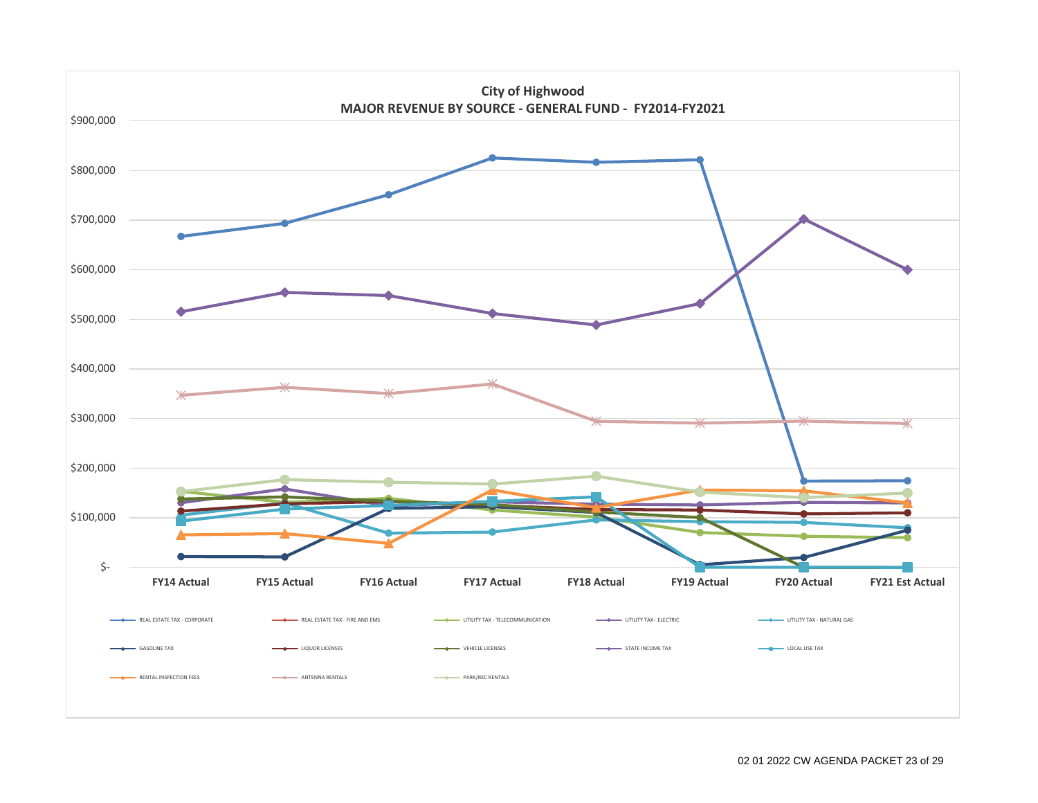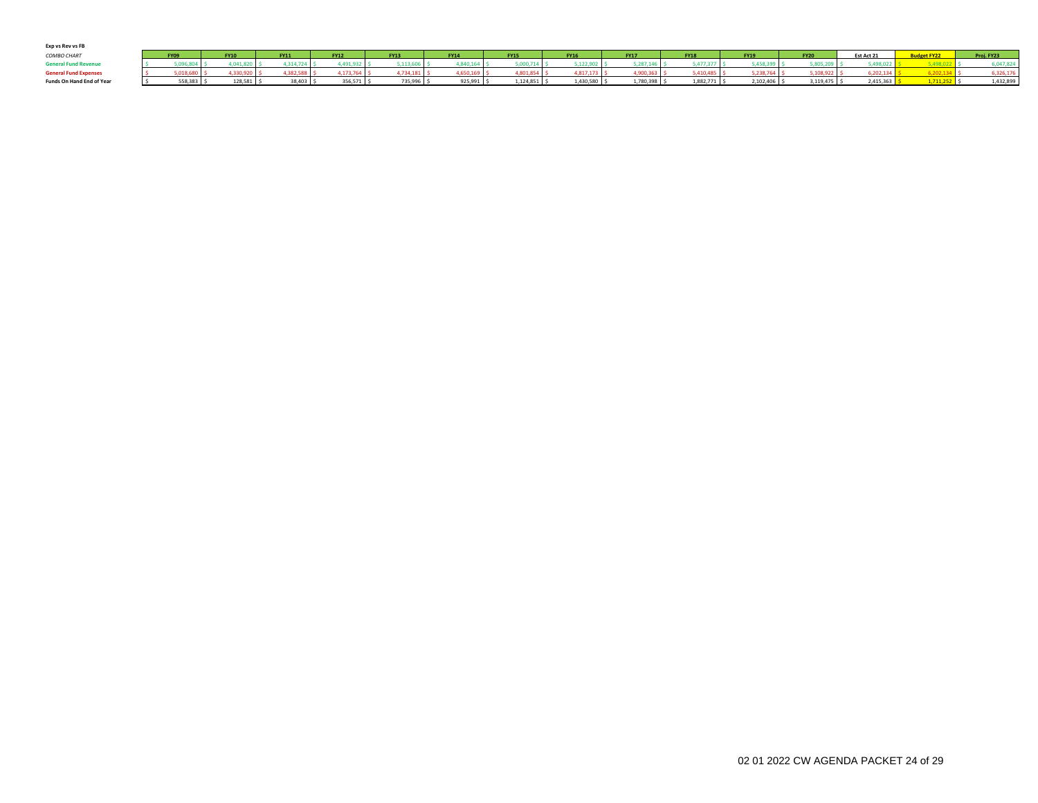| Exp vs Rev vs FB             |            |             |               |             |             |             |                |              |             |             |             |              |            |            |
|------------------------------|------------|-------------|---------------|-------------|-------------|-------------|----------------|--------------|-------------|-------------|-------------|--------------|------------|------------|
| COMBO CHART                  | FY09       | <b>FY10</b> | <b>FY11</b>   | <b>FY12</b> | <b>FY13</b> | <b>FY14</b> | <b>FY15</b>    | <b>FY16</b>  | <b>FY17</b> | <b>FY18</b> | <b>FY19</b> | <b>FY20</b>  | Est Act 21 | Proj. FY23 |
| <b>General Fund Revenue</b>  |            |             | $\sim$ $\sim$ | 30.5        |             | 0.40        |                | $\sim$       |             | 14,777.79   |             |              |            |            |
| <b>General Fund Expenses</b> |            |             |               | 1172        |             | 650.1       |                | 48171        |             | 5.50        |             | 108.922      | 0.22       | 326.176    |
| Funds On Hand End of Year    | 558,383 \$ | 128.581     | 38,403 \$     | 356,571 \$  | 735,996 \$  | 925.991 S   | $1.124.851$ \$ | 1,430,580 \$ | 1,780,398   | 1.882.771   | 2,102,406   | 3,119,475 \$ | 2,415,363  | 1,432,899  |
|                              |            |             |               |             |             |             |                |              |             |             |             |              |            |            |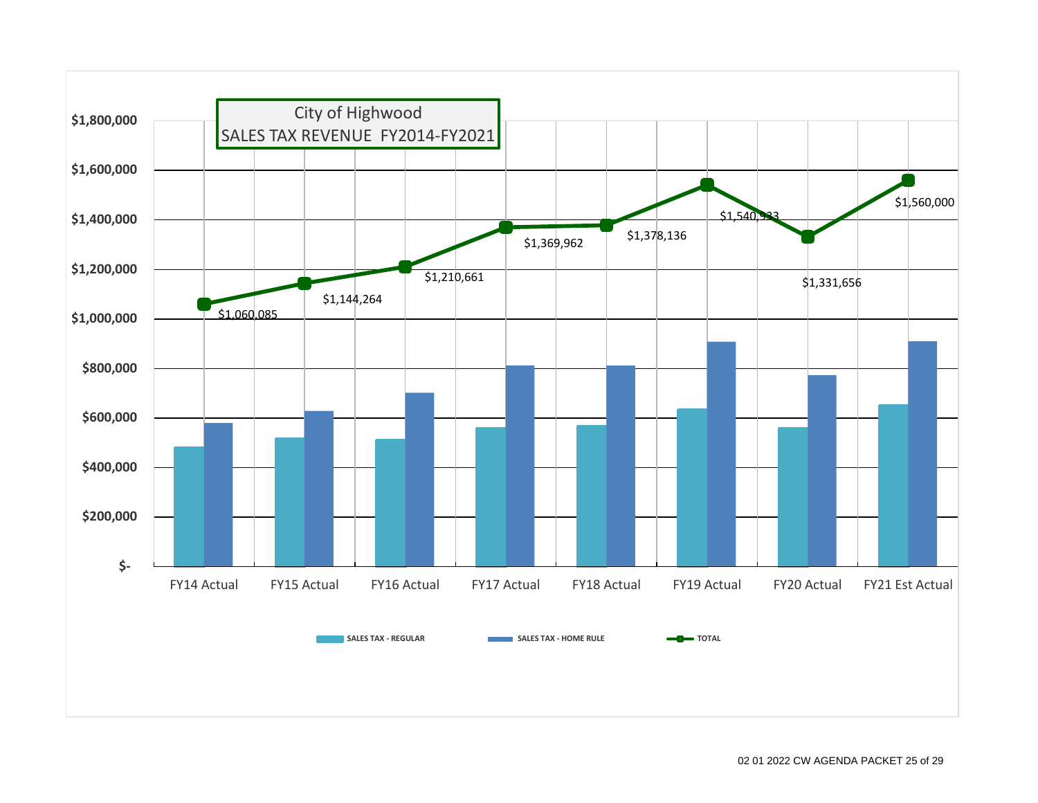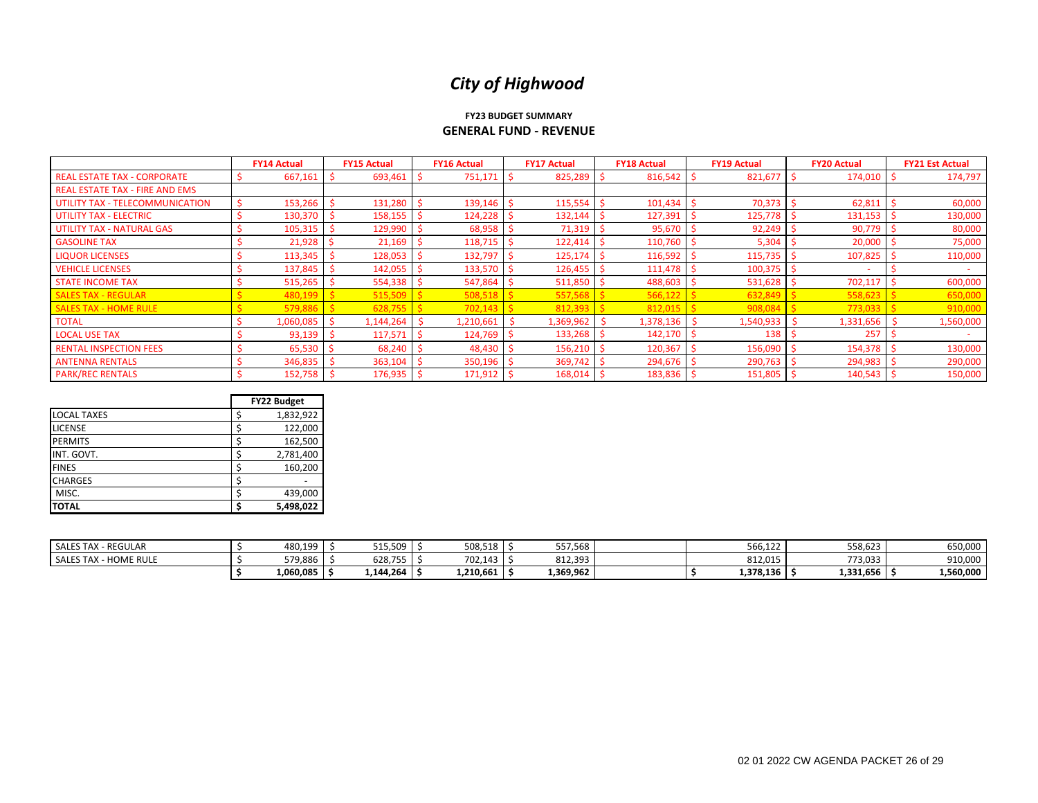#### **FY23 BUDGET SUMMARY GENERAL FUND - REVENUE**

|                                       | <b>FY14 Actual</b> |           | <b>FY15 Actual</b> |           | <b>FY16 Actual</b> |  | <b>FY17 Actual</b> |  | <b>FY18 Actual</b> | <b>FY19 Actual</b> |           |  | <b>FY20 Actual</b> | <b>FY21 Est Actual</b> |           |
|---------------------------------------|--------------------|-----------|--------------------|-----------|--------------------|--|--------------------|--|--------------------|--------------------|-----------|--|--------------------|------------------------|-----------|
| <b>REAL ESTATE TAX - CORPORATE</b>    |                    | 667,161   |                    | 693,461   | 751,171            |  | 825,289            |  | 816,542            |                    | 821,677   |  | 174,010 \$         |                        | 174,797   |
| <b>REAL ESTATE TAX - FIRE AND EMS</b> |                    |           |                    |           |                    |  |                    |  |                    |                    |           |  |                    |                        |           |
| UTILITY TAX - TELECOMMUNICATION       |                    | 153,266   |                    | 131,280   | 139,146            |  | 115,554            |  | 101,434            |                    | 70,373    |  | 62,811             |                        | 60,000    |
| <b>UTILITY TAX - ELECTRIC</b>         |                    | 130,370   |                    | 158,155   | 124,228            |  | 132,144            |  | 127,391            |                    | 125,778   |  | $131,153$ \$       |                        | 130,000   |
| <b>UTILITY TAX - NATURAL GAS</b>      |                    | 105,315   |                    | 129,990   | 68,958             |  | 71,319             |  | 95,670             |                    | 92,249    |  | 90,779             |                        | 80,000    |
| <b>GASOLINE TAX</b>                   |                    | 21,928    |                    | 21,169    | 118,715            |  | 122,414            |  | 110,760            |                    | 5,304     |  | 20,000             |                        | 75,000    |
| <b>LIQUOR LICENSES</b>                |                    | 113,345   |                    | 128,053   | 132,797            |  | 125,174            |  | 116,592            |                    | 115,735   |  | 107,825            |                        | 110,000   |
| <b>VEHICLE LICENSES</b>               |                    | 137,845   |                    | 142,055   | 133,570            |  | 126,455            |  | 111,478            |                    | 100,375   |  |                    |                        |           |
| <b>STATE INCOME TAX</b>               |                    | 515,265   |                    | 554,338   | 547,864            |  | 511,850            |  | 488,603            |                    | 531,628   |  | 702,117            |                        | 600,000   |
| <b>SALES TAX - REGULAR</b>            |                    | 480,199   |                    | 515,509   | 508,518            |  | 557,568            |  | 566,122            |                    | 632,849   |  | 558,623            |                        | 650,000   |
| <b>SALES TAX - HOME RULE</b>          |                    | 579,88    |                    | 628,755   | 702,143            |  | 812,393            |  | 812,015            |                    | 908,08    |  | 773,033            |                        | 910,000   |
| <b>TOTAL</b>                          |                    | 1,060,085 |                    | 1,144,264 | 1,210,661          |  | 1,369,962          |  | $1,378,136$ \$     |                    | 1,540,933 |  | $1,331,656$ \$     |                        | 1,560,000 |
| <b>LOCAL USE TAX</b>                  |                    | 93,139    |                    | 117,571   | 124,769            |  | 133,268            |  | 142,170            |                    | 138       |  | 257                |                        |           |
| <b>RENTAL INSPECTION FEES</b>         |                    | 65,530    |                    | 68,240    | 48,430             |  | 156,210            |  | 120,367            |                    | 156,090   |  | 154,378            |                        | 130,000   |
| <b>ANTENNA RENTALS</b>                |                    | 346,835   |                    | 363,104   | 350,196            |  | 369,742            |  | 294,676            |                    | 290,763   |  | 294,983            |                        | 290,000   |
| <b>PARK/REC RENTALS</b>               |                    | 152,758   |                    | 176,935   | 171,912            |  | 168,014            |  | 183,836 \$         |                    | 151,805   |  | 140,543            |                        | 150,000   |

|                    |  | <b>FY22 Budget</b> |
|--------------------|--|--------------------|
| <b>LOCAL TAXES</b> |  | 1,832,922          |
| <b>LICENSE</b>     |  | 122,000            |
| <b>PERMITS</b>     |  | 162,500            |
| INT. GOVT.         |  | 2,781,400          |
| <b>FINES</b>       |  | 160,200            |
| <b>CHARGES</b>     |  |                    |
| MISC.              |  | 439,000            |
| <b>TOTAL</b>       |  | 5,498,022          |

| - REGULAR<br>SALES TAX -   | 480,199 \$            | 515,509   | 508,518   | 557,568   |  | 566,122   | 558,623   | 650,000   |
|----------------------------|-----------------------|-----------|-----------|-----------|--|-----------|-----------|-----------|
| SALES TAX -<br>- HOME RULE | 579.886               | 628,755   | 702.143   | 812,393   |  | 812.015   | 773.033   | 910,000   |
|                            | $1,060,085$ $\mid$ \$ | 1,144,264 | 1,210,661 | 1,369,962 |  | 1,378,136 | 1,331,656 | 1,560,000 |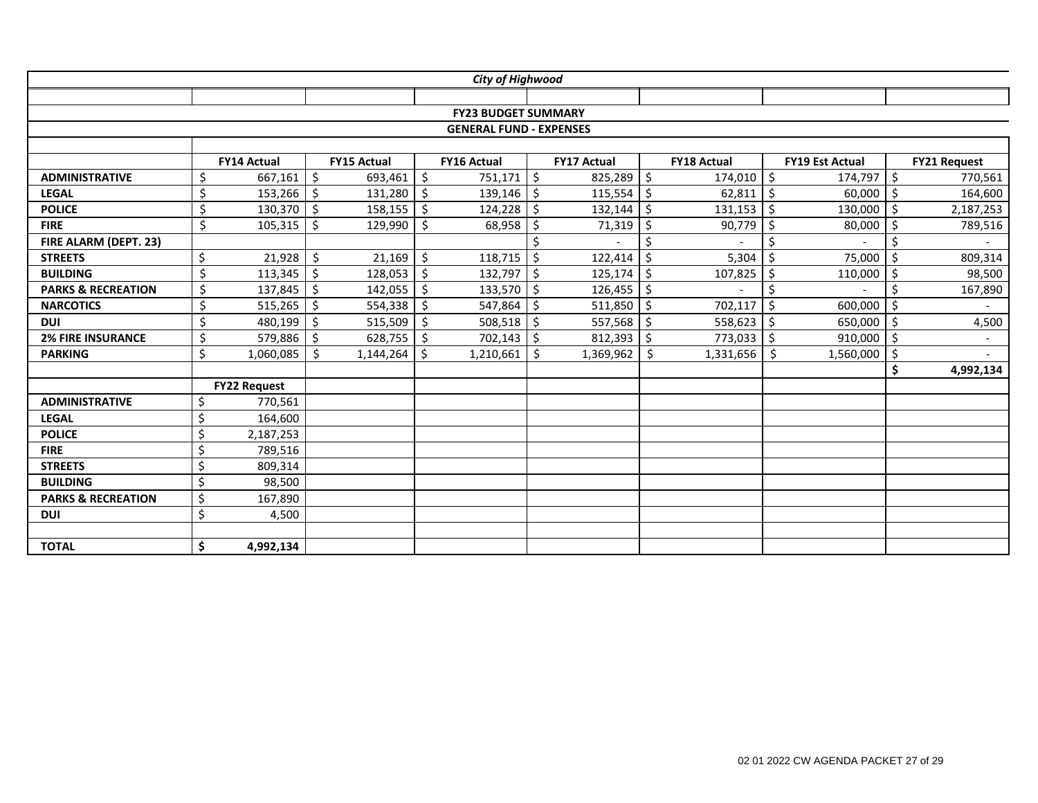|                               |         |                     |    |                    |                     | City of Highwood               |         |                    |                     |                    |         |                        |    |                     |
|-------------------------------|---------|---------------------|----|--------------------|---------------------|--------------------------------|---------|--------------------|---------------------|--------------------|---------|------------------------|----|---------------------|
|                               |         |                     |    |                    |                     |                                |         |                    |                     |                    |         |                        |    |                     |
|                               |         |                     |    |                    |                     | <b>FY23 BUDGET SUMMARY</b>     |         |                    |                     |                    |         |                        |    |                     |
|                               |         |                     |    |                    |                     | <b>GENERAL FUND - EXPENSES</b> |         |                    |                     |                    |         |                        |    |                     |
|                               |         |                     |    |                    |                     |                                |         |                    |                     |                    |         |                        |    |                     |
|                               |         | <b>FY14 Actual</b>  |    | <b>FY15 Actual</b> |                     | <b>FY16 Actual</b>             |         | <b>FY17 Actual</b> |                     | <b>FY18 Actual</b> |         | <b>FY19 Est Actual</b> |    | <b>FY21 Request</b> |
| <b>ADMINISTRATIVE</b>         | \$      | 667,161             | \$ | 693,461            | $\ddot{\mathsf{S}}$ | 751,171                        | \$      | 825,289            | $\zeta$             | $174,010$ \$       |         | 174,797                | \$ | 770,561             |
| <b>LEGAL</b>                  | Ś       | 153,266             | Ŝ. | 131,280            | Ŝ.                  | 139,146                        | Ŝ.      | 115,554            | \$                  | 62,811             | Ŝ.      | 60,000                 | Ŝ. | 164,600             |
| <b>POLICE</b>                 | Ś       | 130,370             | \$ | 158,155            | $\zeta$             | 124,228                        | Ŝ.      | 132,144            | \$                  | 131,153            | Ŝ.      | 130,000                | \$ | 2,187,253           |
| <b>FIRE</b>                   | \$      | 105,315             | Ś. | 129,990            | $\zeta$             | 68,958                         | Ŝ       | 71,319             | $\zeta$             | 90,779             | .S      | 80,000                 | Ś. | 789,516             |
| FIRE ALARM (DEPT. 23)         |         |                     |    |                    |                     |                                |         |                    | \$                  |                    | \$      |                        | \$ |                     |
| <b>STREETS</b>                | \$      | 21,928              | \$ | 21,169             | $\zeta$             | 118,715                        | Ś.      | 122,414            | \$                  | 5,304              | Ś       | 75,000                 | \$ | 809,314             |
| <b>BUILDING</b>               | \$      | 113,345             | \$ | 128,053            | $\zeta$             | 132,797                        | $\zeta$ | 125,174            | $\zeta$             | 107,825            | Ŝ.      | 110,000                | \$ | 98,500              |
| <b>PARKS &amp; RECREATION</b> | \$      | 137,845             | \$ | 142,055            | $\zeta$             | 133,570                        | \$      | 126,455            | $\zeta$             |                    | Ś       |                        | \$ | 167,890             |
| <b>NARCOTICS</b>              | \$      | 515,265             | \$ | 554,338            | \$                  | 547,864                        | \$      | 511,850            | $\zeta$             | 702,117            | Ŝ.      | 600,000                | \$ | $\overline{a}$      |
| <b>DUI</b>                    | \$      | 480,199             | \$ | 515,509            | \$                  | 508,518                        | \$      | 557,568            | \$                  | 558,623            | $\zeta$ | 650,000                | \$ | 4,500               |
| <b>2% FIRE INSURANCE</b>      | \$      | 579,886             | \$ | 628,755            | $\zeta$             | 702,143                        | Ŝ.      | 812,393            | $\ddot{\mathsf{S}}$ | 773,033 \$         |         | 910,000                | \$ | $\sim$              |
| <b>PARKING</b>                | \$      | 1,060,085           | \$ | 1,144,264          | \$                  | 1,210,661                      | \$      | 1,369,962          | $\zeta$             | 1,331,656          | \$      | 1,560,000              | \$ |                     |
|                               |         |                     |    |                    |                     |                                |         |                    |                     |                    |         |                        | \$ | 4,992,134           |
|                               |         | <b>FY22 Request</b> |    |                    |                     |                                |         |                    |                     |                    |         |                        |    |                     |
| <b>ADMINISTRATIVE</b>         | Ś.      | 770,561             |    |                    |                     |                                |         |                    |                     |                    |         |                        |    |                     |
| <b>LEGAL</b>                  | \$      | 164,600             |    |                    |                     |                                |         |                    |                     |                    |         |                        |    |                     |
| <b>POLICE</b>                 | \$      | 2,187,253           |    |                    |                     |                                |         |                    |                     |                    |         |                        |    |                     |
| <b>FIRE</b>                   | \$      | 789,516             |    |                    |                     |                                |         |                    |                     |                    |         |                        |    |                     |
| <b>STREETS</b>                | $\zeta$ | 809,314             |    |                    |                     |                                |         |                    |                     |                    |         |                        |    |                     |
| <b>BUILDING</b>               | \$      | 98,500              |    |                    |                     |                                |         |                    |                     |                    |         |                        |    |                     |
| <b>PARKS &amp; RECREATION</b> | \$      | 167,890             |    |                    |                     |                                |         |                    |                     |                    |         |                        |    |                     |
| <b>DUI</b>                    | \$      | 4,500               |    |                    |                     |                                |         |                    |                     |                    |         |                        |    |                     |
|                               |         |                     |    |                    |                     |                                |         |                    |                     |                    |         |                        |    |                     |
| <b>TOTAL</b>                  | \$      | 4,992,134           |    |                    |                     |                                |         |                    |                     |                    |         |                        |    |                     |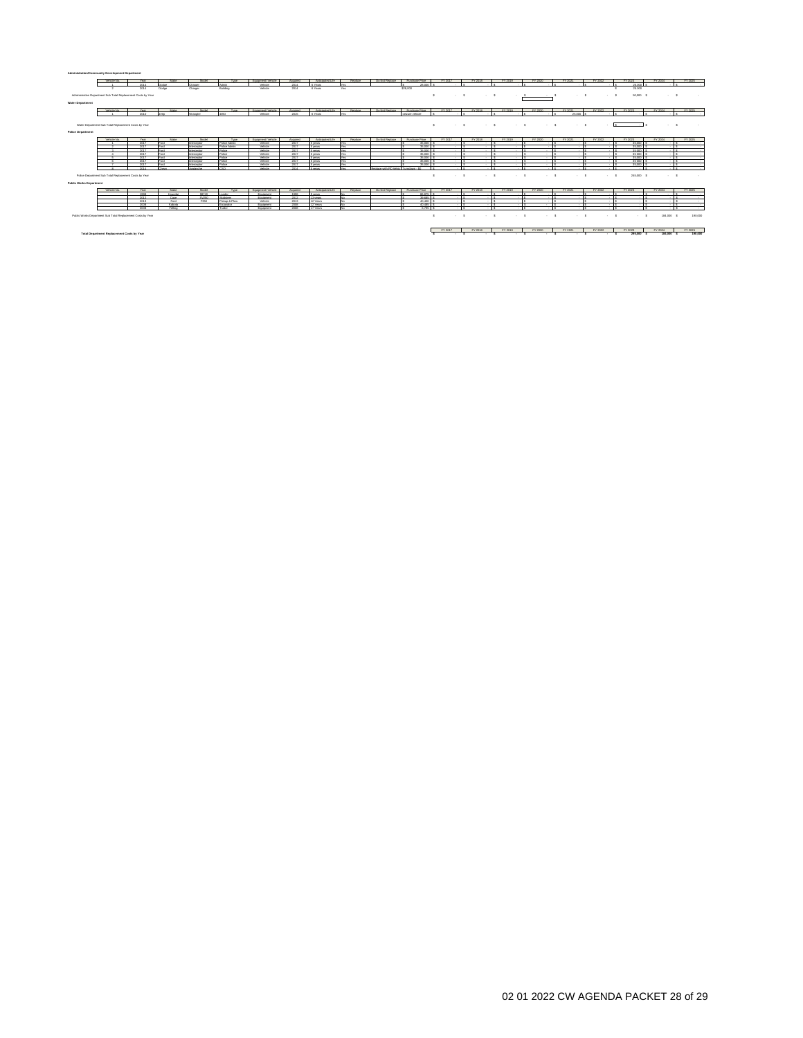| Administration/Community Development Department             |                                                               |       |                 |              |                      |                       |          |                   |                |                                      |                       |              |               |                                                                                                                                              |           |                 |                           |               |                |         |
|-------------------------------------------------------------|---------------------------------------------------------------|-------|-----------------|--------------|----------------------|-----------------------|----------|-------------------|----------------|--------------------------------------|-----------------------|--------------|---------------|----------------------------------------------------------------------------------------------------------------------------------------------|-----------|-----------------|---------------------------|---------------|----------------|---------|
|                                                             | Mehinte Mo.                                                   | Year. | Make            | Mortal       | Type                 | Equipment/ Vehicle    | Acquired | Anticipated Life  | Replace        | Do Not Replace                       | Purchase Price        | FY 2017      | FY 2018       | FY 2019                                                                                                                                      | FY 2020   | FY 2021         | FY 2022                   | FY 2023       | FY 2024        | FY 2025 |
|                                                             |                                                               | 2014  | Dodou           | Channer      | Admin.               | Valuta                | 7014     | <b>K Yanna</b>    | Yes:           |                                      | 25,000                |              |               |                                                                                                                                              |           |                 |                           | 25000         |                |         |
|                                                             |                                                               | 2014  | Dodge           | Charger      | Building             | Vehicle               | 2014     | 6 Years           | Yes:           |                                      | \$28,000              |              |               |                                                                                                                                              |           |                 |                           | 25,000        |                |         |
|                                                             |                                                               |       |                 |              |                      |                       |          |                   |                |                                      |                       |              |               |                                                                                                                                              |           |                 |                           |               |                |         |
|                                                             | Administration Department Sub Total Replacement Costs by Year |       |                 |              |                      |                       |          |                   |                |                                      |                       | $\mathbf{z}$ | $\sim$ $\sim$ | $\sim$ $\sim$                                                                                                                                |           | $\sim$          | $\sim$                    | 50,000 \$     | <b>STATE</b>   |         |
|                                                             |                                                               |       |                 |              |                      |                       |          |                   |                |                                      |                       |              |               |                                                                                                                                              |           |                 |                           |               |                |         |
| <b>Water Department</b>                                     |                                                               |       |                 |              |                      |                       |          |                   |                |                                      |                       |              |               |                                                                                                                                              |           |                 |                           |               |                |         |
|                                                             |                                                               |       |                 |              |                      |                       |          |                   |                |                                      |                       |              |               |                                                                                                                                              |           |                 |                           |               |                |         |
|                                                             | Mahinta N                                                     | Year  |                 | Mortal       | Tyres                | Fire drumped Mahdrie  | Armstrad | Anti-instant Life | <b>Bankara</b> | Do Not Benham                        | <b>Durchase Drive</b> | EY 2017      | FY 2018       | EV 2019                                                                                                                                      | EY 2020   | EY 2021         | EY 2022                   | EY 2023       | EY 2024        | FY 2025 |
|                                                             |                                                               | 2010  |                 |              | <b>ALASTA</b>        | <b>Makinta</b>        | 2015     | <b>K Yanna</b>    |                |                                      | sainus vahirle        |              |               |                                                                                                                                              |           | 25,000          |                           |               |                |         |
|                                                             |                                                               |       |                 |              |                      |                       |          |                   |                |                                      |                       |              |               |                                                                                                                                              |           |                 |                           |               |                |         |
|                                                             |                                                               |       |                 |              |                      |                       |          |                   |                |                                      |                       |              |               |                                                                                                                                              |           |                 |                           |               |                |         |
|                                                             | Water Department Sub Total Replacement Costs by Year          |       |                 |              |                      |                       |          |                   |                |                                      |                       | $\sim$       |               | $\mathcal{A}=\mathcal{B}$ . The contract $\mathcal{B}=\mathcal{B}$ and $\mathcal{B}=\mathcal{B}$ . The contract of $\mathcal{B}=\mathcal{B}$ |           | $\sim$ $\sim$   | $\sim$ 5                  | $\sim$ $\sim$ | <b>Service</b> |         |
|                                                             |                                                               |       |                 |              |                      |                       |          |                   |                |                                      |                       |              |               |                                                                                                                                              |           |                 |                           |               |                |         |
| <b>Police Department</b>                                    |                                                               |       |                 |              |                      |                       |          |                   |                |                                      |                       |              |               |                                                                                                                                              |           |                 |                           |               |                |         |
|                                                             |                                                               |       |                 |              |                      |                       |          |                   |                |                                      |                       |              |               |                                                                                                                                              |           |                 |                           |               |                |         |
|                                                             | <b>Mehinde Mn</b>                                             | Year. | Make            | Model:       | Tyres                | Equipment/ Vehicle    | Arminat  | Anti-instant Life | Benham         | Do Not Berlane                       | Purchase Price        | FY 2017      | FY 2018       | FY 2019                                                                                                                                      | FY 2020   | FY 2021         | FY 2022                   | FY 2023       | FY 2024        | FY 2025 |
|                                                             |                                                               | 2017  |                 | Internanting | <b>Dráma Arlesin</b> | <b>Makinta</b>        | 2017     | <b>Support</b>    | Yan.           |                                      | 35,000                |              |               |                                                                                                                                              |           |                 |                           | 25,000        |                |         |
|                                                             |                                                               | 2017  | <b>Read</b>     | Internanting | <b>Dráma Arimin</b>  | Vehicle               | 2017     | <b>Support</b>    | Yan.           |                                      | 15,000                |              |               |                                                                                                                                              |           |                 |                           | 75,000        |                |         |
|                                                             |                                                               | 2017  | Erent           | Interceptor  | <b>Dráma</b>         | Vehicle               | 2017     | 5 years           | Yan            |                                      | 35,000                |              |               |                                                                                                                                              |           |                 |                           | 75,000        |                |         |
|                                                             |                                                               | 2017  | <b>Margaret</b> | Internanting | <b>Drive</b>         | <b>Makinta</b>        | 2017     | <b>County</b>     | Yan.           |                                      | 35,000                |              |               |                                                                                                                                              |           |                 |                           | 25,000        |                |         |
|                                                             |                                                               | 2017  | <b>Read</b>     | Internanting | <b>Drawn</b>         | Vehicle               | 2017     | <b>County</b>     | March 1974     |                                      | 15,000                |              |               |                                                                                                                                              |           |                 |                           | 75.000        |                |         |
|                                                             |                                                               | 2017  | <b>Read</b>     | Internanting | <b>Dráma</b>         | <b>Makinta</b>        | 2017     | search            | Yan            |                                      | 35,000                |              |               |                                                                                                                                              |           |                 |                           | 25,000        |                |         |
|                                                             |                                                               | 2017  | <b>Read</b>     | Internation  | Police               | Vehicle               | 2017     | <b>County</b>     | Yan.           |                                      | 35,000                |              |               |                                                                                                                                              |           |                 |                           | 25,000        |                |         |
|                                                             |                                                               | 2014  | Chevy           | Aralanche    | cso                  | Vehicle               | 2014     | 5 years           | Yes            | Replace with PD Vehic Turndown - \$0 |                       |              |               |                                                                                                                                              |           |                 |                           |               |                |         |
|                                                             |                                                               |       |                 |              |                      |                       |          |                   |                |                                      |                       |              |               |                                                                                                                                              |           |                 |                           |               |                |         |
|                                                             | Police Department Sub Total Replacement Costs by Year         |       |                 |              |                      |                       |          |                   |                |                                      |                       | $\mathbf{r}$ | $-5$          | $\sim$ 5                                                                                                                                     | $\sim$ 5. | $\cdot$ $\cdot$ | $\cdot$ $\cdot$<br>$\sim$ | 245,000 \$    | $\sim$ 5       | $\sim$  |
|                                                             |                                                               |       |                 |              |                      |                       |          |                   |                |                                      |                       |              |               |                                                                                                                                              |           |                 |                           |               |                |         |
| <b>Public Works Department</b>                              |                                                               |       |                 |              |                      |                       |          |                   |                |                                      |                       |              |               |                                                                                                                                              |           |                 |                           |               |                |         |
|                                                             |                                                               |       |                 |              |                      |                       |          |                   |                |                                      |                       |              |               |                                                                                                                                              |           |                 |                           |               |                |         |
|                                                             | Mehinte Mo.                                                   | Year. | Make            | Model        | Turus.               | Fire drumped Mahirla  | Annuinat | Anticipated Life  | Benham         | Do Not Benisma                       | <b>Prechase Price</b> | EY 2017      | EY 2015       | EV 2019                                                                                                                                      | EY 2020   | EY 2021         | EY 2022                   | EY 2023       | EY 2024        | EY 2025 |
|                                                             |                                                               | 1935  | Hyundai         | 98740        | <b>Inster</b>        | <b>Freehoment</b>     | 1935     | <b>Questo</b>     |                |                                      | 86,825                |              |               |                                                                                                                                              |           |                 |                           |               |                |         |
|                                                             |                                                               | 2012  | Case            | 51250        | Richman              | Environment           | 2012     | 13 years          |                |                                      | 10.685                |              |               |                                                                                                                                              |           |                 |                           |               |                |         |
|                                                             |                                                               | 2013  | Erent           | From         | Pickup & Plow        | Valuta                | 2013     | 12 Years          |                |                                      | 40,400                |              |               |                                                                                                                                              |           |                 |                           |               |                |         |
|                                                             |                                                               | 2008  | Kubota          |              | Excavator            | Equipment             | 2008     | 12 Years          |                |                                      | 40,485                |              |               |                                                                                                                                              |           |                 |                           |               |                |         |
|                                                             |                                                               | 2005  | Falling.        |              | Textor               | <b>Free</b> documents | 2005     | 17 Yanna          |                |                                      | 6.705                 |              |               |                                                                                                                                              |           |                 |                           |               |                |         |
| Public Works Department Sub Total Replacement Costs by Year |                                                               |       |                 |              |                      |                       |          |                   |                |                                      |                       |              |               |                                                                                                                                              |           |                 |                           |               |                |         |

Total Department Replacement Costa by Year 14,000 \$ 5 5 5 5 5 220,000 \$ 14,000 \$ 14,000 \$ 14,000 \$ 14,000 \$ 14,000 \$ 14,000 \$